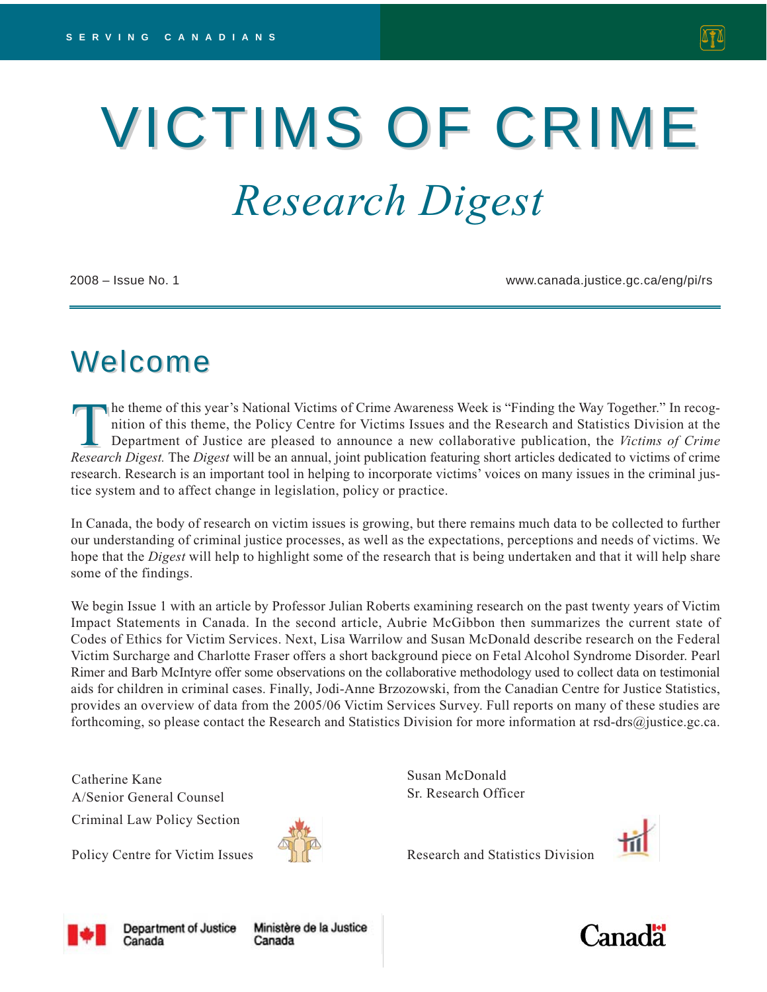# VICTIMS OF CRIME *Research Digest*

2008 – Issue No. 1 www.canada.justice.gc.ca/eng/pi/rs

# Welcome

The theme of this year's National Victims of Crime Awareness Week is "Finding the Way Together." In recognition of this theme, the Policy Centre for Victims Issues and the Research and Statistics Division at the Department nition of this theme, the Policy Centre for Victims Issues and the Research and Statistics Division at the Department of Justice are pleased to announce a new collaborative publication, the *Victims of Crime Research Digest.* The *Digest* will be an annual, joint publication featuring short articles dedicated to victims of crime research. Research is an important tool in helping to incorporate victims' voices on many issues in the criminal justice system and to affect change in legislation, policy or practice.

In Canada, the body of research on victim issues is growing, but there remains much data to be collected to further our understanding of criminal justice processes, as well as the expectations, perceptions and needs of victims. We hope that the *Digest* will help to highlight some of the research that is being undertaken and that it will help share some of the findings.

We begin Issue 1 with an article by Professor Julian Roberts examining research on the past twenty years of Victim Impact Statements in Canada. In the second article, Aubrie McGibbon then summarizes the current state of Codes of Ethics for Victim Services. Next, Lisa Warrilow and Susan McDonald describe research on the Federal Victim Surcharge and Charlotte Fraser offers a short background piece on Fetal Alcohol Syndrome Disorder. Pearl Rimer and Barb McIntyre offer some observations on the collaborative methodology used to collect data on testimonial aids for children in criminal cases. Finally, Jodi-Anne Brzozowski, from the Canadian Centre for Justice Statistics, provides an overview of data from the 2005/06 Victim Services Survey. Full reports on many of these studies are forthcoming, so please contact the Research and Statistics Division for more information at rsd-drs@justice.gc.ca.

Catherine Kane A/Senior General Counsel Criminal Law Policy Section

Policy Centre for Victim Issues



Susan McDonald Sr. Research Officer



Research and Statistics Division





**Department of Justice** Canada

Ministère de la Justice Canada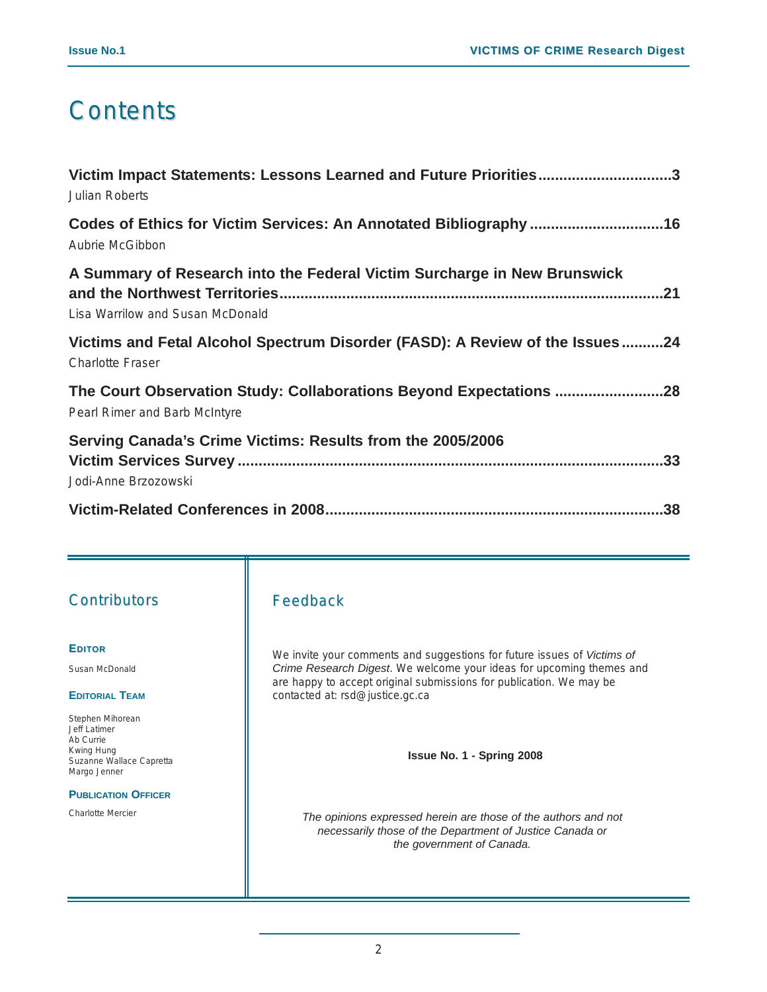### **Contents**

| Victim Impact Statements: Lessons Learned and Future Priorities3<br><b>Julian Roberts</b>                          |
|--------------------------------------------------------------------------------------------------------------------|
| Aubrie McGibbon                                                                                                    |
| A Summary of Research into the Federal Victim Surcharge in New Brunswick<br>21<br>Lisa Warrilow and Susan McDonald |
| Victims and Fetal Alcohol Spectrum Disorder (FASD): A Review of the Issues24<br><b>Charlotte Fraser</b>            |
| The Court Observation Study: Collaborations Beyond Expectations 28<br>Pearl Rimer and Barb McIntyre                |
| Serving Canada's Crime Victims: Results from the 2005/2006<br>Jodi-Anne Brzozowski                                 |
|                                                                                                                    |

### **Contributors**

### **EDITOR**

Susan McDonald

#### **EDITORIAL TEAM**

Stephen Mihorean Jeff Latimer Ab Currie Kwing Hung Suzanne Wallace Capretta Margo Jenner

#### **PUBLICATION OFFICER**

Charlotte Mercier

### Feedback

We invite your comments and suggestions for future issues of *Victims of Crime Research Digest*. We welcome your ideas for upcoming themes and are happy to accept original submissions for publication. We may be contacted at: rsd@justice.gc.ca

**Issue No. 1 - Spring 2008**

*The opinions expressed herein are those of the authors and not necessarily those of the Department of Justice Canada or the government of Canada.*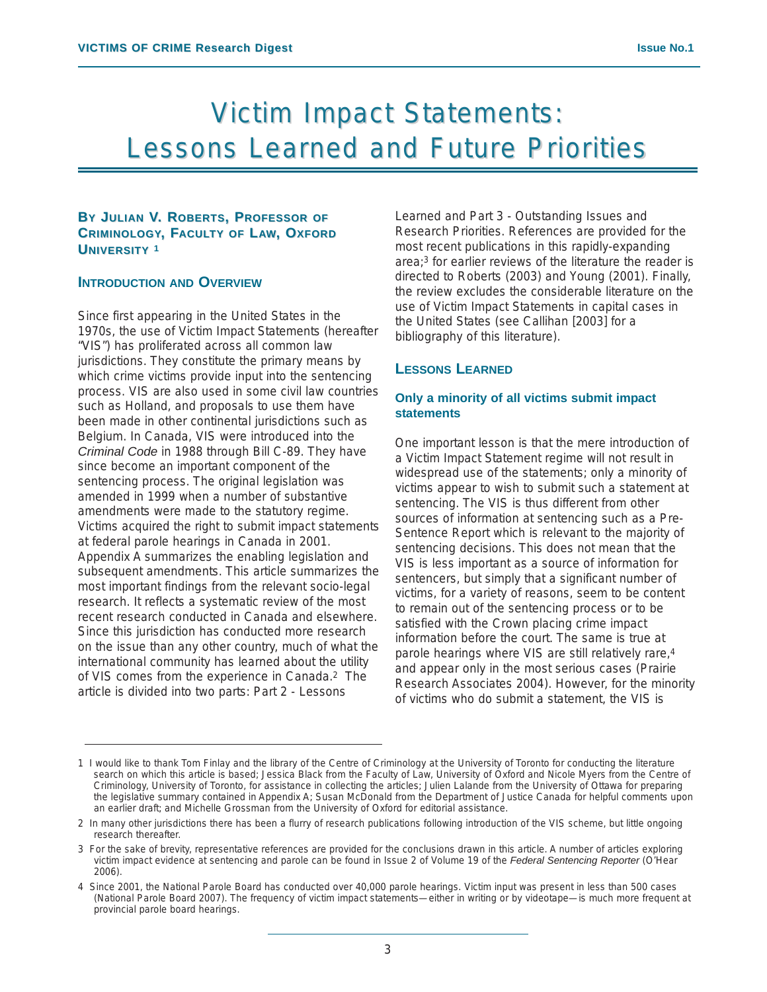### Victim Impact Statements: **Lessons Learned and Future Priorities**

### **BY JULIAN V. ROBERTS, PROFESSOR OF CRIMINOLOGY, FACULTY OF LAW, OXFORD UNIVERSITY <sup>1</sup>**

### **INTRODUCTION AND OVERVIEW**

Since first appearing in the United States in the 1970s, the use of Victim Impact Statements (hereafter "VIS") has proliferated across all common law jurisdictions. They constitute the primary means by which crime victims provide input into the sentencing process. VIS are also used in some civil law countries such as Holland, and proposals to use them have been made in other continental jurisdictions such as Belgium. In Canada, VIS were introduced into the *Criminal Code* in 1988 through Bill C-89. They have since become an important component of the sentencing process. The original legislation was amended in 1999 when a number of substantive amendments were made to the statutory regime. Victims acquired the right to submit impact statements at federal parole hearings in Canada in 2001. Appendix A summarizes the enabling legislation and subsequent amendments. This article summarizes the most important findings from the relevant socio-legal research. It reflects a systematic review of the most recent research conducted in Canada and elsewhere. Since this jurisdiction has conducted more research on the issue than any other country, much of what the international community has learned about the utility of VIS comes from the experience in Canada.2 The article is divided into two parts: Part 2 - Lessons

Learned and Part 3 - Outstanding Issues and Research Priorities. References are provided for the most recent publications in this rapidly-expanding area;3 for earlier reviews of the literature the reader is directed to Roberts (2003) and Young (2001). Finally, the review excludes the considerable literature on the use of Victim Impact Statements in capital cases in the United States (see Callihan [2003] for a bibliography of this literature).

### **LESSONS LEARNED**

### **Only a minority of all victims submit impact statements**

One important lesson is that the mere introduction of a Victim Impact Statement regime will not result in widespread use of the statements; only a minority of victims appear to wish to submit such a statement at sentencing. The VIS is thus different from other sources of information at sentencing such as a Pre-Sentence Report which is relevant to the majority of sentencing decisions. This does not mean that the VIS is less important as a source of information for sentencers, but simply that a significant number of victims, for a variety of reasons, seem to be content to remain out of the sentencing process or to be satisfied with the Crown placing crime impact information before the court. The same is true at parole hearings where VIS are still relatively rare,4 and appear only in the most serious cases (Prairie Research Associates 2004). However, for the minority of victims who do submit a statement, the VIS is

<sup>1</sup> I would like to thank Tom Finlay and the library of the Centre of Criminology at the University of Toronto for conducting the literature search on which this article is based; Jessica Black from the Faculty of Law, University of Oxford and Nicole Myers from the Centre of Criminology, University of Toronto, for assistance in collecting the articles; Julien Lalande from the University of Ottawa for preparing the legislative summary contained in Appendix A; Susan McDonald from the Department of Justice Canada for helpful comments upon an earlier draft; and Michelle Grossman from the University of Oxford for editorial assistance.

<sup>2</sup> In many other jurisdictions there has been a flurry of research publications following introduction of the VIS scheme, but little ongoing research thereafter.

<sup>3</sup> For the sake of brevity, representative references are provided for the conclusions drawn in this article. A number of articles exploring victim impact evidence at sentencing and parole can be found in Issue 2 of Volume 19 of the *Federal Sentencing Reporter* (O'Hear 2006).

<sup>4</sup> Since 2001, the National Parole Board has conducted over 40,000 parole hearings. Victim input was present in less than 500 cases (National Parole Board 2007). The frequency of victim impact statements—either in writing or by videotape—is much more frequent at provincial parole board hearings.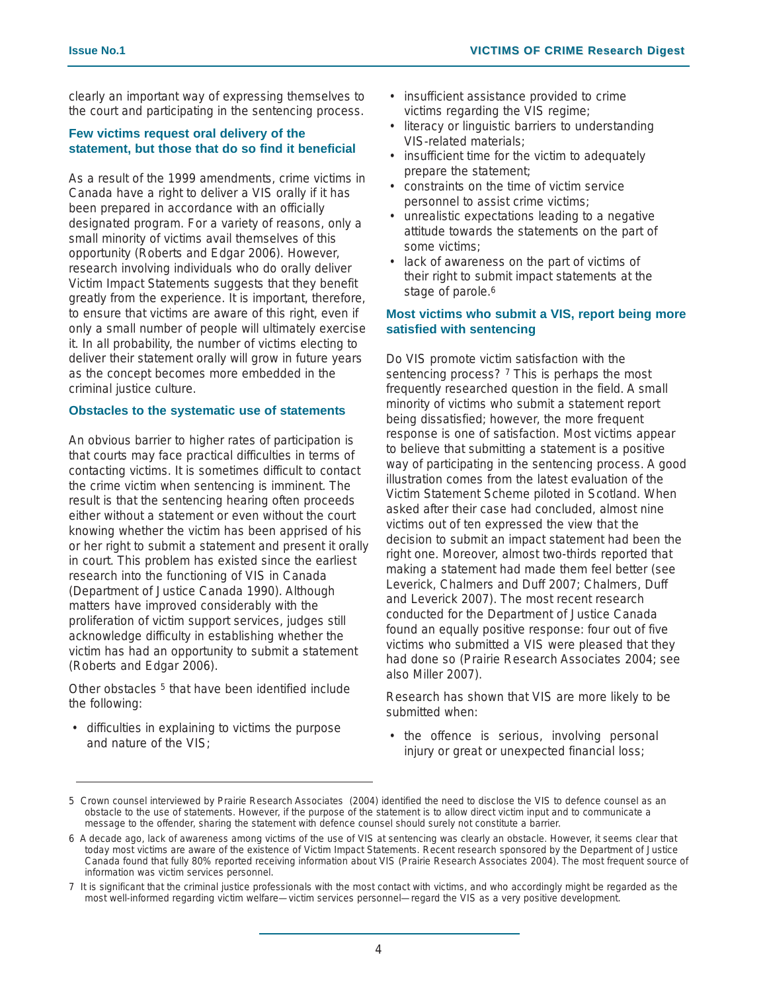clearly an important way of expressing themselves to the court and participating in the sentencing process.

### **Few victims request oral delivery of the statement, but those that do so find it beneficial**

As a result of the 1999 amendments, crime victims in Canada have a right to deliver a VIS orally if it has been prepared in accordance with an officially designated program. For a variety of reasons, only a small minority of victims avail themselves of this opportunity (Roberts and Edgar 2006). However, research involving individuals who do orally deliver Victim Impact Statements suggests that they benefit greatly from the experience. It is important, therefore, to ensure that victims are aware of this right, even if only a small number of people will ultimately exercise it. In all probability, the number of victims electing to deliver their statement orally will grow in future years as the concept becomes more embedded in the criminal justice culture.

### **Obstacles to the systematic use of statements**

An obvious barrier to higher rates of participation is that courts may face practical difficulties in terms of contacting victims. It is sometimes difficult to contact the crime victim when sentencing is imminent. The result is that the sentencing hearing often proceeds either without a statement or even without the court knowing whether the victim has been apprised of his or her right to submit a statement and present it orally in court. This problem has existed since the earliest research into the functioning of VIS in Canada (Department of Justice Canada 1990). Although matters have improved considerably with the proliferation of victim support services, judges still acknowledge difficulty in establishing whether the victim has had an opportunity to submit a statement (Roberts and Edgar 2006).

Other obstacles <sup>5</sup> that have been identified include the following:

• difficulties in explaining to victims the purpose and nature of the VIS;

- insufficient assistance provided to crime victims regarding the VIS regime;
- literacy or linguistic barriers to understanding VIS-related materials;
- insufficient time for the victim to adequately prepare the statement;
- constraints on the time of victim service personnel to assist crime victims;
- unrealistic expectations leading to a negative attitude towards the statements on the part of some victims;
- lack of awareness on the part of victims of their right to submit impact statements at the stage of parole.<sup>6</sup>

### **Most victims who submit a VIS, report being more satisfied with sentencing**

Do VIS promote victim satisfaction with the sentencing process? 7 This is perhaps the most frequently researched question in the field. A small minority of victims who submit a statement report being dissatisfied; however, the more frequent response is one of satisfaction. Most victims appear to believe that submitting a statement is a positive way of participating in the sentencing process. A good illustration comes from the latest evaluation of the Victim Statement Scheme piloted in Scotland. When asked after their case had concluded, almost nine victims out of ten expressed the view that the decision to submit an impact statement had been the right one. Moreover, almost two-thirds reported that making a statement had made them feel better (see Leverick, Chalmers and Duff 2007; Chalmers, Duff and Leverick 2007). The most recent research conducted for the Department of Justice Canada found an equally positive response: four out of five victims who submitted a VIS were pleased that they had done so (Prairie Research Associates 2004; see also Miller 2007).

Research has shown that VIS are more likely to be submitted when:

• the offence is serious, involving personal injury or great or unexpected financial loss;

<sup>5</sup> Crown counsel interviewed by Prairie Research Associates (2004) identified the need to disclose the VIS to defence counsel as an obstacle to the use of statements. However, if the purpose of the statement is to allow direct victim input and to communicate a message to the offender, sharing the statement with defence counsel should surely not constitute a barrier.

<sup>6</sup> A decade ago, lack of awareness among victims of the use of VIS at sentencing was clearly an obstacle. However, it seems clear that today most victims are aware of the existence of Victim Impact Statements. Recent research sponsored by the Department of Justice Canada found that fully 80% reported receiving information about VIS (Prairie Research Associates 2004). The most frequent source of information was victim services personnel.

<sup>7</sup> It is significant that the criminal justice professionals with the most contact with victims, and who accordingly might be regarded as the most well-informed regarding victim welfare—victim services personnel—regard the VIS as a very positive development.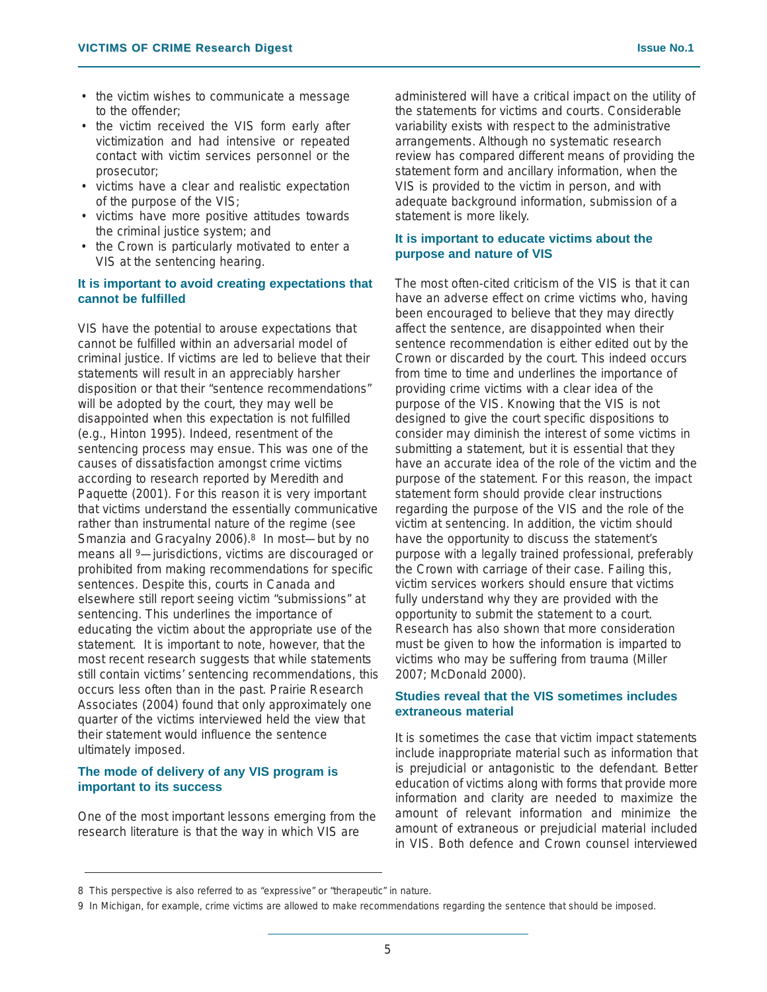- the victim wishes to communicate a message to the offender;
- the victim received the VIS form early after victimization and had intensive or repeated contact with victim services personnel or the prosecutor;
- victims have a clear and realistic expectation of the purpose of the VIS;
- victims have more positive attitudes towards the criminal justice system; and
- the Crown is particularly motivated to enter a VIS at the sentencing hearing.

### **It is important to avoid creating expectations that cannot be fulfilled**

VIS have the potential to arouse expectations that cannot be fulfilled within an adversarial model of criminal justice. If victims are led to believe that their statements will result in an appreciably harsher disposition or that their "sentence recommendations" will be adopted by the court, they may well be disappointed when this expectation is not fulfilled (e.g., Hinton 1995). Indeed, resentment of the sentencing process may ensue. This was one of the causes of dissatisfaction amongst crime victims according to research reported by Meredith and Paquette (2001). For this reason it is very important that victims understand the essentially communicative rather than instrumental nature of the regime (see Smanzia and Gracyalny 2006).<sup>8</sup> In most—but by no means all 9—jurisdictions, victims are discouraged or prohibited from making recommendations for specific sentences. Despite this, courts in Canada and elsewhere still report seeing victim "submissions" at sentencing. This underlines the importance of educating the victim about the appropriate use of the statement. It is important to note, however, that the most recent research suggests that while statements still contain victims' sentencing recommendations, this occurs less often than in the past. Prairie Research Associates (2004) found that only approximately one quarter of the victims interviewed held the view that their statement would influence the sentence ultimately imposed.

### **The mode of delivery of any VIS program is important to its success**

One of the most important lessons emerging from the research literature is that the way in which VIS are

administered will have a critical impact on the utility of the statements for victims and courts. Considerable variability exists with respect to the administrative arrangements. Although no systematic research review has compared different means of providing the statement form and ancillary information, when the VIS is provided to the victim in person, and with adequate background information, submission of a statement is more likely.

### **It is important to educate victims about the purpose and nature of VIS**

The most often-cited criticism of the VIS is that it can have an adverse effect on crime victims who, having been encouraged to believe that they may directly affect the sentence, are disappointed when their sentence recommendation is either edited out by the Crown or discarded by the court. This indeed occurs from time to time and underlines the importance of providing crime victims with a clear idea of the purpose of the VIS. Knowing that the VIS is not designed to give the court specific dispositions to consider may diminish the interest of some victims in submitting a statement, but it is essential that they have an accurate idea of the role of the victim and the purpose of the statement. For this reason, the impact statement form should provide clear instructions regarding the purpose of the VIS and the role of the victim at sentencing. In addition, the victim should have the opportunity to discuss the statement's purpose with a legally trained professional, preferably the Crown with carriage of their case. Failing this, victim services workers should ensure that victims fully understand why they are provided with the opportunity to submit the statement to a court. Research has also shown that more consideration must be given to how the information is imparted to victims who may be suffering from trauma (Miller 2007; McDonald 2000).

### **Studies reveal that the VIS sometimes includes extraneous material**

It is sometimes the case that victim impact statements include inappropriate material such as information that is prejudicial or antagonistic to the defendant. Better education of victims along with forms that provide more information and clarity are needed to maximize the amount of relevant information and minimize the amount of extraneous or prejudicial material included in VIS. Both defence and Crown counsel interviewed

<sup>8</sup> This perspective is also referred to as "expressive" or "therapeutic" in nature.

<sup>9</sup> In Michigan, for example, crime victims are allowed to make recommendations regarding the sentence that should be imposed.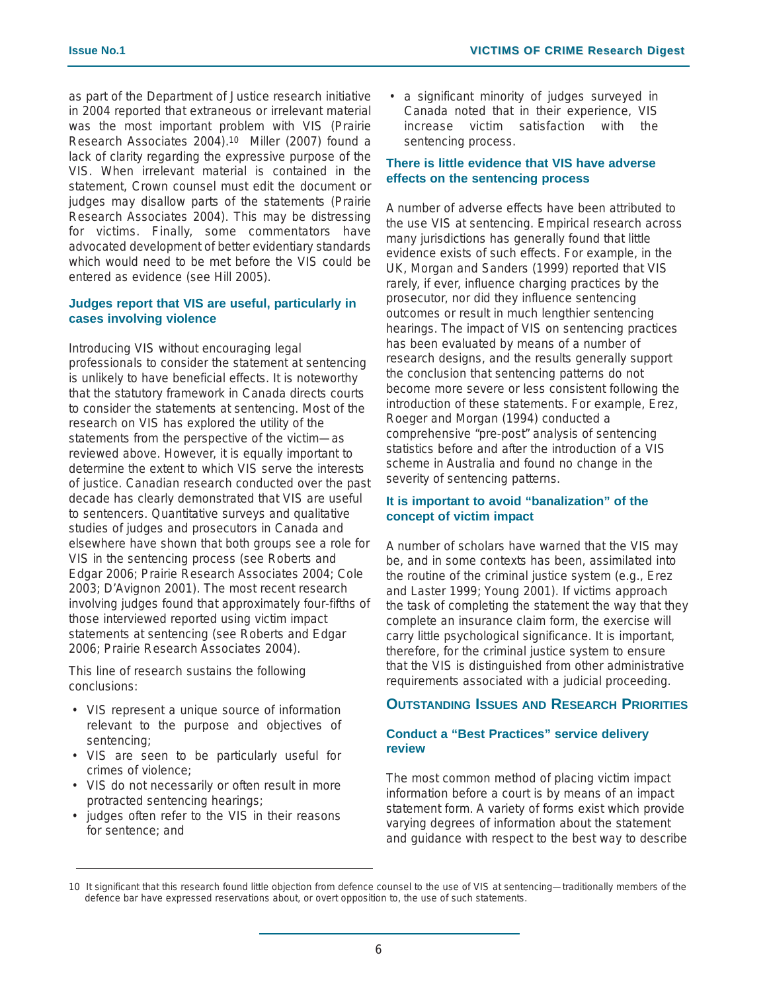as part of the Department of Justice research initiative in 2004 reported that extraneous or irrelevant material was the most important problem with VIS (Prairie Research Associates 2004).10 Miller (2007) found a lack of clarity regarding the expressive purpose of the VIS. When irrelevant material is contained in the statement, Crown counsel must edit the document or judges may disallow parts of the statements (Prairie Research Associates 2004). This may be distressing for victims. Finally, some commentators have advocated development of better evidentiary standards which would need to be met before the VIS could be entered as evidence (see Hill 2005).

### **Judges report that VIS are useful, particularly in cases involving violence**

Introducing VIS without encouraging legal professionals to consider the statement at sentencing is unlikely to have beneficial effects. It is noteworthy that the statutory framework in Canada directs courts to consider the statements at sentencing. Most of the research on VIS has explored the utility of the statements from the perspective of the victim—as reviewed above. However, it is equally important to determine the extent to which VIS serve the interests of justice. Canadian research conducted over the past decade has clearly demonstrated that VIS are useful to sentencers. Quantitative surveys and qualitative studies of judges and prosecutors in Canada and elsewhere have shown that both groups see a role for VIS in the sentencing process (see Roberts and Edgar 2006; Prairie Research Associates 2004; Cole 2003; D'Avignon 2001). The most recent research involving judges found that approximately four-fifths of those interviewed reported using victim impact statements at sentencing (see Roberts and Edgar 2006; Prairie Research Associates 2004).

This line of research sustains the following conclusions:

- VIS represent a unique source of information relevant to the purpose and objectives of sentencing;
- VIS are seen to be particularly useful for crimes of violence;
- VIS do not necessarily or often result in more protracted sentencing hearings;
- judges often refer to the VIS in their reasons for sentence; and

• a significant minority of judges surveyed in Canada noted that in their experience, VIS increase victim satisfaction with the sentencing process.

### **There is little evidence that VIS have adverse effects on the sentencing process**

A number of adverse effects have been attributed to the use VIS at sentencing. Empirical research across many jurisdictions has generally found that little evidence exists of such effects. For example, in the UK, Morgan and Sanders (1999) reported that VIS rarely, if ever, influence charging practices by the prosecutor, nor did they influence sentencing outcomes or result in much lengthier sentencing hearings. The impact of VIS on sentencing practices has been evaluated by means of a number of research designs, and the results generally support the conclusion that sentencing patterns do not become more severe or less consistent following the introduction of these statements. For example, Erez, Roeger and Morgan (1994) conducted a comprehensive "pre-post" analysis of sentencing statistics before and after the introduction of a VIS scheme in Australia and found no change in the severity of sentencing patterns.

### **It is important to avoid "banalization" of the concept of victim impact**

A number of scholars have warned that the VIS may be, and in some contexts has been, assimilated into the routine of the criminal justice system (e.g., Erez and Laster 1999; Young 2001). If victims approach the task of completing the statement the way that they complete an insurance claim form, the exercise will carry little psychological significance. It is important, therefore, for the criminal justice system to ensure that the VIS is distinguished from other administrative requirements associated with a judicial proceeding.

### **OUTSTANDING ISSUES AND RESEARCH PRIORITIES**

### **Conduct a "Best Practices" service delivery review**

The most common method of placing victim impact information before a court is by means of an impact statement form. A variety of forms exist which provide varying degrees of information about the statement and guidance with respect to the best way to describe

<sup>10</sup> It significant that this research found little objection from defence counsel to the use of VIS at sentencing—traditionally members of the defence bar have expressed reservations about, or overt opposition to, the use of such statements.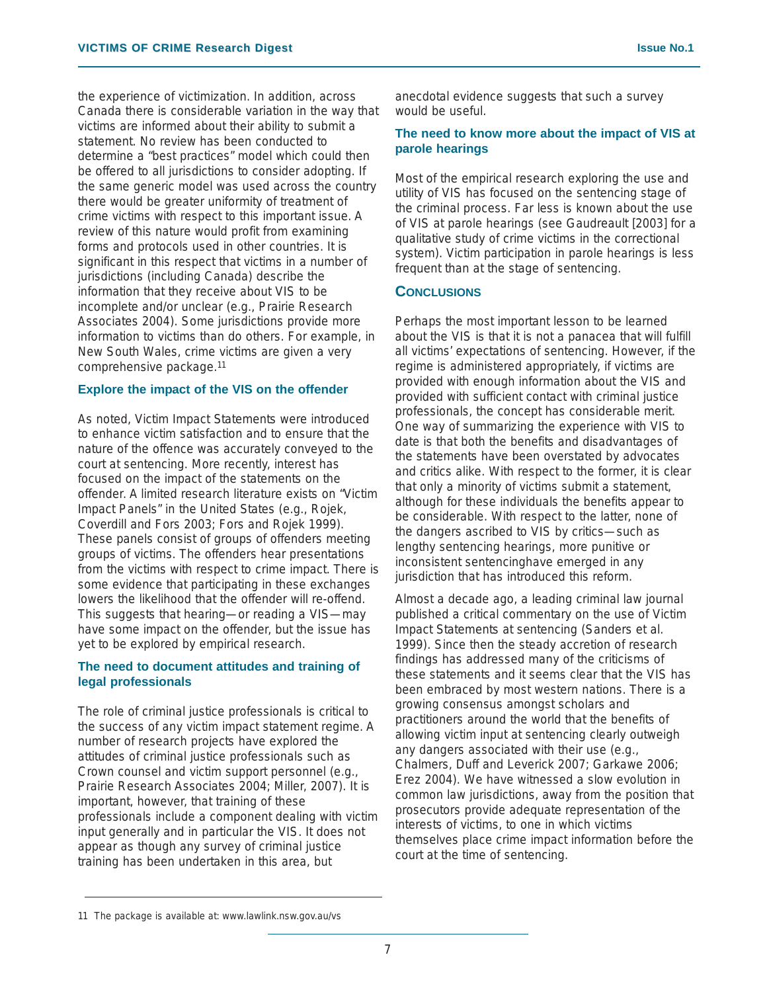the experience of victimization. In addition, across Canada there is considerable variation in the way that victims are informed about their ability to submit a statement. No review has been conducted to determine a "best practices" model which could then be offered to all jurisdictions to consider adopting. If the same generic model was used across the country there would be greater uniformity of treatment of crime victims with respect to this important issue. A review of this nature would profit from examining forms and protocols used in other countries. It is significant in this respect that victims in a number of jurisdictions (including Canada) describe the information that they receive about VIS to be incomplete and/or unclear (e.g., Prairie Research Associates 2004). Some jurisdictions provide more information to victims than do others. For example, in New South Wales, crime victims are given a very comprehensive package.11

### **Explore the impact of the VIS on the offender**

As noted, Victim Impact Statements were introduced to enhance victim satisfaction and to ensure that the nature of the offence was accurately conveyed to the court at sentencing. More recently, interest has focused on the impact of the statements on the offender. A limited research literature exists on "Victim Impact Panels" in the United States (e.g., Rojek, Coverdill and Fors 2003; Fors and Rojek 1999). These panels consist of groups of offenders meeting groups of victims. The offenders hear presentations from the victims with respect to crime impact. There is some evidence that participating in these exchanges lowers the likelihood that the offender will re-offend. This suggests that hearing—or reading a VIS—may have some impact on the offender, but the issue has yet to be explored by empirical research.

### **The need to document attitudes and training of legal professionals**

The role of criminal justice professionals is critical to the success of any victim impact statement regime. A number of research projects have explored the attitudes of criminal justice professionals such as Crown counsel and victim support personnel (e.g., Prairie Research Associates 2004; Miller, 2007). It is important, however, that training of these professionals include a component dealing with victim input generally and in particular the VIS. It does not appear as though any survey of criminal justice training has been undertaken in this area, but

anecdotal evidence suggests that such a survey would be useful.

### **The need to know more about the impact of VIS at parole hearings**

Most of the empirical research exploring the use and utility of VIS has focused on the sentencing stage of the criminal process. Far less is known about the use of VIS at parole hearings (see Gaudreault [2003] for a qualitative study of crime victims in the correctional system). Victim participation in parole hearings is less frequent than at the stage of sentencing.

### **CONCLUSIONS**

Perhaps the most important lesson to be learned about the VIS is that it is not a panacea that will fulfill all victims' expectations of sentencing. However, if the regime is administered appropriately, if victims are provided with enough information about the VIS and provided with sufficient contact with criminal justice professionals, the concept has considerable merit. One way of summarizing the experience with VIS to date is that both the benefits and disadvantages of the statements have been overstated by advocates and critics alike. With respect to the former, it is clear that only a minority of victims submit a statement, although for these individuals the benefits appear to be considerable. With respect to the latter, none of the dangers ascribed to VIS by critics—such as lengthy sentencing hearings, more punitive or inconsistent sentencinghave emerged in any jurisdiction that has introduced this reform.

Almost a decade ago, a leading criminal law journal published a critical commentary on the use of Victim Impact Statements at sentencing (Sanders et al. 1999). Since then the steady accretion of research findings has addressed many of the criticisms of these statements and it seems clear that the VIS has been embraced by most western nations. There is a growing consensus amongst scholars and practitioners around the world that the benefits of allowing victim input at sentencing clearly outweigh any dangers associated with their use (e.g., Chalmers, Duff and Leverick 2007; Garkawe 2006; Erez 2004). We have witnessed a slow evolution in common law jurisdictions, away from the position that prosecutors provide adequate representation of the interests of victims, to one in which victims themselves place crime impact information before the court at the time of sentencing.

<sup>11</sup> The package is available at: www.lawlink.nsw.gov.au/vs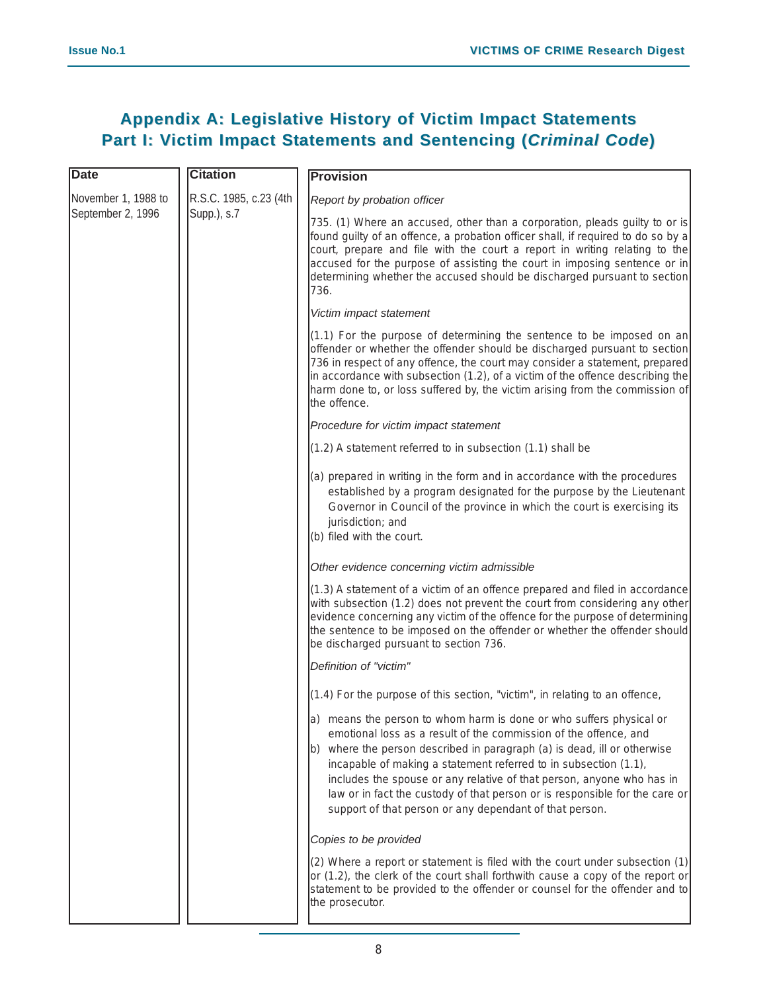### **Appendix A: Legislative History of Victim Impact Statements Part I: Victim Impact Statements and Sentencing (Criminal Code)**

| <b>Date</b>                              | <b>Citation</b>                                 | <b>Provision</b>                                                                                                                                                                                                                                                                                                                                                                                                                                                                                           |
|------------------------------------------|-------------------------------------------------|------------------------------------------------------------------------------------------------------------------------------------------------------------------------------------------------------------------------------------------------------------------------------------------------------------------------------------------------------------------------------------------------------------------------------------------------------------------------------------------------------------|
| November 1, 1988 to<br>September 2, 1996 | R.S.C. 1985, c.23 (4th<br>$\text{Supp.}$ ), s.7 | Report by probation officer                                                                                                                                                                                                                                                                                                                                                                                                                                                                                |
|                                          |                                                 | 735. (1) Where an accused, other than a corporation, pleads guilty to or is<br>found guilty of an offence, a probation officer shall, if required to do so by a<br>court, prepare and file with the court a report in writing relating to the<br>accused for the purpose of assisting the court in imposing sentence or in<br>determining whether the accused should be discharged pursuant to section<br>736.                                                                                             |
|                                          |                                                 | Victim impact statement                                                                                                                                                                                                                                                                                                                                                                                                                                                                                    |
|                                          |                                                 | $(1.1)$ For the purpose of determining the sentence to be imposed on an<br>offender or whether the offender should be discharged pursuant to section<br>736 in respect of any offence, the court may consider a statement, prepared<br>in accordance with subsection (1.2), of a victim of the offence describing the<br>harm done to, or loss suffered by, the victim arising from the commission of<br>the offence.                                                                                      |
|                                          |                                                 | Procedure for victim impact statement                                                                                                                                                                                                                                                                                                                                                                                                                                                                      |
|                                          |                                                 | $(1.2)$ A statement referred to in subsection $(1.1)$ shall be                                                                                                                                                                                                                                                                                                                                                                                                                                             |
|                                          |                                                 | (a) prepared in writing in the form and in accordance with the procedures<br>established by a program designated for the purpose by the Lieutenant<br>Governor in Council of the province in which the court is exercising its<br>jurisdiction; and<br>(b) filed with the court.                                                                                                                                                                                                                           |
|                                          |                                                 | Other evidence concerning victim admissible                                                                                                                                                                                                                                                                                                                                                                                                                                                                |
|                                          |                                                 | $(1.3)$ A statement of a victim of an offence prepared and filed in accordance<br>with subsection (1.2) does not prevent the court from considering any other<br>evidence concerning any victim of the offence for the purpose of determining<br>the sentence to be imposed on the offender or whether the offender should<br>be discharged pursuant to section 736.                                                                                                                                       |
|                                          |                                                 | Definition of "victim"                                                                                                                                                                                                                                                                                                                                                                                                                                                                                     |
|                                          |                                                 | $(1.4)$ For the purpose of this section, "victim", in relating to an offence,                                                                                                                                                                                                                                                                                                                                                                                                                              |
|                                          |                                                 | a) means the person to whom harm is done or who suffers physical or<br>emotional loss as a result of the commission of the offence, and<br>b) where the person described in paragraph (a) is dead, ill or otherwise<br>incapable of making a statement referred to in subsection (1.1),<br>includes the spouse or any relative of that person, anyone who has in<br>law or in fact the custody of that person or is responsible for the care or<br>support of that person or any dependant of that person. |
|                                          |                                                 | Copies to be provided                                                                                                                                                                                                                                                                                                                                                                                                                                                                                      |
|                                          |                                                 | (2) Where a report or statement is filed with the court under subsection (1)<br>or (1.2), the clerk of the court shall forthwith cause a copy of the report or<br>statement to be provided to the offender or counsel for the offender and to<br>the prosecutor.                                                                                                                                                                                                                                           |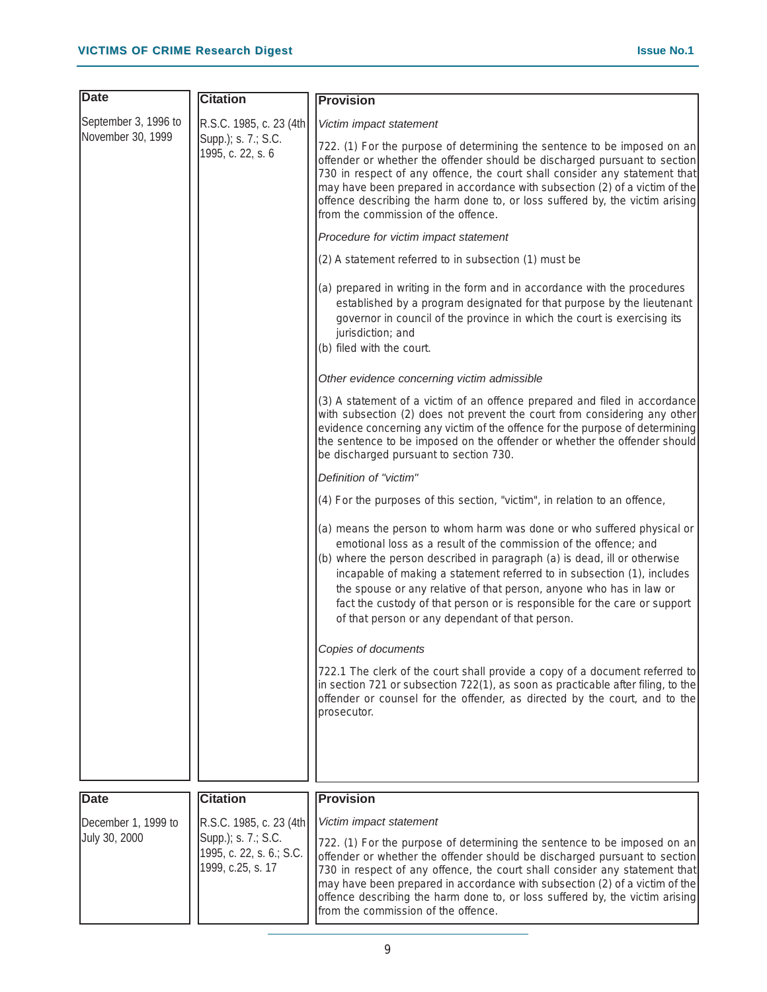| <b>Date</b>                          | <b>Citation</b>                                                                                 | <b>Provision</b>                                                                                                                                                                                                                                                                                                                                                                                                                                                                                          |
|--------------------------------------|-------------------------------------------------------------------------------------------------|-----------------------------------------------------------------------------------------------------------------------------------------------------------------------------------------------------------------------------------------------------------------------------------------------------------------------------------------------------------------------------------------------------------------------------------------------------------------------------------------------------------|
| September 3, 1996 to                 | R.S.C. 1985, c. 23 (4th)                                                                        | Victim impact statement                                                                                                                                                                                                                                                                                                                                                                                                                                                                                   |
| November 30, 1999                    | Supp.); s. 7.; S.C.<br>1995, c. 22, s. 6                                                        | 722. (1) For the purpose of determining the sentence to be imposed on an<br>offender or whether the offender should be discharged pursuant to section<br>730 in respect of any offence, the court shall consider any statement that<br>may have been prepared in accordance with subsection (2) of a victim of the<br>offence describing the harm done to, or loss suffered by, the victim arising<br>from the commission of the offence.                                                                 |
|                                      |                                                                                                 | Procedure for victim impact statement                                                                                                                                                                                                                                                                                                                                                                                                                                                                     |
|                                      |                                                                                                 | (2) A statement referred to in subsection (1) must be                                                                                                                                                                                                                                                                                                                                                                                                                                                     |
|                                      |                                                                                                 | (a) prepared in writing in the form and in accordance with the procedures<br>established by a program designated for that purpose by the lieutenant<br>governor in council of the province in which the court is exercising its<br>jurisdiction; and<br>(b) filed with the court.                                                                                                                                                                                                                         |
|                                      |                                                                                                 | Other evidence concerning victim admissible                                                                                                                                                                                                                                                                                                                                                                                                                                                               |
|                                      |                                                                                                 | (3) A statement of a victim of an offence prepared and filed in accordance<br>with subsection (2) does not prevent the court from considering any other<br>evidence concerning any victim of the offence for the purpose of determining<br>the sentence to be imposed on the offender or whether the offender should<br>be discharged pursuant to section 730.                                                                                                                                            |
|                                      |                                                                                                 | Definition of "victim"                                                                                                                                                                                                                                                                                                                                                                                                                                                                                    |
|                                      |                                                                                                 | (4) For the purposes of this section, "victim", in relation to an offence,                                                                                                                                                                                                                                                                                                                                                                                                                                |
|                                      |                                                                                                 | (a) means the person to whom harm was done or who suffered physical or<br>emotional loss as a result of the commission of the offence; and<br>(b) where the person described in paragraph (a) is dead, ill or otherwise<br>incapable of making a statement referred to in subsection (1), includes<br>the spouse or any relative of that person, anyone who has in law or<br>fact the custody of that person or is responsible for the care or support<br>of that person or any dependant of that person. |
|                                      |                                                                                                 | Copies of documents                                                                                                                                                                                                                                                                                                                                                                                                                                                                                       |
|                                      |                                                                                                 | 722.1 The clerk of the court shall provide a copy of a document referred to<br>in section 721 or subsection 722(1), as soon as practicable after filing, to the<br>offender or counsel for the offender, as directed by the court, and to the<br>prosecutor.                                                                                                                                                                                                                                              |
|                                      |                                                                                                 |                                                                                                                                                                                                                                                                                                                                                                                                                                                                                                           |
|                                      |                                                                                                 |                                                                                                                                                                                                                                                                                                                                                                                                                                                                                                           |
| <b>Date</b>                          | <b>Citation</b>                                                                                 | <b>Provision</b>                                                                                                                                                                                                                                                                                                                                                                                                                                                                                          |
| December 1, 1999 to<br>July 30, 2000 | R.S.C. 1985, c. 23 (4th<br>Supp.); s. 7.; S.C.<br>1995, c. 22, s. 6.; S.C.<br>1999, c.25, s. 17 | Victim impact statement<br>722. (1) For the purpose of determining the sentence to be imposed on an<br>offender or whether the offender should be discharged pursuant to section<br>730 in respect of any offence, the court shall consider any statement that<br>may have been prepared in accordance with subsection (2) of a victim of the<br>offence describing the harm done to, or loss suffered by, the victim arising<br>from the commission of the offence.                                      |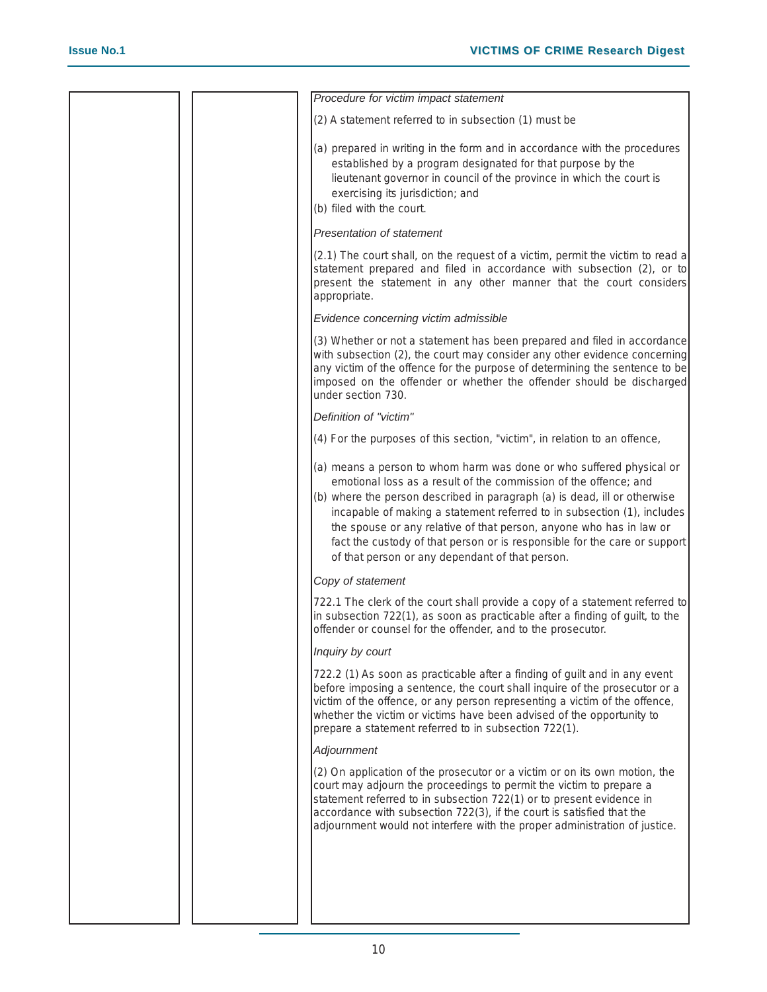|  | Procedure for victim impact statement                                                                                                                                                                                                                                                                                                                                                                                                                                                                   |
|--|---------------------------------------------------------------------------------------------------------------------------------------------------------------------------------------------------------------------------------------------------------------------------------------------------------------------------------------------------------------------------------------------------------------------------------------------------------------------------------------------------------|
|  | (2) A statement referred to in subsection (1) must be                                                                                                                                                                                                                                                                                                                                                                                                                                                   |
|  | (a) prepared in writing in the form and in accordance with the procedures<br>established by a program designated for that purpose by the<br>lieutenant governor in council of the province in which the court is<br>exercising its jurisdiction; and<br>(b) filed with the court.                                                                                                                                                                                                                       |
|  | <b>Presentation of statement</b>                                                                                                                                                                                                                                                                                                                                                                                                                                                                        |
|  | (2.1) The court shall, on the request of a victim, permit the victim to read a<br>statement prepared and filed in accordance with subsection (2), or to<br>present the statement in any other manner that the court considers<br>appropriate.                                                                                                                                                                                                                                                           |
|  | Evidence concerning victim admissible                                                                                                                                                                                                                                                                                                                                                                                                                                                                   |
|  | (3) Whether or not a statement has been prepared and filed in accordance<br>with subsection (2), the court may consider any other evidence concerning<br>any victim of the offence for the purpose of determining the sentence to be<br>imposed on the offender or whether the offender should be discharged<br>under section 730.                                                                                                                                                                      |
|  | Definition of "victim"                                                                                                                                                                                                                                                                                                                                                                                                                                                                                  |
|  | (4) For the purposes of this section, "victim", in relation to an offence,                                                                                                                                                                                                                                                                                                                                                                                                                              |
|  | (a) means a person to whom harm was done or who suffered physical or<br>emotional loss as a result of the commission of the offence; and<br>(b) where the person described in paragraph (a) is dead, ill or otherwise<br>incapable of making a statement referred to in subsection (1), includes<br>the spouse or any relative of that person, anyone who has in law or<br>fact the custody of that person or is responsible for the care or support<br>of that person or any dependant of that person. |
|  | Copy of statement                                                                                                                                                                                                                                                                                                                                                                                                                                                                                       |
|  | 722.1 The clerk of the court shall provide a copy of a statement referred to<br>in subsection 722(1), as soon as practicable after a finding of guilt, to the<br>offender or counsel for the offender, and to the prosecutor.                                                                                                                                                                                                                                                                           |
|  | Inquiry by court                                                                                                                                                                                                                                                                                                                                                                                                                                                                                        |
|  | 722.2 (1) As soon as practicable after a finding of guilt and in any event<br>before imposing a sentence, the court shall inquire of the prosecutor or a<br>victim of the offence, or any person representing a victim of the offence,<br>whether the victim or victims have been advised of the opportunity to<br>prepare a statement referred to in subsection 722(1).                                                                                                                                |
|  | Adjournment                                                                                                                                                                                                                                                                                                                                                                                                                                                                                             |
|  | (2) On application of the prosecutor or a victim or on its own motion, the<br>court may adjourn the proceedings to permit the victim to prepare a<br>statement referred to in subsection 722(1) or to present evidence in<br>accordance with subsection 722(3), if the court is satisfied that the<br>adjournment would not interfere with the proper administration of justice.                                                                                                                        |
|  |                                                                                                                                                                                                                                                                                                                                                                                                                                                                                                         |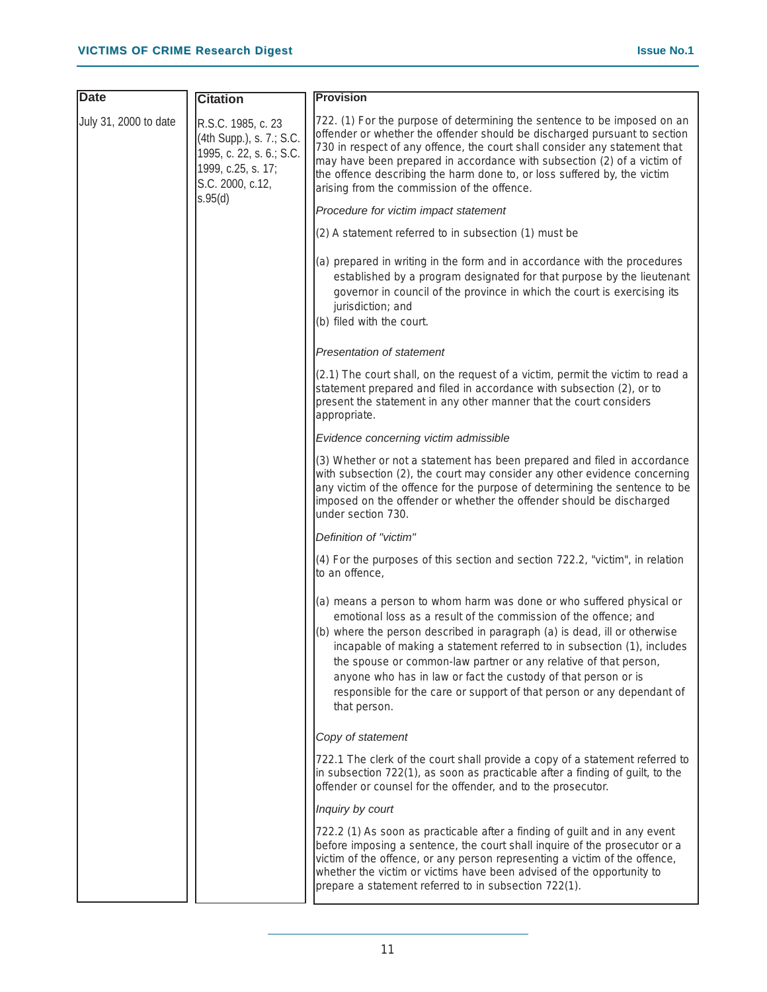| <b>Date</b>           | <b>Citation</b>                                                                                                      | <b>Provision</b>                                                                                                                                                                                                                                                                                                                                                                                                                                                                                                                 |
|-----------------------|----------------------------------------------------------------------------------------------------------------------|----------------------------------------------------------------------------------------------------------------------------------------------------------------------------------------------------------------------------------------------------------------------------------------------------------------------------------------------------------------------------------------------------------------------------------------------------------------------------------------------------------------------------------|
| July 31, 2000 to date | R.S.C. 1985, c. 23<br>(4th Supp.), s. 7.; S.C.<br>1995, c. 22, s. 6.; S.C.<br>1999, c.25, s. 17;<br>S.C. 2000, c.12, | 722. (1) For the purpose of determining the sentence to be imposed on an<br>offender or whether the offender should be discharged pursuant to section<br>730 in respect of any offence, the court shall consider any statement that<br>may have been prepared in accordance with subsection (2) of a victim of<br>the offence describing the harm done to, or loss suffered by, the victim<br>arising from the commission of the offence.                                                                                        |
|                       | s.95(d)                                                                                                              | Procedure for victim impact statement                                                                                                                                                                                                                                                                                                                                                                                                                                                                                            |
|                       |                                                                                                                      | (2) A statement referred to in subsection (1) must be                                                                                                                                                                                                                                                                                                                                                                                                                                                                            |
|                       |                                                                                                                      | (a) prepared in writing in the form and in accordance with the procedures<br>established by a program designated for that purpose by the lieutenant<br>governor in council of the province in which the court is exercising its<br>jurisdiction; and<br>(b) filed with the court.                                                                                                                                                                                                                                                |
|                       |                                                                                                                      | Presentation of statement                                                                                                                                                                                                                                                                                                                                                                                                                                                                                                        |
|                       |                                                                                                                      | (2.1) The court shall, on the request of a victim, permit the victim to read a<br>statement prepared and filed in accordance with subsection (2), or to<br>present the statement in any other manner that the court considers<br>appropriate.                                                                                                                                                                                                                                                                                    |
|                       |                                                                                                                      | Evidence concerning victim admissible                                                                                                                                                                                                                                                                                                                                                                                                                                                                                            |
|                       |                                                                                                                      | (3) Whether or not a statement has been prepared and filed in accordance<br>with subsection (2), the court may consider any other evidence concerning<br>any victim of the offence for the purpose of determining the sentence to be<br>imposed on the offender or whether the offender should be discharged<br>under section 730.                                                                                                                                                                                               |
|                       |                                                                                                                      | Definition of "victim"                                                                                                                                                                                                                                                                                                                                                                                                                                                                                                           |
|                       |                                                                                                                      | (4) For the purposes of this section and section 722.2, "victim", in relation<br>to an offence,                                                                                                                                                                                                                                                                                                                                                                                                                                  |
|                       |                                                                                                                      | (a) means a person to whom harm was done or who suffered physical or<br>emotional loss as a result of the commission of the offence; and<br>(b) where the person described in paragraph (a) is dead, ill or otherwise<br>incapable of making a statement referred to in subsection (1), includes<br>the spouse or common-law partner or any relative of that person,<br>anyone who has in law or fact the custody of that person or is<br>responsible for the care or support of that person or any dependant of<br>that person. |
|                       |                                                                                                                      | Copy of statement                                                                                                                                                                                                                                                                                                                                                                                                                                                                                                                |
|                       |                                                                                                                      | 722.1 The clerk of the court shall provide a copy of a statement referred to<br>in subsection 722(1), as soon as practicable after a finding of guilt, to the<br>offender or counsel for the offender, and to the prosecutor.                                                                                                                                                                                                                                                                                                    |
|                       |                                                                                                                      | Inquiry by court                                                                                                                                                                                                                                                                                                                                                                                                                                                                                                                 |
|                       |                                                                                                                      | 722.2 (1) As soon as practicable after a finding of guilt and in any event<br>before imposing a sentence, the court shall inquire of the prosecutor or a<br>victim of the offence, or any person representing a victim of the offence,<br>whether the victim or victims have been advised of the opportunity to<br>prepare a statement referred to in subsection 722(1).                                                                                                                                                         |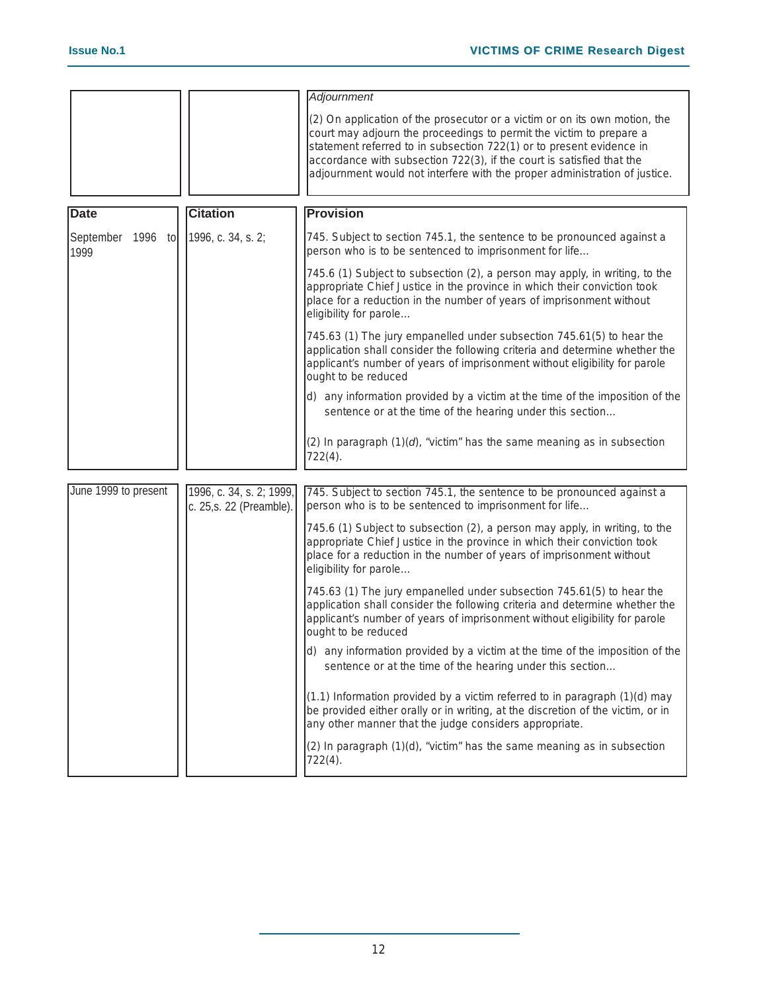|                                              |                                                      | <b>Adjournment</b>                                                                                                                                                                                                                                                                                                                                                               |
|----------------------------------------------|------------------------------------------------------|----------------------------------------------------------------------------------------------------------------------------------------------------------------------------------------------------------------------------------------------------------------------------------------------------------------------------------------------------------------------------------|
|                                              |                                                      | (2) On application of the prosecutor or a victim or on its own motion, the<br>court may adjourn the proceedings to permit the victim to prepare a<br>statement referred to in subsection 722(1) or to present evidence in<br>accordance with subsection 722(3), if the court is satisfied that the<br>adjournment would not interfere with the proper administration of justice. |
|                                              |                                                      |                                                                                                                                                                                                                                                                                                                                                                                  |
| <b>Date</b>                                  | <b>Citation</b>                                      | <b>Provision</b>                                                                                                                                                                                                                                                                                                                                                                 |
| September 1996 to 1996, c. 34, s. 2;<br>1999 |                                                      | 745. Subject to section 745.1, the sentence to be pronounced against a<br>person who is to be sentenced to imprisonment for life                                                                                                                                                                                                                                                 |
|                                              |                                                      | 745.6 (1) Subject to subsection (2), a person may apply, in writing, to the<br>appropriate Chief Justice in the province in which their conviction took<br>place for a reduction in the number of years of imprisonment without<br>eligibility for parole                                                                                                                        |
|                                              |                                                      | 745.63 (1) The jury empanelled under subsection 745.61(5) to hear the<br>application shall consider the following criteria and determine whether the<br>applicant's number of years of imprisonment without eligibility for parole<br>ought to be reduced                                                                                                                        |
|                                              |                                                      | d) any information provided by a victim at the time of the imposition of the<br>sentence or at the time of the hearing under this section                                                                                                                                                                                                                                        |
|                                              |                                                      | (2) In paragraph (1)(d), "victim" has the same meaning as in subsection<br>722(4).                                                                                                                                                                                                                                                                                               |
|                                              |                                                      |                                                                                                                                                                                                                                                                                                                                                                                  |
| June 1999 to present                         | 1996, c. 34, s. 2; 1999,<br>c. 25, s. 22 (Preamble). | 745. Subject to section 745.1, the sentence to be pronounced against a<br>person who is to be sentenced to imprisonment for life                                                                                                                                                                                                                                                 |
|                                              |                                                      | 745.6 (1) Subject to subsection (2), a person may apply, in writing, to the<br>appropriate Chief Justice in the province in which their conviction took<br>place for a reduction in the number of years of imprisonment without<br>eligibility for parole                                                                                                                        |
|                                              |                                                      | 745.63 (1) The jury empanelled under subsection 745.61(5) to hear the<br>application shall consider the following criteria and determine whether the<br>applicant's number of years of imprisonment without eligibility for parole<br>ought to be reduced                                                                                                                        |
|                                              |                                                      | d) any information provided by a victim at the time of the imposition of the<br>sentence or at the time of the hearing under this section                                                                                                                                                                                                                                        |
|                                              |                                                      | $(1.1)$ Information provided by a victim referred to in paragraph $(1)(d)$ may<br>be provided either orally or in writing, at the discretion of the victim, or in<br>any other manner that the judge considers appropriate.                                                                                                                                                      |
|                                              |                                                      | (2) In paragraph (1)(d), "victim" has the same meaning as in subsection<br>722(4).                                                                                                                                                                                                                                                                                               |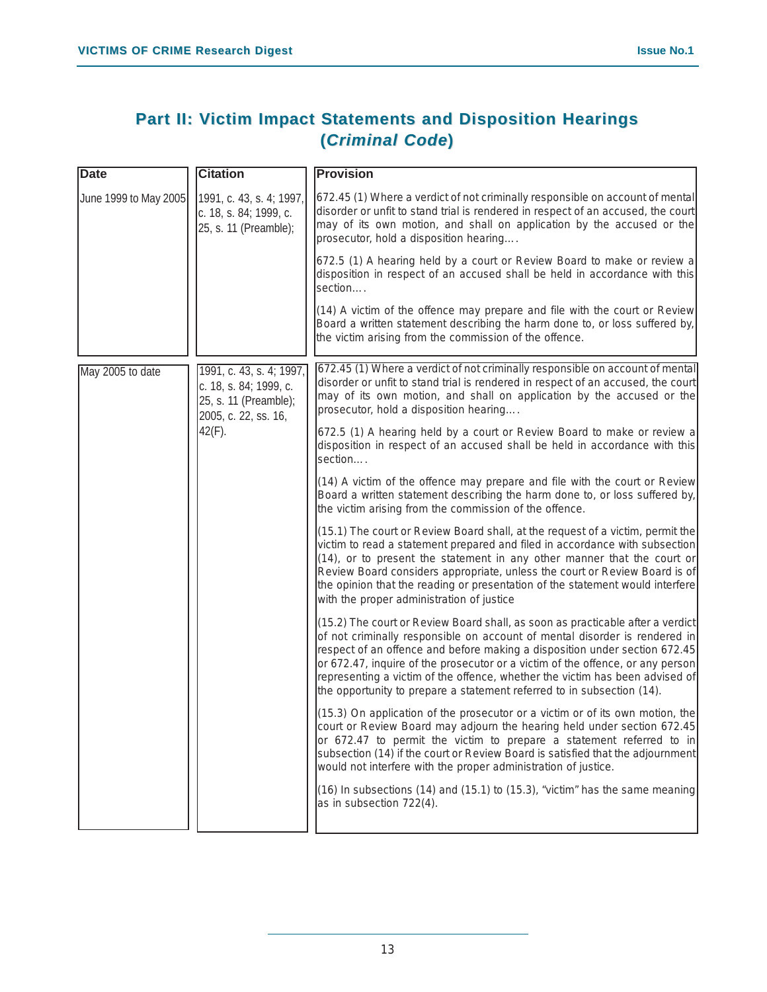### **Part II: Victim Impact Statements and Disposition Hearings (***Criminal Code***)**

| <b>Date</b>           | <b>Citation</b>                                                                                                  | <b>Provision</b>                                                                                                                                                                                                                                                                                                                                                                                                                                                                       |
|-----------------------|------------------------------------------------------------------------------------------------------------------|----------------------------------------------------------------------------------------------------------------------------------------------------------------------------------------------------------------------------------------------------------------------------------------------------------------------------------------------------------------------------------------------------------------------------------------------------------------------------------------|
| June 1999 to May 2005 | [1991, c. 43, s. 4; 1997,]<br>c. 18, s. 84; 1999, c.<br>25, s. 11 (Preamble);                                    | 672.45 (1) Where a verdict of not criminally responsible on account of mental<br>disorder or unfit to stand trial is rendered in respect of an accused, the court<br>may of its own motion, and shall on application by the accused or the<br>prosecutor, hold a disposition hearing                                                                                                                                                                                                   |
|                       |                                                                                                                  | 672.5 (1) A hearing held by a court or Review Board to make or review a<br>disposition in respect of an accused shall be held in accordance with this<br>section                                                                                                                                                                                                                                                                                                                       |
|                       |                                                                                                                  | (14) A victim of the offence may prepare and file with the court or Review<br>Board a written statement describing the harm done to, or loss suffered by,<br>the victim arising from the commission of the offence.                                                                                                                                                                                                                                                                    |
| May 2005 to date      | 1991, c. 43, s. 4; 1997,<br>c. 18, s. 84; 1999, c.<br>25, s. 11 (Preamble);<br>2005, c. 22, ss. 16,<br>$42(F)$ . | 672.45 (1) Where a verdict of not criminally responsible on account of mental<br>disorder or unfit to stand trial is rendered in respect of an accused, the court<br>may of its own motion, and shall on application by the accused or the<br>prosecutor, hold a disposition hearing                                                                                                                                                                                                   |
|                       |                                                                                                                  | 672.5 (1) A hearing held by a court or Review Board to make or review a<br>disposition in respect of an accused shall be held in accordance with this<br>section                                                                                                                                                                                                                                                                                                                       |
|                       |                                                                                                                  | (14) A victim of the offence may prepare and file with the court or Review<br>Board a written statement describing the harm done to, or loss suffered by,<br>the victim arising from the commission of the offence.                                                                                                                                                                                                                                                                    |
|                       |                                                                                                                  | (15.1) The court or Review Board shall, at the request of a victim, permit the<br>victim to read a statement prepared and filed in accordance with subsection<br>$(14)$ , or to present the statement in any other manner that the court or<br>Review Board considers appropriate, unless the court or Review Board is of<br>the opinion that the reading or presentation of the statement would interfere<br>with the proper administration of justice                                |
|                       |                                                                                                                  | (15.2) The court or Review Board shall, as soon as practicable after a verdict<br>of not criminally responsible on account of mental disorder is rendered in<br>respect of an offence and before making a disposition under section 672.45<br>or 672.47, inquire of the prosecutor or a victim of the offence, or any person<br>representing a victim of the offence, whether the victim has been advised of<br>the opportunity to prepare a statement referred to in subsection (14). |
|                       |                                                                                                                  | $(15.3)$ On application of the prosecutor or a victim or of its own motion, the<br>court or Review Board may adjourn the hearing held under section 672.45<br>or 672.47 to permit the victim to prepare a statement referred to in<br>subsection (14) if the court or Review Board is satisfied that the adjournment<br>would not interfere with the proper administration of justice.                                                                                                 |
|                       |                                                                                                                  | (16) In subsections (14) and (15.1) to (15.3), "victim" has the same meaning<br>as in subsection 722(4).                                                                                                                                                                                                                                                                                                                                                                               |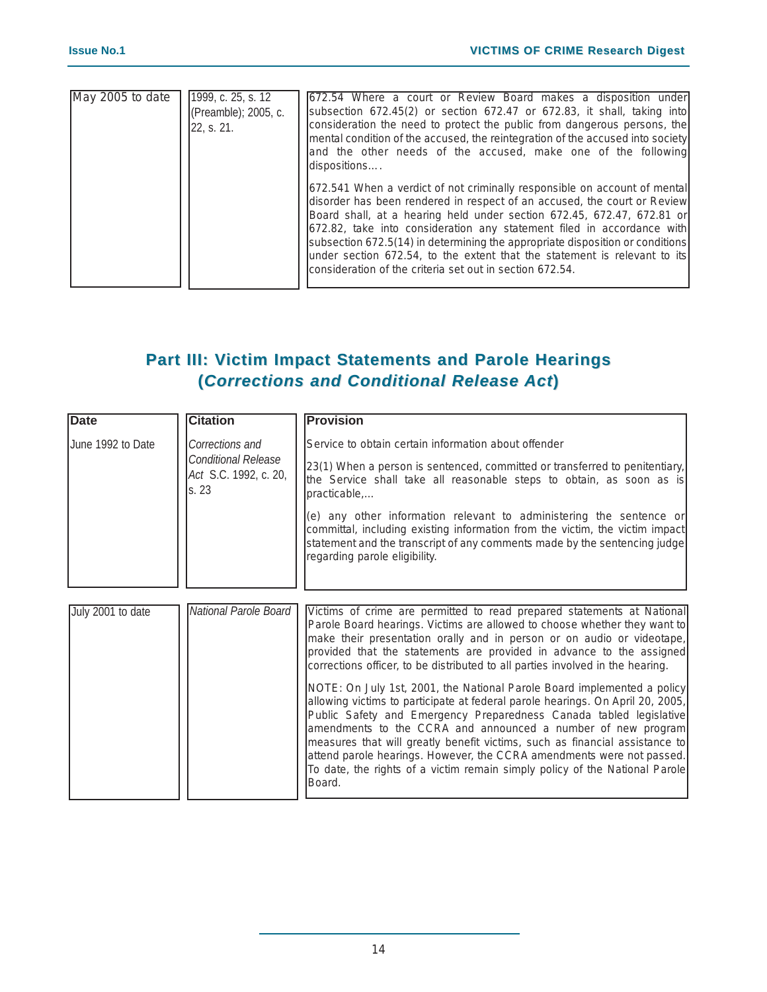| $\overline{\text{May}}$ 2005 to date | 1999, c. $25$ , s. $12$<br>(Preamble); 2005, c.<br>22. s. 21. | [672.54 Where a court or Review Board makes a disposition under<br>subsection 672.45(2) or section 672.47 or 672.83, it shall, taking into<br>consideration the need to protect the public from dangerous persons, the<br>mental condition of the accused, the reintegration of the accused into society<br>and the other needs of the accused, make one of the following<br>dispositions                                                                                                                                              |
|--------------------------------------|---------------------------------------------------------------|----------------------------------------------------------------------------------------------------------------------------------------------------------------------------------------------------------------------------------------------------------------------------------------------------------------------------------------------------------------------------------------------------------------------------------------------------------------------------------------------------------------------------------------|
|                                      |                                                               | [672.541 When a verdict of not criminally responsible on account of mental]<br>disorder has been rendered in respect of an accused, the court or Review<br>Board shall, at a hearing held under section 672.45, 672.47, 672.81 or<br>672.82, take into consideration any statement filed in accordance with<br>subsection 672.5(14) in determining the appropriate disposition or conditions<br>under section 672.54, to the extent that the statement is relevant to its<br>Iconsideration of the criteria set out in section 672.54. |

### **Part III: Victim Impact Statements and Parole Hearings (***Corrections ectionsand Conditional Conditional Release Release Act***)**

| <b>Date</b>                                                                  | <b>Citation</b>       | <b>Provision</b>                                                                                                                                                                                                                                                                                                                                                                                                                                                                                                                                 |
|------------------------------------------------------------------------------|-----------------------|--------------------------------------------------------------------------------------------------------------------------------------------------------------------------------------------------------------------------------------------------------------------------------------------------------------------------------------------------------------------------------------------------------------------------------------------------------------------------------------------------------------------------------------------------|
| June 1992 to Date<br>Corrections and<br><b>Conditional Release</b><br>ls. 23 |                       | Service to obtain certain information about offender                                                                                                                                                                                                                                                                                                                                                                                                                                                                                             |
|                                                                              | Act S.C. 1992, c. 20, | [23(1) When a person is sentenced, committed or transferred to penitentiary,<br>the Service shall take all reasonable steps to obtain, as soon as is<br>practicable                                                                                                                                                                                                                                                                                                                                                                              |
|                                                                              |                       | (e) any other information relevant to administering the sentence or<br>committal, including existing information from the victim, the victim impact<br>statement and the transcript of any comments made by the sentencing judge<br>regarding parole eligibility.                                                                                                                                                                                                                                                                                |
|                                                                              |                       |                                                                                                                                                                                                                                                                                                                                                                                                                                                                                                                                                  |
|                                                                              |                       |                                                                                                                                                                                                                                                                                                                                                                                                                                                                                                                                                  |
| July 2001 to date                                                            | National Parole Board | Victims of crime are permitted to read prepared statements at National<br>Parole Board hearings. Victims are allowed to choose whether they want to<br>make their presentation orally and in person or on audio or videotape,<br>provided that the statements are provided in advance to the assigned<br>corrections officer, to be distributed to all parties involved in the hearing.                                                                                                                                                          |
|                                                                              |                       | NOTE: On July 1st, 2001, the National Parole Board implemented a policy<br>allowing victims to participate at federal parole hearings. On April 20, 2005,<br>Public Safety and Emergency Preparedness Canada tabled legislative<br>amendments to the CCRA and announced a number of new program<br>measures that will greatly benefit victims, such as financial assistance to<br>attend parole hearings. However, the CCRA amendments were not passed.<br>To date, the rights of a victim remain simply policy of the National Parole<br>Board. |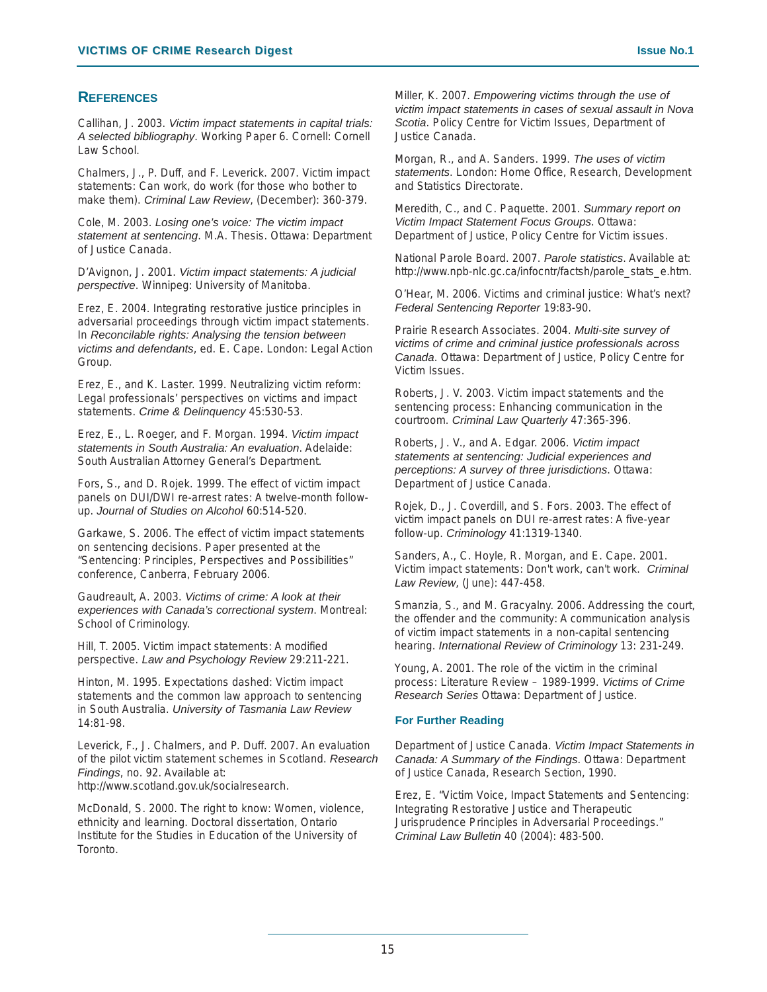### **REFERENCES**

Callihan, J. 2003. *Victim impact statements in capital trials: A selected bibliography*. Working Paper 6. Cornell: Cornell Law School.

Chalmers, J., P. Duff, and F. Leverick. 2007. Victim impact statements: Can work, do work (for those who bother to make them). *Criminal Law Review*, (December): 360-379.

Cole, M. 2003. *Losing one's voice: The victim impact statement at sentencing*. M.A. Thesis. Ottawa: Department of Justice Canada.

D'Avignon, J. 2001. *Victim impact statements: A judicial perspective*. Winnipeg: University of Manitoba.

Erez, E. 2004. Integrating restorative justice principles in adversarial proceedings through victim impact statements. In *Reconcilable rights: Analysing the tension between victims and defendants*, ed. E. Cape. London: Legal Action Group.

Erez, E., and K. Laster. 1999. Neutralizing victim reform: Legal professionals' perspectives on victims and impact statements. *Crime & Delinquency* 45:530-53.

Erez, E., L. Roeger, and F. Morgan. 1994. *Victim impact statements in South Australia: An evaluation*. Adelaide: South Australian Attorney General's Department.

Fors, S., and D. Rojek. 1999. The effect of victim impact panels on DUI/DWI re-arrest rates: A twelve-month followup. *Journal of Studies on Alcohol* 60:514-520.

Garkawe, S. 2006. The effect of victim impact statements on sentencing decisions. Paper presented at the "Sentencing: Principles, Perspectives and Possibilities" conference, Canberra, February 2006.

Gaudreault, A. 2003. *Victims of crime: A look at their experiences with Canada's correctional system*. Montreal: School of Criminology.

Hill, T. 2005. Victim impact statements: A modified perspective. *Law and Psychology Review* 29:211-221.

Hinton, M. 1995. Expectations dashed: Victim impact statements and the common law approach to sentencing in South Australia. *University of Tasmania Law Review* 14:81-98.

Leverick, F., J. Chalmers, and P. Duff. 2007. An evaluation of the pilot victim statement schemes in Scotland. *Research Findings*, no. 92. Available at: http://www.scotland.gov.uk/socialresearch.

McDonald, S. 2000. The right to know: Women, violence, ethnicity and learning. Doctoral dissertation, Ontario Institute for the Studies in Education of the University of Toronto.

Miller, K. 2007. *Empowering victims through the use of victim impact statements in cases of sexual assault in Nova Scotia*. Policy Centre for Victim Issues, Department of Justice Canada.

Morgan, R., and A. Sanders. 1999. *The uses of victim statements*. London: Home Office, Research, Development and Statistics Directorate.

Meredith, C., and C. Paquette. 2001. *Summary report on Victim Impact Statement Focus Groups*. Ottawa: Department of Justice, Policy Centre for Victim issues.

National Parole Board. 2007. *Parole statistics*. Available at: http://www.npb-nlc.gc.ca/infocntr/factsh/parole\_stats\_e.htm.

O'Hear, M. 2006. Victims and criminal justice: What's next? *Federal Sentencing Reporter* 19:83-90.

Prairie Research Associates. 2004. *Multi-site survey of victims of crime and criminal justice professionals across Canada*. Ottawa: Department of Justice, Policy Centre for Victim Issues.

Roberts, J. V. 2003. Victim impact statements and the sentencing process: Enhancing communication in the courtroom. *Criminal Law Quarterly* 47:365-396.

Roberts, J. V., and A. Edgar. 2006. *Victim impact statements at sentencing: Judicial experiences and perceptions: A survey of three jurisdictions*. Ottawa: Department of Justice Canada.

Rojek, D., J. Coverdill, and S. Fors. 2003. The effect of victim impact panels on DUI re-arrest rates: A five-year follow-up. *Criminology* 41:1319-1340.

Sanders, A., C. Hoyle, R. Morgan, and E. Cape. 2001. Victim impact statements: Don't work, can't work. *Criminal Law Review*, (June): 447-458.

Smanzia, S., and M. Gracyalny. 2006. Addressing the court, the offender and the community: A communication analysis of victim impact statements in a non-capital sentencing hearing. *International Review of Criminology* 13: 231-249.

Young, A. 2001. The role of the victim in the criminal process: Literature Review – 1989-1999. *Victims of Crime Research Series* Ottawa: Department of Justice.

#### **For Further Reading**

Department of Justice Canada. *Victim Impact Statements in Canada: A Summary of the Findings*. Ottawa: Department of Justice Canada, Research Section, 1990.

Erez, E. "Victim Voice, Impact Statements and Sentencing: Integrating Restorative Justice and Therapeutic Jurisprudence Principles in Adversarial Proceedings." *Criminal Law Bulletin* 40 (2004): 483-500.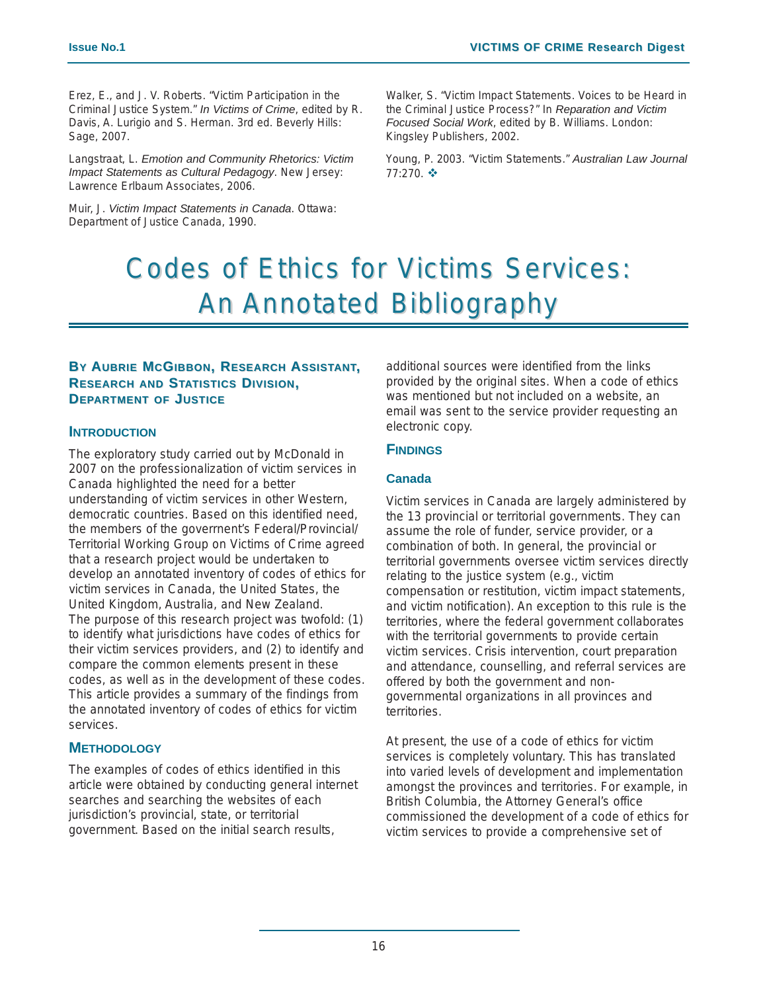Erez, E., and J. V. Roberts. "Victim Participation in the Criminal Justice System." *In Victims of Crime*, edited by R. Davis, A. Lurigio and S. Herman. 3rd ed. Beverly Hills: Sage, 2007.

Langstraat, L. *Emotion and Community Rhetorics: Victim Impact Statements as Cultural Pedagogy*. New Jersey: Lawrence Erlbaum Associates, 2006.

Muir, J. *Victim Impact Statements in Canada*. Ottawa: Department of Justice Canada, 1990.

Walker, S. "Victim Impact Statements. Voices to be Heard in the Criminal Justice Process?" In *Reparation and Victim Focused Social Work*, edited by B. Williams. London: Kingsley Publishers, 2002.

Young, P. 2003. "Victim Statements." *Australian Law Journal* 77:270. ❖

# Codes of Ethics for Victims Services: **An Annotated Bibliography**

### **BY AUBRIE MCGIBBON, RESEARCH ASSISTANT, RESEARCH AND STATISTICS DIVISION, DEPARTMENT OF JUSTICE**

### **INTRODUCTION**

The exploratory study carried out by McDonald in 2007 on the professionalization of victim services in Canada highlighted the need for a better understanding of victim services in other Western, democratic countries. Based on this identified need, the members of the goverrnent's Federal/Provincial/ Territorial Working Group on Victims of Crime agreed that a research project would be undertaken to develop an annotated inventory of codes of ethics for victim services in Canada, the United States, the United Kingdom, Australia, and New Zealand. The purpose of this research project was twofold: (1) to identify what jurisdictions have codes of ethics for their victim services providers, and (2) to identify and compare the common elements present in these codes, as well as in the development of these codes. This article provides a summary of the findings from the annotated inventory of codes of ethics for victim services.

### **METHODOLOGY**

The examples of codes of ethics identified in this article were obtained by conducting general internet searches and searching the websites of each jurisdiction's provincial, state, or territorial government. Based on the initial search results,

additional sources were identified from the links provided by the original sites. When a code of ethics was mentioned but not included on a website, an email was sent to the service provider requesting an electronic copy.

### **FINDINGS**

### **Canada**

Victim services in Canada are largely administered by the 13 provincial or territorial governments. They can assume the role of funder, service provider, or a combination of both. In general, the provincial or territorial governments oversee victim services directly relating to the justice system (e.g., victim compensation or restitution, victim impact statements, and victim notification). An exception to this rule is the territories, where the federal government collaborates with the territorial governments to provide certain victim services. Crisis intervention, court preparation and attendance, counselling, and referral services are offered by both the government and nongovernmental organizations in all provinces and territories.

At present, the use of a code of ethics for victim services is completely voluntary. This has translated into varied levels of development and implementation amongst the provinces and territories. For example, in British Columbia, the Attorney General's office commissioned the development of a code of ethics for victim services to provide a comprehensive set of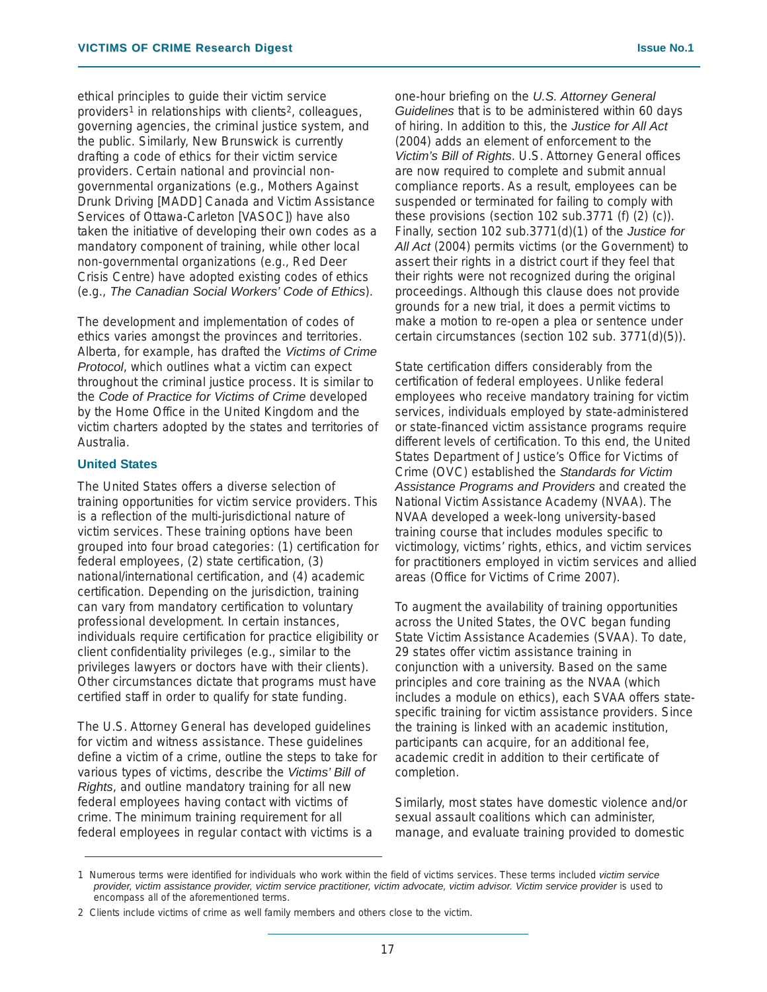ethical principles to guide their victim service providers1 in relationships with clients2, colleagues, governing agencies, the criminal justice system, and the public. Similarly, New Brunswick is currently drafting a code of ethics for their victim service providers. Certain national and provincial nongovernmental organizations (e.g., Mothers Against Drunk Driving [MADD] Canada and Victim Assistance Services of Ottawa-Carleton [VASOC]) have also taken the initiative of developing their own codes as a mandatory component of training, while other local non-governmental organizations (e.g., Red Deer Crisis Centre) have adopted existing codes of ethics (e.g., *The Canadian Social Workers' Code of Ethics*).

The development and implementation of codes of ethics varies amongst the provinces and territories. Alberta, for example, has drafted the *Victims of Crime Protocol*, which outlines what a victim can expect throughout the criminal justice process. It is similar to the *Code of Practice for Victims of Crime* developed by the Home Office in the United Kingdom and the victim charters adopted by the states and territories of Australia.

### **United States**

The United States offers a diverse selection of training opportunities for victim service providers. This is a reflection of the multi-jurisdictional nature of victim services. These training options have been grouped into four broad categories: (1) certification for federal employees, (2) state certification, (3) national/international certification, and (4) academic certification. Depending on the jurisdiction, training can vary from mandatory certification to voluntary professional development. In certain instances, individuals require certification for practice eligibility or client confidentiality privileges (e.g., similar to the privileges lawyers or doctors have with their clients). Other circumstances dictate that programs must have certified staff in order to qualify for state funding.

The U.S. Attorney General has developed guidelines for victim and witness assistance. These guidelines define a victim of a crime, outline the steps to take for various types of victims, describe the *Victims' Bill of Rights*, and outline mandatory training for all new federal employees having contact with victims of crime. The minimum training requirement for all federal employees in regular contact with victims is a

one-hour briefing on the *U.S. Attorney General Guidelines* that is to be administered within 60 days of hiring. In addition to this, the *Justice for All Act* (2004) adds an element of enforcement to the *Victim's Bill of Rights*. U.S. Attorney General offices are now required to complete and submit annual compliance reports. As a result, employees can be suspended or terminated for failing to comply with these provisions (section 102 sub.3771 (f) (2) (c)). Finally, section 102 sub.3771(d)(1) of the *Justice for All Act* (2004) permits victims (or the Government) to assert their rights in a district court if they feel that their rights were not recognized during the original proceedings. Although this clause does not provide grounds for a new trial, it does a permit victims to make a motion to re-open a plea or sentence under certain circumstances (section 102 sub. 3771(d)(5)).

State certification differs considerably from the certification of federal employees. Unlike federal employees who receive mandatory training for victim services, individuals employed by state-administered or state-financed victim assistance programs require different levels of certification. To this end, the United States Department of Justice's Office for Victims of Crime (OVC) established the *Standards for Victim Assistance Programs and Providers* and created the National Victim Assistance Academy (NVAA). The NVAA developed a week-long university-based training course that includes modules specific to victimology, victims' rights, ethics, and victim services for practitioners employed in victim services and allied areas (Office for Victims of Crime 2007).

To augment the availability of training opportunities across the United States, the OVC began funding State Victim Assistance Academies (SVAA). To date, 29 states offer victim assistance training in conjunction with a university. Based on the same principles and core training as the NVAA (which includes a module on ethics), each SVAA offers statespecific training for victim assistance providers. Since the training is linked with an academic institution, participants can acquire, for an additional fee, academic credit in addition to their certificate of completion.

Similarly, most states have domestic violence and/or sexual assault coalitions which can administer, manage, and evaluate training provided to domestic

<sup>1</sup> Numerous terms were identified for individuals who work within the field of victims services. These terms included *victim service* provider, victim assistance provider, victim service practitioner, victim advocate, victim advisor. Victim service provider is used to encompass all of the aforementioned terms.

<sup>2</sup> Clients include victims of crime as well family members and others close to the victim.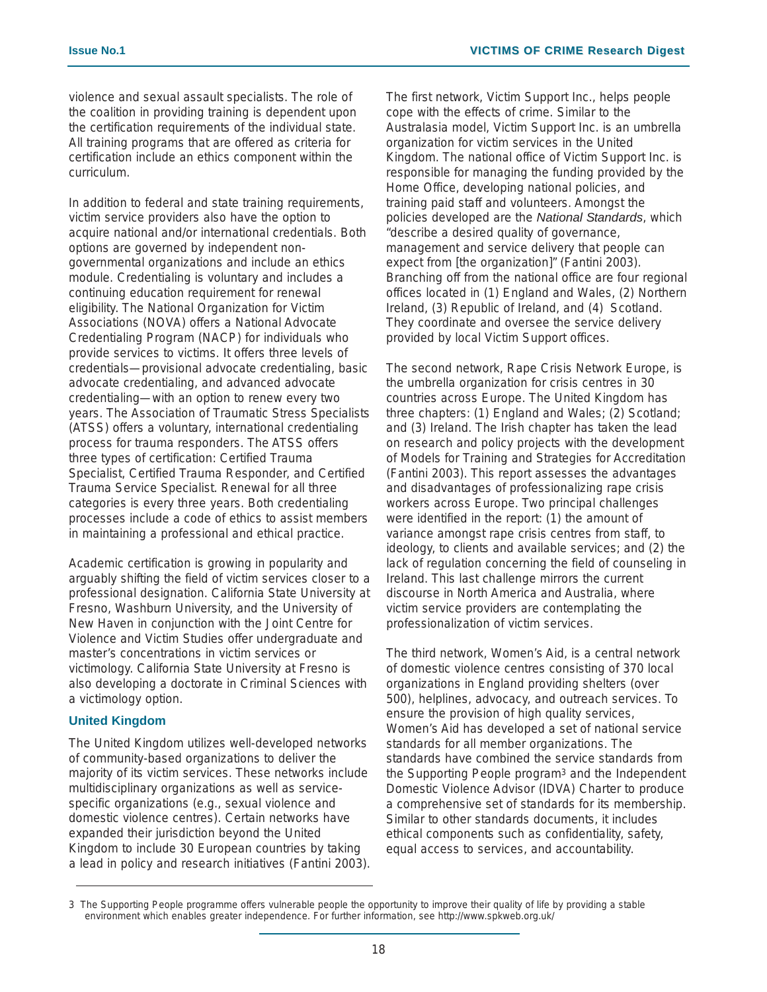violence and sexual assault specialists. The role of the coalition in providing training is dependent upon the certification requirements of the individual state. All training programs that are offered as criteria for certification include an ethics component within the curriculum.

In addition to federal and state training requirements, victim service providers also have the option to acquire national and/or international credentials. Both options are governed by independent nongovernmental organizations and include an ethics module. Credentialing is voluntary and includes a continuing education requirement for renewal eligibility. The National Organization for Victim Associations (NOVA) offers a National Advocate Credentialing Program (NACP) for individuals who provide services to victims. It offers three levels of credentials—provisional advocate credentialing, basic advocate credentialing, and advanced advocate credentialing—with an option to renew every two years. The Association of Traumatic Stress Specialists (ATSS) offers a voluntary, international credentialing process for trauma responders. The ATSS offers three types of certification: Certified Trauma Specialist, Certified Trauma Responder, and Certified Trauma Service Specialist. Renewal for all three categories is every three years. Both credentialing processes include a code of ethics to assist members in maintaining a professional and ethical practice.

Academic certification is growing in popularity and arguably shifting the field of victim services closer to a professional designation. California State University at Fresno, Washburn University, and the University of New Haven in conjunction with the Joint Centre for Violence and Victim Studies offer undergraduate and master's concentrations in victim services or victimology. California State University at Fresno is also developing a doctorate in Criminal Sciences with a victimology option.

### **United Kingdom**

The United Kingdom utilizes well-developed networks of community-based organizations to deliver the majority of its victim services. These networks include multidisciplinary organizations as well as servicespecific organizations (e.g., sexual violence and domestic violence centres). Certain networks have expanded their jurisdiction beyond the United Kingdom to include 30 European countries by taking a lead in policy and research initiatives (Fantini 2003). The first network, Victim Support Inc., helps people cope with the effects of crime. Similar to the Australasia model, Victim Support Inc. is an umbrella organization for victim services in the United Kingdom. The national office of Victim Support Inc. is responsible for managing the funding provided by the Home Office, developing national policies, and training paid staff and volunteers. Amongst the policies developed are the *National Standards*, which "describe a desired quality of governance, management and service delivery that people can expect from [the organization]" (Fantini 2003). Branching off from the national office are four regional offices located in (1) England and Wales, (2) Northern Ireland, (3) Republic of Ireland, and (4) Scotland. They coordinate and oversee the service delivery provided by local Victim Support offices.

The second network, Rape Crisis Network Europe, is the umbrella organization for crisis centres in 30 countries across Europe. The United Kingdom has three chapters: (1) England and Wales; (2) Scotland; and (3) Ireland. The Irish chapter has taken the lead on research and policy projects with the development of Models for Training and Strategies for Accreditation (Fantini 2003). This report assesses the advantages and disadvantages of professionalizing rape crisis workers across Europe. Two principal challenges were identified in the report: (1) the amount of variance amongst rape crisis centres from staff, to ideology, to clients and available services; and (2) the lack of regulation concerning the field of counseling in Ireland. This last challenge mirrors the current discourse in North America and Australia, where victim service providers are contemplating the professionalization of victim services.

The third network, Women's Aid, is a central network of domestic violence centres consisting of 370 local organizations in England providing shelters (over 500), helplines, advocacy, and outreach services. To ensure the provision of high quality services, Women's Aid has developed a set of national service standards for all member organizations. The standards have combined the service standards from the Supporting People program3 and the Independent Domestic Violence Advisor (IDVA) Charter to produce a comprehensive set of standards for its membership. Similar to other standards documents, it includes ethical components such as confidentiality, safety, equal access to services, and accountability.

<sup>3</sup> The Supporting People programme offers vulnerable people the opportunity to improve their quality of life by providing a stable environment which enables greater independence. For further information, see http://www.spkweb.org.uk/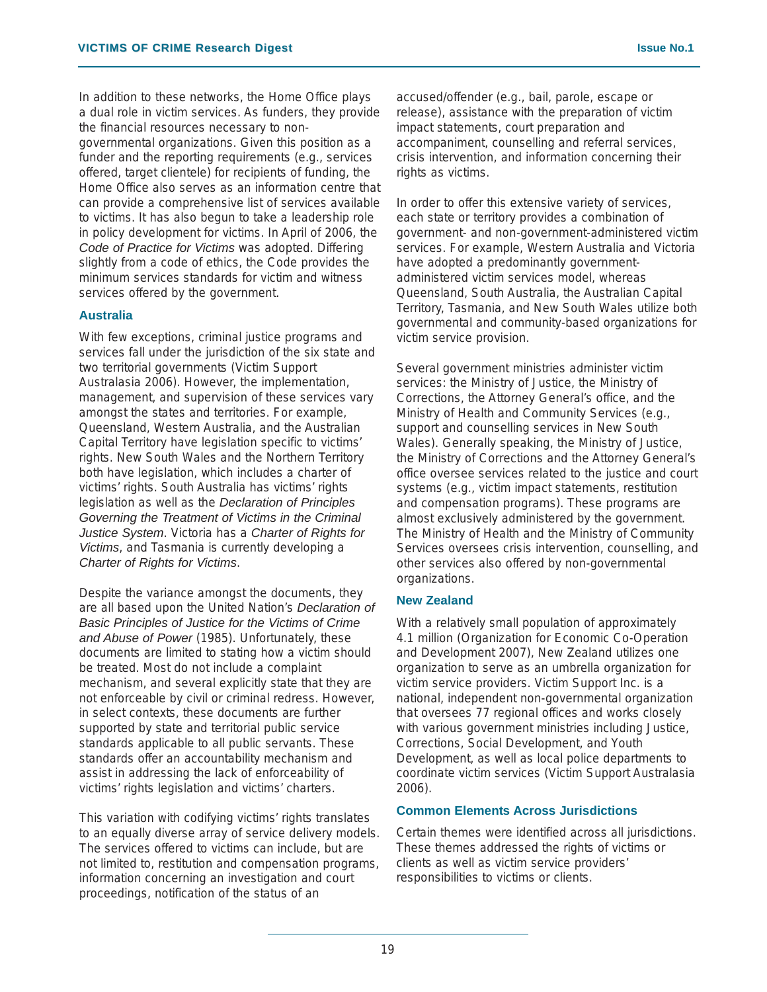In addition to these networks, the Home Office plays a dual role in victim services. As funders, they provide the financial resources necessary to nongovernmental organizations. Given this position as a funder and the reporting requirements (e.g., services offered, target clientele) for recipients of funding, the Home Office also serves as an information centre that can provide a comprehensive list of services available to victims. It has also begun to take a leadership role in policy development for victims. In April of 2006, the *Code of Practice for Victims* was adopted. Differing slightly from a code of ethics, the Code provides the minimum services standards for victim and witness services offered by the government.

### **Australia**

With few exceptions, criminal justice programs and services fall under the jurisdiction of the six state and two territorial governments (Victim Support Australasia 2006). However, the implementation, management, and supervision of these services vary amongst the states and territories. For example, Queensland, Western Australia, and the Australian Capital Territory have legislation specific to victims' rights. New South Wales and the Northern Territory both have legislation, which includes a charter of victims' rights. South Australia has victims' rights legislation as well as the *Declaration of Principles Governing the Treatment of Victims in the Criminal Justice System*. Victoria has a *Charter of Rights for Victims*, and Tasmania is currently developing a *Charter of Rights for Victims*.

Despite the variance amongst the documents, they are all based upon the United Nation's *Declaration of Basic Principles of Justice for the Victims of Crime and Abuse of Power* (1985). Unfortunately, these documents are limited to stating how a victim should be treated. Most do not include a complaint mechanism, and several explicitly state that they are not enforceable by civil or criminal redress. However, in select contexts, these documents are further supported by state and territorial public service standards applicable to all public servants. These standards offer an accountability mechanism and assist in addressing the lack of enforceability of victims' rights legislation and victims' charters.

This variation with codifying victims' rights translates to an equally diverse array of service delivery models. The services offered to victims can include, but are not limited to, restitution and compensation programs, information concerning an investigation and court proceedings, notification of the status of an

accused/offender (e.g., bail, parole, escape or release), assistance with the preparation of victim impact statements, court preparation and accompaniment, counselling and referral services, crisis intervention, and information concerning their rights as victims.

In order to offer this extensive variety of services, each state or territory provides a combination of government- and non-government-administered victim services. For example, Western Australia and Victoria have adopted a predominantly governmentadministered victim services model, whereas Queensland, South Australia, the Australian Capital Territory, Tasmania, and New South Wales utilize both governmental and community-based organizations for victim service provision.

Several government ministries administer victim services: the Ministry of Justice, the Ministry of Corrections, the Attorney General's office, and the Ministry of Health and Community Services (e.g., support and counselling services in New South Wales). Generally speaking, the Ministry of Justice, the Ministry of Corrections and the Attorney General's office oversee services related to the justice and court systems (e.g., victim impact statements, restitution and compensation programs). These programs are almost exclusively administered by the government. The Ministry of Health and the Ministry of Community Services oversees crisis intervention, counselling, and other services also offered by non-governmental organizations.

### **New Zealand**

With a relatively small population of approximately 4.1 million (Organization for Economic Co-Operation and Development 2007), New Zealand utilizes one organization to serve as an umbrella organization for victim service providers. Victim Support Inc. is a national, independent non-governmental organization that oversees 77 regional offices and works closely with various government ministries including Justice, Corrections, Social Development, and Youth Development, as well as local police departments to coordinate victim services (Victim Support Australasia 2006).

#### **Common Elements Across Jurisdictions**

Certain themes were identified across all jurisdictions. These themes addressed the rights of victims or clients as well as victim service providers' responsibilities to victims or clients.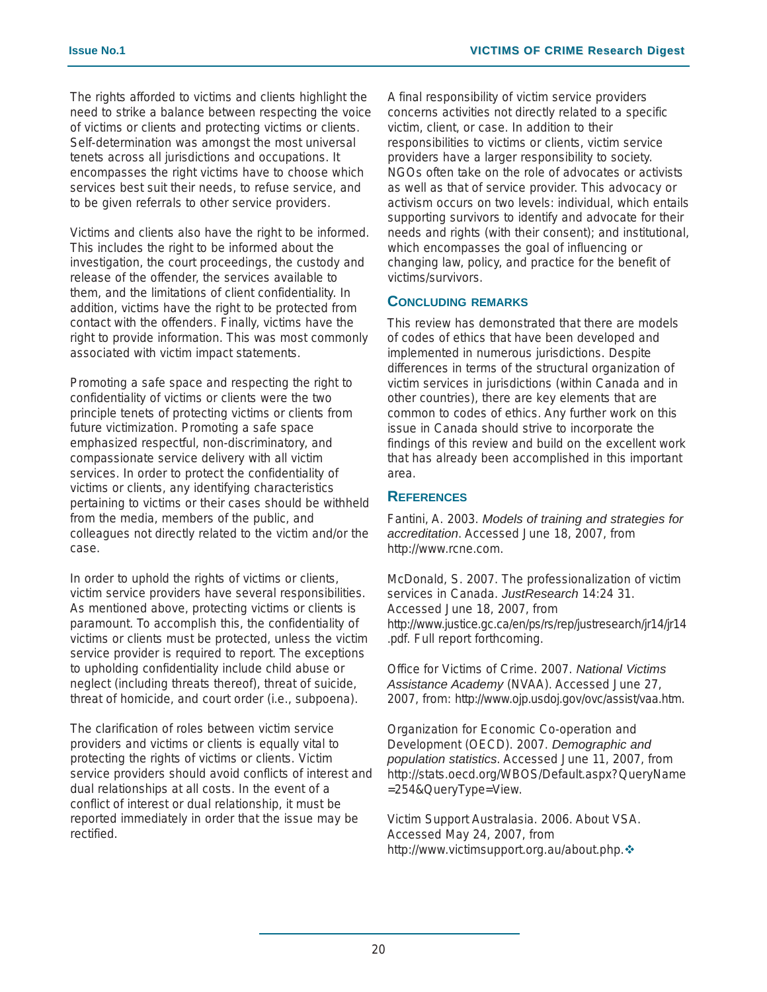The rights afforded to victims and clients highlight the need to strike a balance between respecting the voice of victims or clients and protecting victims or clients. Self-determination was amongst the most universal tenets across all jurisdictions and occupations. It encompasses the right victims have to choose which services best suit their needs, to refuse service, and to be given referrals to other service providers.

Victims and clients also have the right to be informed. This includes the right to be informed about the investigation, the court proceedings, the custody and release of the offender, the services available to them, and the limitations of client confidentiality. In addition, victims have the right to be protected from contact with the offenders. Finally, victims have the right to provide information. This was most commonly associated with victim impact statements.

Promoting a safe space and respecting the right to confidentiality of victims or clients were the two principle tenets of protecting victims or clients from future victimization. Promoting a safe space emphasized respectful, non-discriminatory, and compassionate service delivery with all victim services. In order to protect the confidentiality of victims or clients, any identifying characteristics pertaining to victims or their cases should be withheld from the media, members of the public, and colleagues not directly related to the victim and/or the case.

In order to uphold the rights of victims or clients, victim service providers have several responsibilities. As mentioned above, protecting victims or clients is paramount. To accomplish this, the confidentiality of victims or clients must be protected, unless the victim service provider is required to report. The exceptions to upholding confidentiality include child abuse or neglect (including threats thereof), threat of suicide, threat of homicide, and court order (i.e., subpoena).

The clarification of roles between victim service providers and victims or clients is equally vital to protecting the rights of victims or clients. Victim service providers should avoid conflicts of interest and dual relationships at all costs. In the event of a conflict of interest or dual relationship, it must be reported immediately in order that the issue may be rectified.

A final responsibility of victim service providers concerns activities not directly related to a specific victim, client, or case. In addition to their responsibilities to victims or clients, victim service providers have a larger responsibility to society. NGOs often take on the role of advocates or activists as well as that of service provider. This advocacy or activism occurs on two levels: individual, which entails supporting survivors to identify and advocate for their needs and rights (with their consent); and institutional, which encompasses the goal of influencing or changing law, policy, and practice for the benefit of victims/survivors.

### **CONCLUDING REMARKS**

This review has demonstrated that there are models of codes of ethics that have been developed and implemented in numerous jurisdictions. Despite differences in terms of the structural organization of victim services in jurisdictions (within Canada and in other countries), there are key elements that are common to codes of ethics. Any further work on this issue in Canada should strive to incorporate the findings of this review and build on the excellent work that has already been accomplished in this important area.

### **REFERENCES**

Fantini, A. 2003. *Models of training and strategies for accreditation*. Accessed June 18, 2007, from http://www.rcne.com.

McDonald, S. 2007. The professionalization of victim services in Canada. *JustResearch* 14:24 31. Accessed June 18, 2007, from http://www.justice.gc.ca/en/ps/rs/rep/justresearch/jr14/jr14 .pdf. Full report forthcoming.

Office for Victims of Crime. 2007. *National Victims Assistance Academy* (NVAA). Accessed June 27, 2007, from: http://www.ojp.usdoj.gov/ovc/assist/vaa.htm.

Organization for Economic Co-operation and Development (OECD). 2007. *Demographic and population statistics*. Accessed June 11, 2007, from http://stats.oecd.org/WBOS/Default.aspx?QueryName =254&QueryType=View.

Victim Support Australasia. 2006. About VSA. Accessed May 24, 2007, from http://www.victimsupport.org.au/about.php.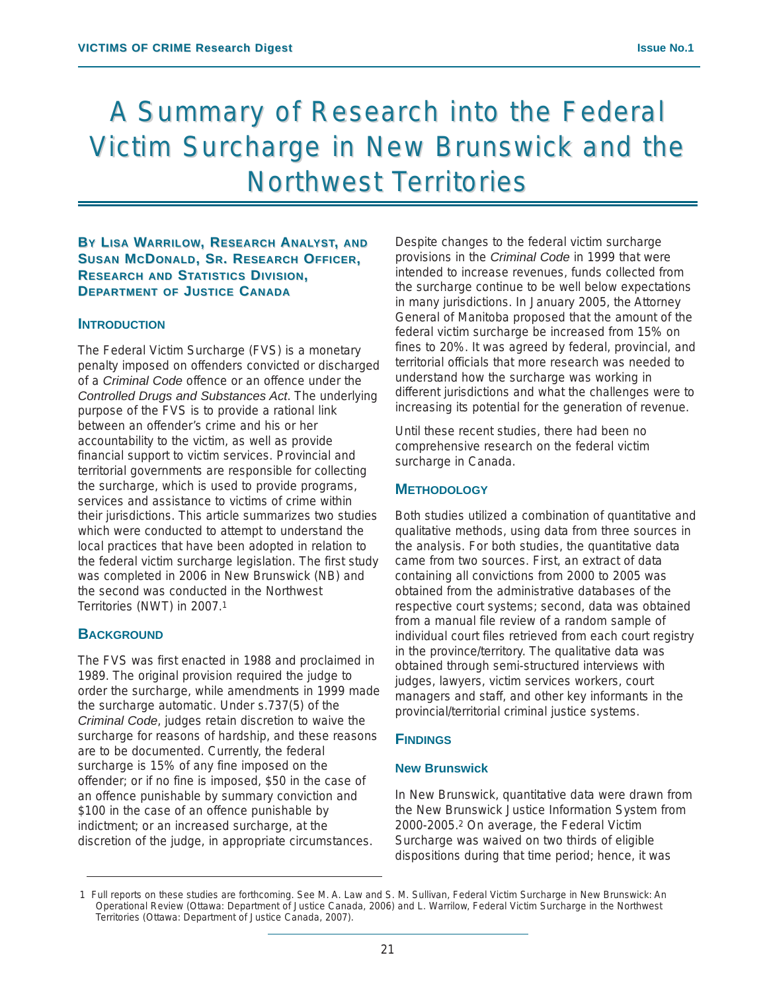# A Summary of Research into the Federal Victim Surcharge in New Brunswick and the **Northwest Territories**

**BY LISA WARRILOW, RESEARCH ANALYST, AND SUSAN MCDONALD, SR. RESEARCH OFFICER, RESEARCH AND STATISTICS DIVISION, DEPARTMENT OF JUSTICE CANADA**

### **INTRODUCTION**

The Federal Victim Surcharge (FVS) is a monetary penalty imposed on offenders convicted or discharged of a *Criminal Code* offence or an offence under the *Controlled Drugs and Substances Act*. The underlying purpose of the FVS is to provide a rational link between an offender's crime and his or her accountability to the victim, as well as provide financial support to victim services. Provincial and territorial governments are responsible for collecting the surcharge, which is used to provide programs, services and assistance to victims of crime within their jurisdictions. This article summarizes two studies which were conducted to attempt to understand the local practices that have been adopted in relation to the federal victim surcharge legislation. The first study was completed in 2006 in New Brunswick (NB) and the second was conducted in the Northwest Territories (NWT) in 2007.1

### **BACKGROUND**

The FVS was first enacted in 1988 and proclaimed in 1989. The original provision required the judge to order the surcharge, while amendments in 1999 made the surcharge automatic. Under s.737(5) of the *Criminal Code*, judges retain discretion to waive the surcharge for reasons of hardship, and these reasons are to be documented. Currently, the federal surcharge is 15% of any fine imposed on the offender; or if no fine is imposed, \$50 in the case of an offence punishable by summary conviction and \$100 in the case of an offence punishable by indictment; or an increased surcharge, at the discretion of the judge, in appropriate circumstances.

Despite changes to the federal victim surcharge provisions in the *Criminal Code* in 1999 that were intended to increase revenues, funds collected from the surcharge continue to be well below expectations in many jurisdictions. In January 2005, the Attorney General of Manitoba proposed that the amount of the federal victim surcharge be increased from 15% on fines to 20%. It was agreed by federal, provincial, and territorial officials that more research was needed to understand how the surcharge was working in different jurisdictions and what the challenges were to increasing its potential for the generation of revenue.

Until these recent studies, there had been no comprehensive research on the federal victim surcharge in Canada.

### **METHODOLOGY**

Both studies utilized a combination of quantitative and qualitative methods, using data from three sources in the analysis. For both studies, the quantitative data came from two sources. First, an extract of data containing all convictions from 2000 to 2005 was obtained from the administrative databases of the respective court systems; second, data was obtained from a manual file review of a random sample of individual court files retrieved from each court registry in the province/territory. The qualitative data was obtained through semi-structured interviews with judges, lawyers, victim services workers, court managers and staff, and other key informants in the provincial/territorial criminal justice systems.

### **FINDINGS**

#### **New Brunswick**

In New Brunswick, quantitative data were drawn from the New Brunswick Justice Information System from 2000-2005.2 On average, the Federal Victim Surcharge was waived on two thirds of eligible dispositions during that time period; hence, it was

<sup>1</sup> Full reports on these studies are forthcoming. See M. A. Law and S. M. Sullivan, Federal Victim Surcharge in New Brunswick: An Operational Review (Ottawa: Department of Justice Canada, 2006) and L. Warrilow, Federal Victim Surcharge in the Northwest Territories (Ottawa: Department of Justice Canada, 2007).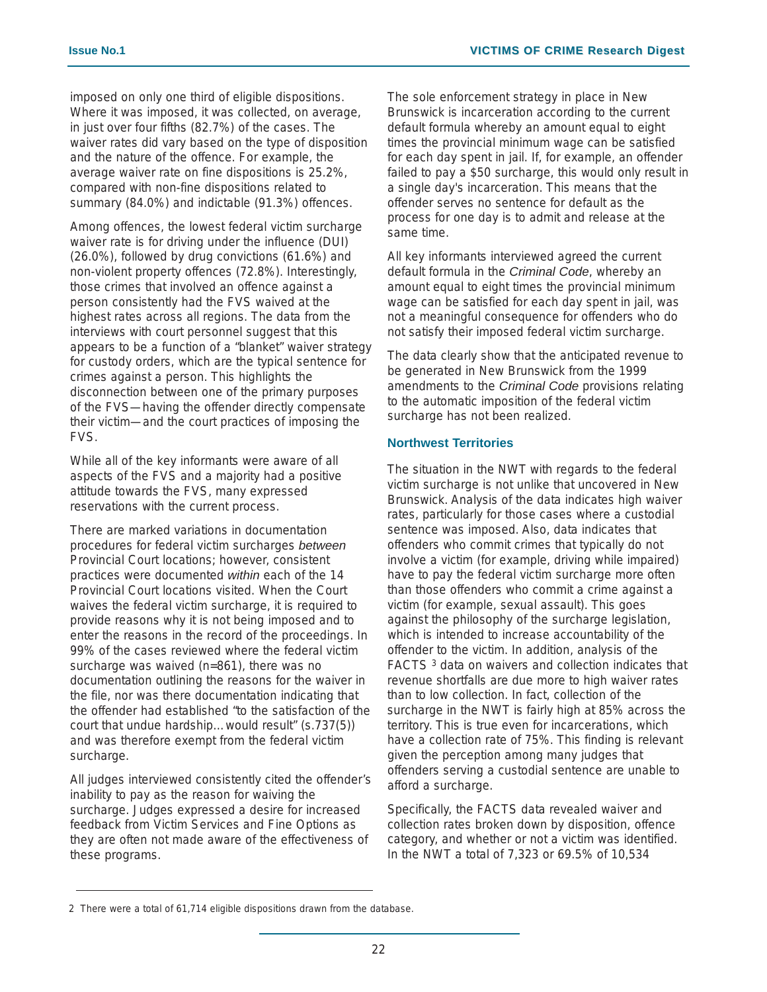imposed on only one third of eligible dispositions. Where it was imposed, it was collected, on average, in just over four fifths (82.7%) of the cases. The waiver rates did vary based on the type of disposition and the nature of the offence. For example, the average waiver rate on fine dispositions is 25.2%, compared with non-fine dispositions related to summary (84.0%) and indictable (91.3%) offences.

Among offences, the lowest federal victim surcharge waiver rate is for driving under the influence (DUI) (26.0%), followed by drug convictions (61.6%) and non-violent property offences (72.8%). Interestingly, those crimes that involved an offence against a person consistently had the FVS waived at the highest rates across all regions. The data from the interviews with court personnel suggest that this appears to be a function of a "blanket" waiver strategy for custody orders, which are the typical sentence for crimes against a person. This highlights the disconnection between one of the primary purposes of the FVS—having the offender directly compensate their victim—and the court practices of imposing the FVS.

While all of the key informants were aware of all aspects of the FVS and a majority had a positive attitude towards the FVS, many expressed reservations with the current process.

There are marked variations in documentation procedures for federal victim surcharges *between* Provincial Court locations; however, consistent practices were documented *within* each of the 14 Provincial Court locations visited. When the Court waives the federal victim surcharge, it is required to provide reasons why it is not being imposed and to enter the reasons in the record of the proceedings. In 99% of the cases reviewed where the federal victim surcharge was waived (n=861), there was no documentation outlining the reasons for the waiver in the file, nor was there documentation indicating that the offender had established "to the satisfaction of the court that undue hardship…would result" (s.737(5)) and was therefore exempt from the federal victim surcharge.

All judges interviewed consistently cited the offender's inability to pay as the reason for waiving the surcharge. Judges expressed a desire for increased feedback from Victim Services and Fine Options as they are often not made aware of the effectiveness of these programs.

The sole enforcement strategy in place in New Brunswick is incarceration according to the current default formula whereby an amount equal to eight times the provincial minimum wage can be satisfied for each day spent in jail. If, for example, an offender failed to pay a \$50 surcharge, this would only result in a single day's incarceration. This means that the offender serves no sentence for default as the process for one day is to admit and release at the same time.

All key informants interviewed agreed the current default formula in the *Criminal Code*, whereby an amount equal to eight times the provincial minimum wage can be satisfied for each day spent in jail, was not a meaningful consequence for offenders who do not satisfy their imposed federal victim surcharge.

The data clearly show that the anticipated revenue to be generated in New Brunswick from the 1999 amendments to the *Criminal Code* provisions relating to the automatic imposition of the federal victim surcharge has not been realized.

### **Northwest Territories**

The situation in the NWT with regards to the federal victim surcharge is not unlike that uncovered in New Brunswick. Analysis of the data indicates high waiver rates, particularly for those cases where a custodial sentence was imposed. Also, data indicates that offenders who commit crimes that typically do not involve a victim (for example, driving while impaired) have to pay the federal victim surcharge more often than those offenders who commit a crime against a victim (for example, sexual assault). This goes against the philosophy of the surcharge legislation, which is intended to increase accountability of the offender to the victim. In addition, analysis of the FACTS <sup>3</sup> data on waivers and collection indicates that revenue shortfalls are due more to high waiver rates than to low collection. In fact, collection of the surcharge in the NWT is fairly high at 85% across the territory. This is true even for incarcerations, which have a collection rate of 75%. This finding is relevant given the perception among many judges that offenders serving a custodial sentence are unable to afford a surcharge.

Specifically, the FACTS data revealed waiver and collection rates broken down by disposition, offence category, and whether or not a victim was identified. In the NWT a total of 7,323 or 69.5% of 10,534

<sup>2</sup> There were a total of 61,714 eligible dispositions drawn from the database.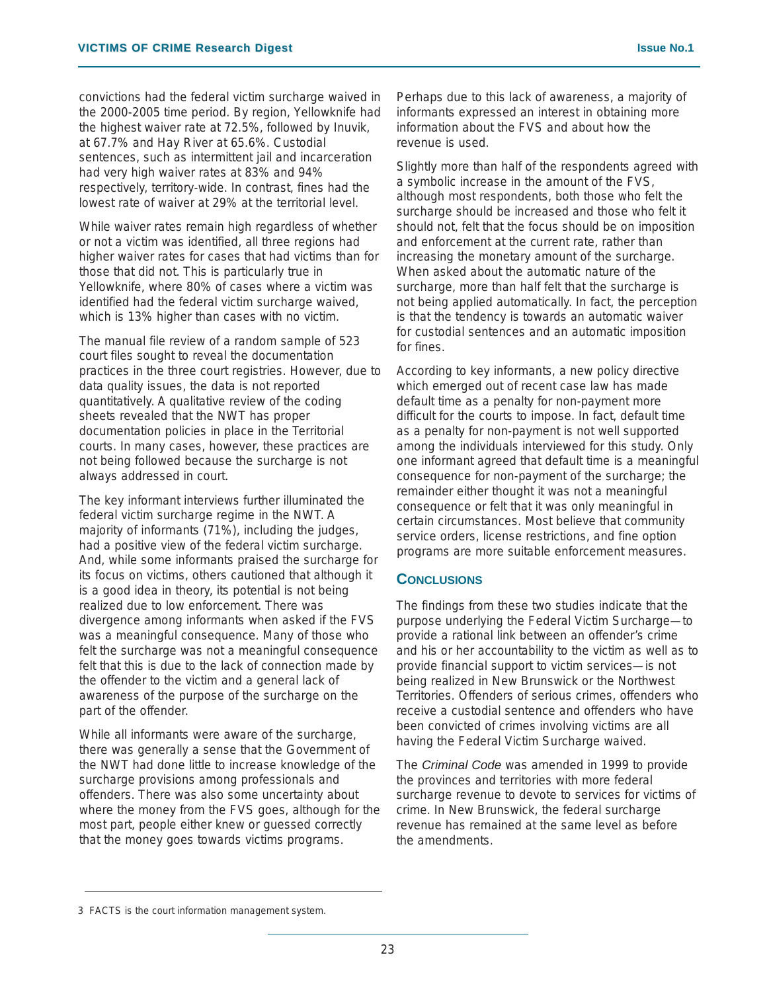convictions had the federal victim surcharge waived in the 2000-2005 time period. By region, Yellowknife had the highest waiver rate at 72.5%, followed by Inuvik, at 67.7% and Hay River at 65.6%. Custodial sentences, such as intermittent jail and incarceration had very high waiver rates at 83% and 94% respectively, territory-wide. In contrast, fines had the lowest rate of waiver at 29% at the territorial level.

While waiver rates remain high regardless of whether or not a victim was identified, all three regions had higher waiver rates for cases that had victims than for those that did not. This is particularly true in Yellowknife, where 80% of cases where a victim was identified had the federal victim surcharge waived, which is 13% higher than cases with no victim.

The manual file review of a random sample of 523 court files sought to reveal the documentation practices in the three court registries. However, due to data quality issues, the data is not reported quantitatively. A qualitative review of the coding sheets revealed that the NWT has proper documentation policies in place in the Territorial courts. In many cases, however, these practices are not being followed because the surcharge is not always addressed in court.

The key informant interviews further illuminated the federal victim surcharge regime in the NWT. A majority of informants (71%), including the judges, had a positive view of the federal victim surcharge. And, while some informants praised the surcharge for its focus on victims, others cautioned that although it is a good idea in theory, its potential is not being realized due to low enforcement. There was divergence among informants when asked if the FVS was a meaningful consequence. Many of those who felt the surcharge was not a meaningful consequence felt that this is due to the lack of connection made by the offender to the victim and a general lack of awareness of the purpose of the surcharge on the part of the offender.

While all informants were aware of the surcharge, there was generally a sense that the Government of the NWT had done little to increase knowledge of the surcharge provisions among professionals and offenders. There was also some uncertainty about where the money from the FVS goes, although for the most part, people either knew or guessed correctly that the money goes towards victims programs.

Perhaps due to this lack of awareness, a majority of informants expressed an interest in obtaining more information about the FVS and about how the revenue is used.

Slightly more than half of the respondents agreed with a symbolic increase in the amount of the FVS, although most respondents, both those who felt the surcharge should be increased and those who felt it should not, felt that the focus should be on imposition and enforcement at the current rate, rather than increasing the monetary amount of the surcharge. When asked about the automatic nature of the surcharge, more than half felt that the surcharge is not being applied automatically. In fact, the perception is that the tendency is towards an automatic waiver for custodial sentences and an automatic imposition for fines.

According to key informants, a new policy directive which emerged out of recent case law has made default time as a penalty for non-payment more difficult for the courts to impose. In fact, default time as a penalty for non-payment is not well supported among the individuals interviewed for this study. Only one informant agreed that default time is a meaningful consequence for non-payment of the surcharge; the remainder either thought it was not a meaningful consequence or felt that it was only meaningful in certain circumstances. Most believe that community service orders, license restrictions, and fine option programs are more suitable enforcement measures.

### **CONCLUSIONS**

The findings from these two studies indicate that the purpose underlying the Federal Victim Surcharge—to provide a rational link between an offender's crime and his or her accountability to the victim as well as to provide financial support to victim services—is not being realized in New Brunswick or the Northwest Territories. Offenders of serious crimes, offenders who receive a custodial sentence and offenders who have been convicted of crimes involving victims are all having the Federal Victim Surcharge waived.

The *Criminal Code* was amended in 1999 to provide the provinces and territories with more federal surcharge revenue to devote to services for victims of crime. In New Brunswick, the federal surcharge revenue has remained at the same level as before the amendments.

<sup>3</sup> FACTS is the court information management system.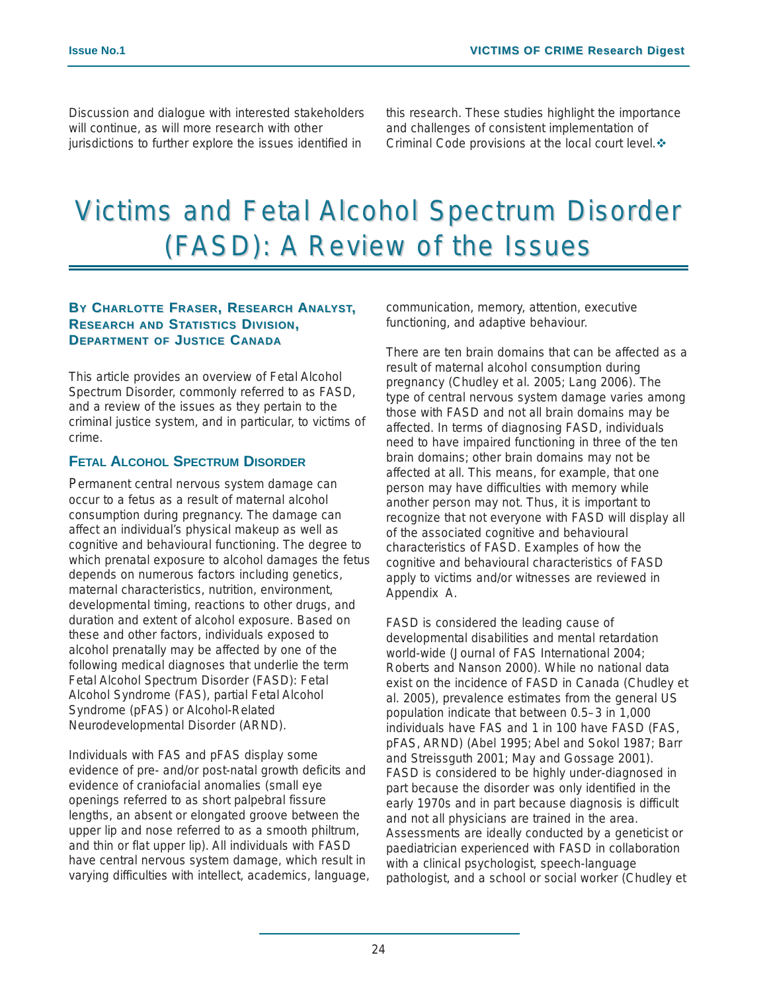Discussion and dialogue with interested stakeholders will continue, as will more research with other jurisdictions to further explore the issues identified in

this research. These studies highlight the importance and challenges of consistent implementation of Criminal Code provisions at the local court level. ❖

# Victims and Fetal Alcohol Spectrum Disorder (FASD): A Review of the Issues

### **BY CHARLOTTE FRASER, RESEARCH ANALYST, RESEARCH AND STATISTICS DIVISION, DEPARTMENT OF JUSTICE CANADA**

This article provides an overview of Fetal Alcohol Spectrum Disorder, commonly referred to as FASD, and a review of the issues as they pertain to the criminal justice system, and in particular, to victims of crime.

### **FETAL ALCOHOL SPECTRUM DISORDER**

Permanent central nervous system damage can occur to a fetus as a result of maternal alcohol consumption during pregnancy. The damage can affect an individual's physical makeup as well as cognitive and behavioural functioning. The degree to which prenatal exposure to alcohol damages the fetus depends on numerous factors including genetics, maternal characteristics, nutrition, environment, developmental timing, reactions to other drugs, and duration and extent of alcohol exposure. Based on these and other factors, individuals exposed to alcohol prenatally may be affected by one of the following medical diagnoses that underlie the term Fetal Alcohol Spectrum Disorder (FASD): Fetal Alcohol Syndrome (FAS), partial Fetal Alcohol Syndrome (pFAS) or Alcohol-Related Neurodevelopmental Disorder (ARND).

Individuals with FAS and pFAS display some evidence of pre- and/or post-natal growth deficits and evidence of craniofacial anomalies (small eye openings referred to as short palpebral fissure lengths, an absent or elongated groove between the upper lip and nose referred to as a smooth philtrum, and thin or flat upper lip). All individuals with FASD have central nervous system damage, which result in varying difficulties with intellect, academics, language, communication, memory, attention, executive functioning, and adaptive behaviour.

There are ten brain domains that can be affected as a result of maternal alcohol consumption during pregnancy (Chudley et al. 2005; Lang 2006). The type of central nervous system damage varies among those with FASD and not all brain domains may be affected. In terms of diagnosing FASD, individuals need to have impaired functioning in three of the ten brain domains; other brain domains may not be affected at all. This means, for example, that one person may have difficulties with memory while another person may not. Thus, it is important to recognize that not everyone with FASD will display all of the associated cognitive and behavioural characteristics of FASD. Examples of how the cognitive and behavioural characteristics of FASD apply to victims and/or witnesses are reviewed in Appendix A.

FASD is considered the leading cause of developmental disabilities and mental retardation world-wide (Journal of FAS International 2004; Roberts and Nanson 2000). While no national data exist on the incidence of FASD in Canada (Chudley et al. 2005), prevalence estimates from the general US population indicate that between 0.5–3 in 1,000 individuals have FAS and 1 in 100 have FASD (FAS, pFAS, ARND) (Abel 1995; Abel and Sokol 1987; Barr and Streissguth 2001; May and Gossage 2001). FASD is considered to be highly under-diagnosed in part because the disorder was only identified in the early 1970s and in part because diagnosis is difficult and not all physicians are trained in the area. Assessments are ideally conducted by a geneticist or paediatrician experienced with FASD in collaboration with a clinical psychologist, speech-language pathologist, and a school or social worker (Chudley et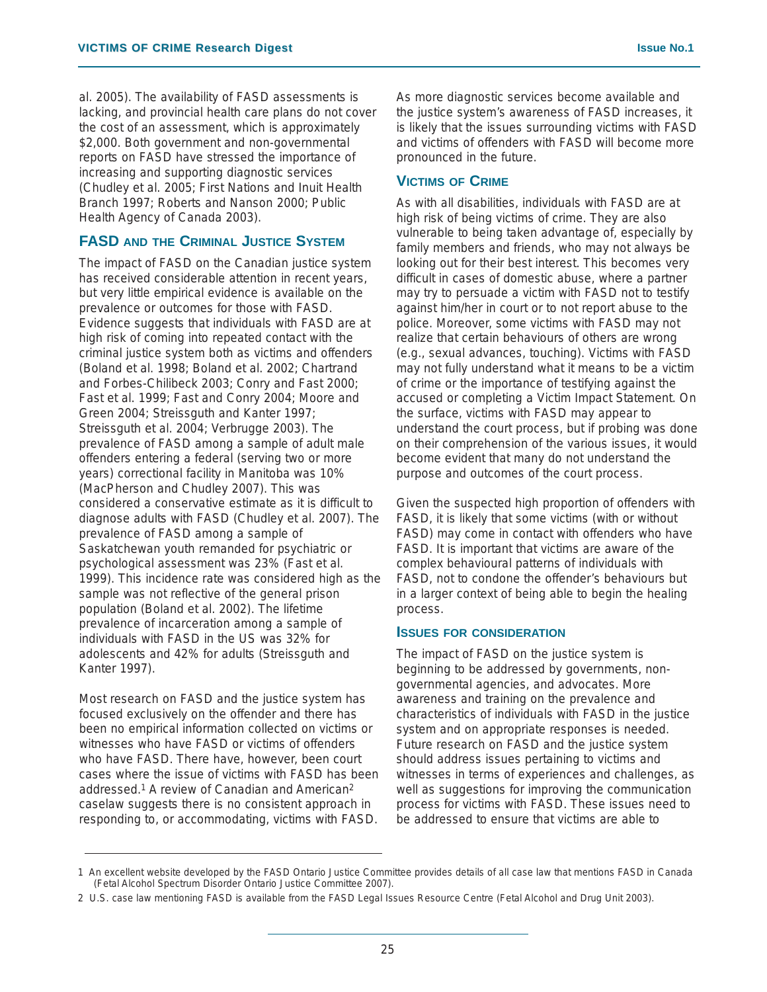al. 2005). The availability of FASD assessments is lacking, and provincial health care plans do not cover the cost of an assessment, which is approximately \$2,000. Both government and non-governmental reports on FASD have stressed the importance of increasing and supporting diagnostic services (Chudley et al. 2005; First Nations and Inuit Health Branch 1997; Roberts and Nanson 2000; Public Health Agency of Canada 2003).

### **FASD AND THE CRIMINAL JUSTICE SYSTEM**

The impact of FASD on the Canadian justice system has received considerable attention in recent years, but very little empirical evidence is available on the prevalence or outcomes for those with FASD. Evidence suggests that individuals with FASD are at high risk of coming into repeated contact with the criminal justice system both as victims and offenders (Boland et al. 1998; Boland et al. 2002; Chartrand and Forbes-Chilibeck 2003; Conry and Fast 2000; Fast et al. 1999; Fast and Conry 2004; Moore and Green 2004; Streissguth and Kanter 1997; Streissguth et al. 2004; Verbrugge 2003). The prevalence of FASD among a sample of adult male offenders entering a federal (serving two or more years) correctional facility in Manitoba was 10% (MacPherson and Chudley 2007). This was considered a conservative estimate as it is difficult to diagnose adults with FASD (Chudley et al. 2007). The prevalence of FASD among a sample of Saskatchewan youth remanded for psychiatric or psychological assessment was 23% (Fast et al. 1999). This incidence rate was considered high as the sample was not reflective of the general prison population (Boland et al. 2002). The lifetime prevalence of incarceration among a sample of individuals with FASD in the US was 32% for adolescents and 42% for adults (Streissguth and Kanter 1997).

Most research on FASD and the justice system has focused exclusively on the offender and there has been no empirical information collected on victims or witnesses who have FASD or victims of offenders who have FASD. There have, however, been court cases where the issue of victims with FASD has been addressed.1 A review of Canadian and American2 caselaw suggests there is no consistent approach in responding to, or accommodating, victims with FASD.

As more diagnostic services become available and the justice system's awareness of FASD increases, it is likely that the issues surrounding victims with FASD and victims of offenders with FASD will become more pronounced in the future.

### **VICTIMS OF CRIME**

As with all disabilities, individuals with FASD are at high risk of being victims of crime. They are also vulnerable to being taken advantage of, especially by family members and friends, who may not always be looking out for their best interest. This becomes very difficult in cases of domestic abuse, where a partner may try to persuade a victim with FASD not to testify against him/her in court or to not report abuse to the police. Moreover, some victims with FASD may not realize that certain behaviours of others are wrong (e.g., sexual advances, touching). Victims with FASD may not fully understand what it means to be a victim of crime or the importance of testifying against the accused or completing a Victim Impact Statement. On the surface, victims with FASD may appear to understand the court process, but if probing was done on their comprehension of the various issues, it would become evident that many do not understand the purpose and outcomes of the court process.

Given the suspected high proportion of offenders with FASD, it is likely that some victims (with or without FASD) may come in contact with offenders who have FASD. It is important that victims are aware of the complex behavioural patterns of individuals with FASD, not to condone the offender's behaviours but in a larger context of being able to begin the healing process.

### **ISSUES FOR CONSIDERATION**

The impact of FASD on the justice system is beginning to be addressed by governments, nongovernmental agencies, and advocates. More awareness and training on the prevalence and characteristics of individuals with FASD in the justice system and on appropriate responses is needed. Future research on FASD and the justice system should address issues pertaining to victims and witnesses in terms of experiences and challenges, as well as suggestions for improving the communication process for victims with FASD. These issues need to be addressed to ensure that victims are able to

<sup>1</sup> An excellent website developed by the FASD Ontario Justice Committee provides details of all case law that mentions FASD in Canada (Fetal Alcohol Spectrum Disorder Ontario Justice Committee 2007).

<sup>2</sup> U.S. case law mentioning FASD is available from the FASD Legal Issues Resource Centre (Fetal Alcohol and Drug Unit 2003).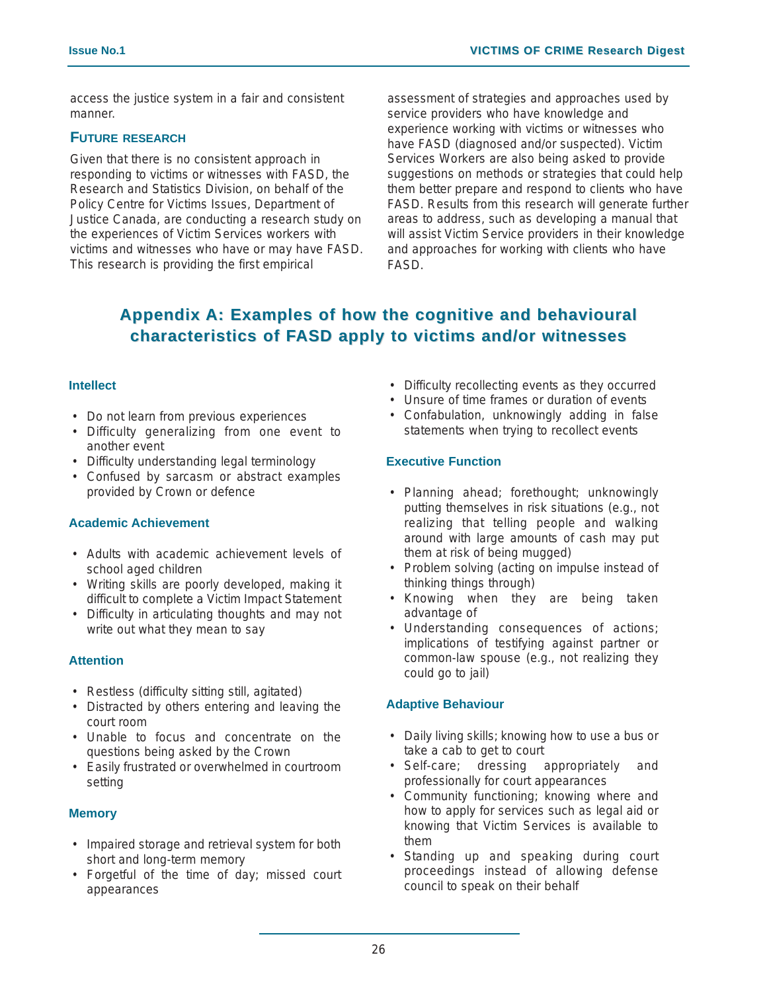access the justice system in a fair and consistent manner.

### **FUTURE RESEARCH**

Given that there is no consistent approach in responding to victims or witnesses with FASD, the Research and Statistics Division, on behalf of the Policy Centre for Victims Issues, Department of Justice Canada, are conducting a research study on the experiences of Victim Services workers with victims and witnesses who have or may have FASD. This research is providing the first empirical

assessment of strategies and approaches used by service providers who have knowledge and experience working with victims or witnesses who have FASD (diagnosed and/or suspected). Victim Services Workers are also being asked to provide suggestions on methods or strategies that could help them better prepare and respond to clients who have FASD. Results from this research will generate further areas to address, such as developing a manual that will assist Victim Service providers in their knowledge and approaches for working with clients who have FASD.

### **Appendix A: Examples of how the cognitive cognitive and behavioural characteristics of FASD apply to victims and/or witnesses**

### **Intellect**

- Do not learn from previous experiences
- Difficulty generalizing from one event to another event
- Difficulty understanding legal terminology
- Confused by sarcasm or abstract examples provided by Crown or defence

### **Academic Achievement**

- Adults with academic achievement levels of school aged children
- Writing skills are poorly developed, making it difficult to complete a Victim Impact Statement
- Difficulty in articulating thoughts and may not write out what they mean to say

### **Attention**

- Restless (difficulty sitting still, agitated)
- Distracted by others entering and leaving the court room
- Unable to focus and concentrate on the questions being asked by the Crown
- Easily frustrated or overwhelmed in courtroom setting

### **Memory**

- Impaired storage and retrieval system for both short and long-term memory
- Forgetful of the time of day; missed court appearances
- Difficulty recollecting events as they occurred
- Unsure of time frames or duration of events
- Confabulation, unknowingly adding in false statements when trying to recollect events

### **Executive Function**

- Planning ahead; forethought; unknowingly putting themselves in risk situations (e.g., not realizing that telling people and walking around with large amounts of cash may put them at risk of being mugged)
- Problem solving (acting on impulse instead of thinking things through)
- Knowing when they are being taken advantage of
- Understanding consequences of actions; implications of testifying against partner or common-law spouse (e.g., not realizing they could go to jail)

### **Adaptive Behaviour**

- Daily living skills; knowing how to use a bus or take a cab to get to court
- Self-care; dressing appropriately and professionally for court appearances
- Community functioning; knowing where and how to apply for services such as legal aid or knowing that Victim Services is available to them
- Standing up and speaking during court proceedings instead of allowing defense council to speak on their behalf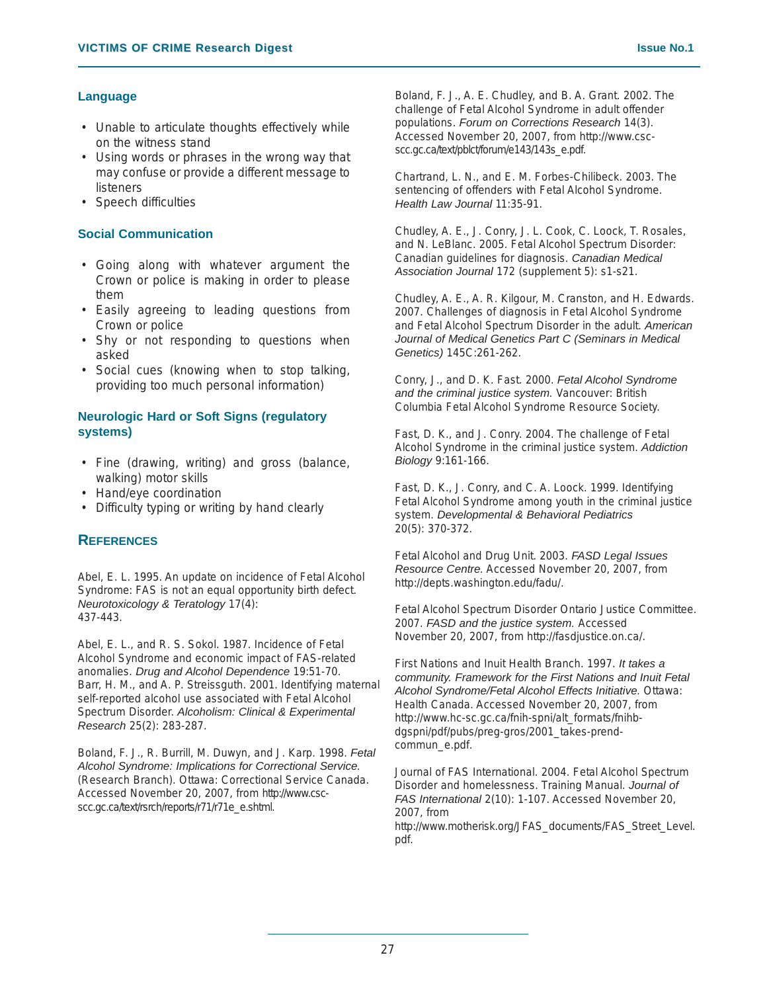### **Language**

- Unable to articulate thoughts effectively while on the witness stand
- Using words or phrases in the wrong way that may confuse or provide a different message to listeners
- Speech difficulties

### **Social Communication**

- Going along with whatever argument the Crown or police is making in order to please them
- Easily agreeing to leading questions from Crown or police
- Shy or not responding to questions when asked
- Social cues (knowing when to stop talking, providing too much personal information)

### **Neurologic Hard or Soft Signs (regulatory systems)**

- Fine (drawing, writing) and gross (balance, walking) motor skills
- Hand/eye coordination
- Difficulty typing or writing by hand clearly

### **REFERENCES**

Abel, E. L. 1995. An update on incidence of Fetal Alcohol Syndrome: FAS is not an equal opportunity birth defect. *Neurotoxicology & Teratology* 17(4): 437-443.

Abel, E. L., and R. S. Sokol. 1987. Incidence of Fetal Alcohol Syndrome and economic impact of FAS-related anomalies. *Drug and Alcohol Dependence* 19:51-70. Barr, H. M., and A. P. Streissguth. 2001. Identifying maternal self-reported alcohol use associated with Fetal Alcohol Spectrum Disorder. *Alcoholism: Clinical & Experimental Research* 25(2): 283-287.

Boland, F. J., R. Burrill, M. Duwyn, and J. Karp. 1998. *Fetal Alcohol Syndrome: Implications for Correctional Service.* (Research Branch). Ottawa: Correctional Service Canada. Accessed November 20, 2007, from http://www.cscscc.gc.ca/text/rsrch/reports/r71/r71e\_e.shtml.

Boland, F. J., A. E. Chudley, and B. A. Grant. 2002. The challenge of Fetal Alcohol Syndrome in adult offender populations. *Forum on Corrections Research* 14(3). Accessed November 20, 2007, from http://www.cscscc.gc.ca/text/pblct/forum/e143/143s\_e.pdf.

Chartrand, L. N., and E. M. Forbes-Chilibeck. 2003. The sentencing of offenders with Fetal Alcohol Syndrome. *Health Law Journal* 11:35-91.

Chudley, A. E., J. Conry, J. L. Cook, C. Loock, T. Rosales, and N. LeBlanc. 2005. Fetal Alcohol Spectrum Disorder: Canadian guidelines for diagnosis. *Canadian Medical Association Journal* 172 (supplement 5): s1-s21.

Chudley, A. E., A. R. Kilgour, M. Cranston, and H. Edwards. 2007. Challenges of diagnosis in Fetal Alcohol Syndrome and Fetal Alcohol Spectrum Disorder in the adult. *American Journal of Medical Genetics Part C (Seminars in Medical Genetics)* 145C:261-262.

Conry, J., and D. K. Fast. 2000. *Fetal Alcohol Syndrome and the criminal justice system.* Vancouver: British Columbia Fetal Alcohol Syndrome Resource Society.

Fast, D. K., and J. Conry. 2004. The challenge of Fetal Alcohol Syndrome in the criminal justice system. *Addiction Biology* 9:161-166.

Fast, D. K., J. Conry, and C. A. Loock. 1999. Identifying Fetal Alcohol Syndrome among youth in the criminal justice system. *Developmental & Behavioral Pediatrics* 20(5): 370-372.

Fetal Alcohol and Drug Unit. 2003. *FASD Legal Issues Resource Centre.* Accessed November 20, 2007, from http://depts.washington.edu/fadu/.

Fetal Alcohol Spectrum Disorder Ontario Justice Committee. 2007. *FASD and the justice system.* Accessed November 20, 2007, from http://fasdjustice.on.ca/.

First Nations and Inuit Health Branch. 1997. *It takes a community. Framework for the First Nations and Inuit Fetal Alcohol Syndrome/Fetal Alcohol Effects Initiative.* Ottawa: Health Canada. Accessed November 20, 2007, from http://www.hc-sc.gc.ca/fnih-spni/alt\_formats/fnihbdgspni/pdf/pubs/preg-gros/2001\_takes-prendcommun\_e.pdf.

Journal of FAS International. 2004. Fetal Alcohol Spectrum Disorder and homelessness. Training Manual. *Journal of FAS International* 2(10): 1-107. Accessed November 20, 2007, from

http://www.motherisk.org/JFAS\_documents/FAS\_Street\_Level. pdf.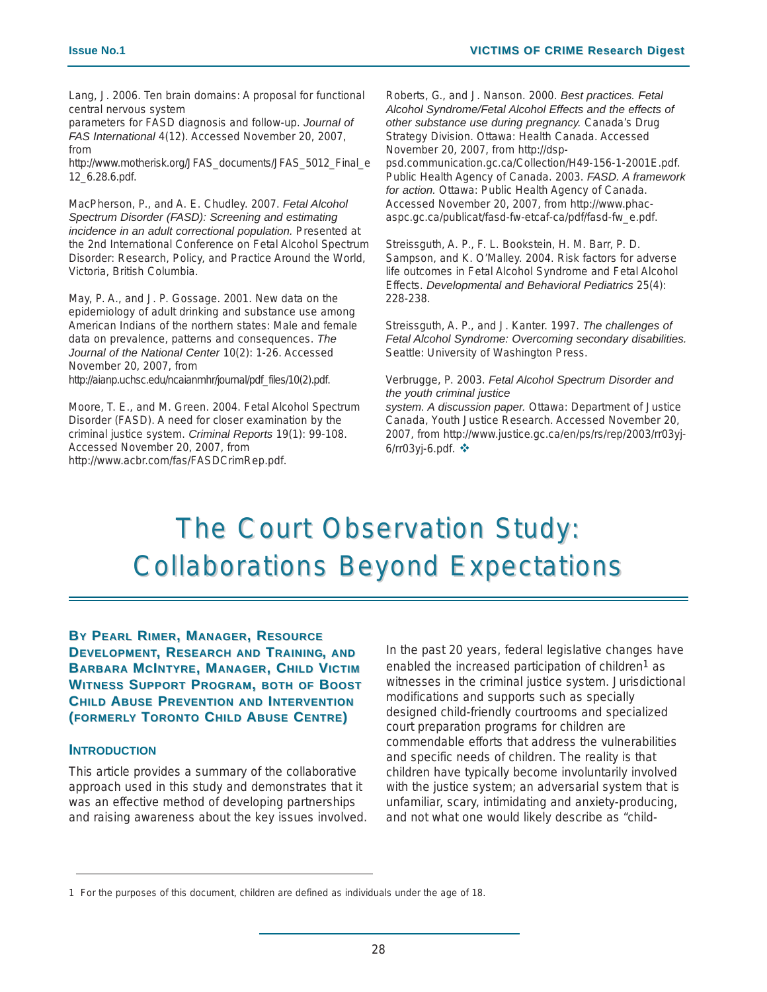Lang, J. 2006. Ten brain domains: A proposal for functional central nervous system

parameters for FASD diagnosis and follow-up. *Journal of FAS International* 4(12). Accessed November 20, 2007, from

http://www.motherisk.org/JFAS\_documents/JFAS\_5012\_Final\_e 12\_6.28.6.pdf.

MacPherson, P., and A. E. Chudley. 2007. *Fetal Alcohol Spectrum Disorder (FASD): Screening and estimating incidence in an adult correctional population.* Presented at the 2nd International Conference on Fetal Alcohol Spectrum Disorder: Research, Policy, and Practice Around the World, Victoria, British Columbia.

May, P. A., and J. P. Gossage. 2001. New data on the epidemiology of adult drinking and substance use among American Indians of the northern states: Male and female data on prevalence, patterns and consequences. *The Journal of the National Center* 10(2): 1-26. Accessed November 20, 2007, from http://aianp.uchsc.edu/ncaianmhr/journal/pdf\_files/10(2).pdf.

Moore, T. E., and M. Green. 2004. Fetal Alcohol Spectrum Disorder (FASD). A need for closer examination by the criminal justice system. *Criminal Reports* 19(1): 99-108. Accessed November 20, 2007, from http://www.acbr.com/fas/FASDCrimRep.pdf.

Roberts, G., and J. Nanson. 2000. *Best practices. Fetal Alcohol Syndrome/Fetal Alcohol Effects and the effects of other substance use during pregnancy.* Canada's Drug Strategy Division. Ottawa: Health Canada. Accessed November 20, 2007, from http://dsp-

psd.communication.gc.ca/Collection/H49-156-1-2001E.pdf. Public Health Agency of Canada. 2003. *FASD. A framework for action.* Ottawa: Public Health Agency of Canada. Accessed November 20, 2007, from http://www.phacaspc.gc.ca/publicat/fasd-fw-etcaf-ca/pdf/fasd-fw\_e.pdf.

Streissguth, A. P., F. L. Bookstein, H. M. Barr, P. D. Sampson, and K. O'Malley. 2004. Risk factors for adverse life outcomes in Fetal Alcohol Syndrome and Fetal Alcohol Effects. *Developmental and Behavioral Pediatrics* 25(4): 228-238.

Streissguth, A. P., and J. Kanter. 1997. *The challenges of Fetal Alcohol Syndrome: Overcoming secondary disabilities.* Seattle: University of Washington Press.

#### Verbrugge, P. 2003. *Fetal Alcohol Spectrum Disorder and the youth criminal justice*

*system. A discussion paper.* Ottawa: Department of Justice Canada, Youth Justice Research. Accessed November 20, 2007, from http://www.justice.gc.ca/en/ps/rs/rep/2003/rr03yj-6/rr03yj-6.pdf.

### The Court Observation Study: **Collaborations Beyond Expectations**

**BY PEARL RIMER, MANAGER, RESOURCE DEVELOPMENT, RESEARCH AND TRAINING, AND BARBARA MCINTYRE, MANAGER, CHILD VICTIM WITNESS SUPPORT PROGRAM, BOTH OF BOOST CHILD ABUSE PREVENTION AND INTERVENTION (FORMERLY TORONTO CHILD ABUSE CENTRE)**

### **INTRODUCTION**

This article provides a summary of the collaborative approach used in this study and demonstrates that it was an effective method of developing partnerships and raising awareness about the key issues involved. In the past 20 years, federal legislative changes have enabled the increased participation of children<sup>1</sup> as witnesses in the criminal justice system. Jurisdictional modifications and supports such as specially designed child-friendly courtrooms and specialized court preparation programs for children are commendable efforts that address the vulnerabilities and specific needs of children. The reality is that children have typically become involuntarily involved with the justice system; an adversarial system that is unfamiliar, scary, intimidating and anxiety-producing, and not what one would likely describe as "child-

<sup>1</sup> For the purposes of this document, children are defined as individuals under the age of 18.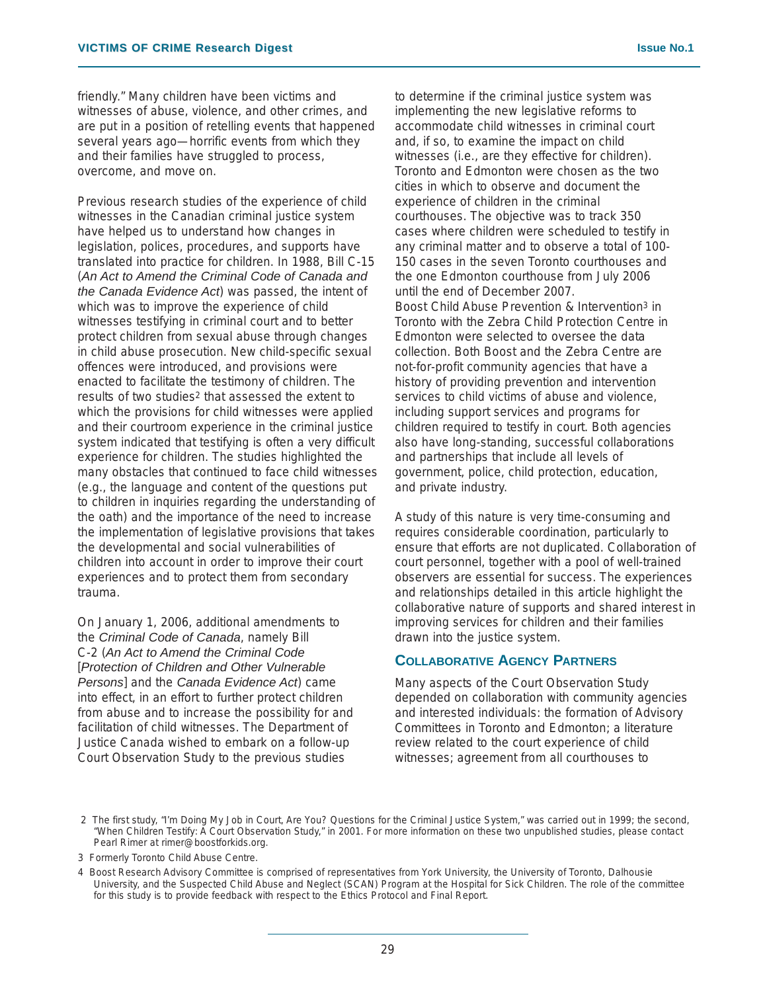friendly." Many children have been victims and witnesses of abuse, violence, and other crimes, and are put in a position of retelling events that happened several years ago—horrific events from which they and their families have struggled to process, overcome, and move on.

Previous research studies of the experience of child witnesses in the Canadian criminal justice system have helped us to understand how changes in legislation, polices, procedures, and supports have translated into practice for children. In 1988, Bill C-15 (*An Act to Amend the Criminal Code of Canada and the Canada Evidence Act*) was passed, the intent of which was to improve the experience of child witnesses testifying in criminal court and to better protect children from sexual abuse through changes in child abuse prosecution. New child-specific sexual offences were introduced, and provisions were enacted to facilitate the testimony of children. The results of two studies2 that assessed the extent to which the provisions for child witnesses were applied and their courtroom experience in the criminal justice system indicated that testifying is often a very difficult experience for children. The studies highlighted the many obstacles that continued to face child witnesses (e.g., the language and content of the questions put to children in inquiries regarding the understanding of the oath) and the importance of the need to increase the implementation of legislative provisions that takes the developmental and social vulnerabilities of children into account in order to improve their court experiences and to protect them from secondary trauma.

On January 1, 2006, additional amendments to the *Criminal Code of Canada*, namely Bill C-2 (*An Act to Amend the Criminal Code* [*Protection of Children and Other Vulnerable Persons*] and the *Canada Evidence Act*) came into effect, in an effort to further protect children from abuse and to increase the possibility for and facilitation of child witnesses. The Department of Justice Canada wished to embark on a follow-up Court Observation Study to the previous studies

to determine if the criminal justice system was implementing the new legislative reforms to accommodate child witnesses in criminal court and, if so, to examine the impact on child witnesses (i.e., are they effective for children). Toronto and Edmonton were chosen as the two cities in which to observe and document the experience of children in the criminal courthouses. The objective was to track 350 cases where children were scheduled to testify in any criminal matter and to observe a total of 100- 150 cases in the seven Toronto courthouses and the one Edmonton courthouse from July 2006 until the end of December 2007. Boost Child Abuse Prevention & Intervention3 in Toronto with the Zebra Child Protection Centre in Edmonton were selected to oversee the data collection. Both Boost and the Zebra Centre are not-for-profit community agencies that have a history of providing prevention and intervention services to child victims of abuse and violence, including support services and programs for children required to testify in court. Both agencies also have long-standing, successful collaborations and partnerships that include all levels of government, police, child protection, education, and private industry.

A study of this nature is very time-consuming and requires considerable coordination, particularly to ensure that efforts are not duplicated. Collaboration of court personnel, together with a pool of well-trained observers are essential for success. The experiences and relationships detailed in this article highlight the collaborative nature of supports and shared interest in improving services for children and their families drawn into the justice system.

### **COLLABORATIVE AGENCY PARTNERS**

Many aspects of the Court Observation Study depended on collaboration with community agencies and interested individuals: the formation of Advisory Committees in Toronto and Edmonton; a literature review related to the court experience of child witnesses; agreement from all courthouses to

<sup>2</sup> The first study, "I'm Doing My Job in Court, Are You? Questions for the Criminal Justice System," was carried out in 1999; the second, "When Children Testify: A Court Observation Study," in 2001. For more information on these two unpublished studies, please contact Pearl Rimer at rimer@boostforkids.org.

<sup>3</sup> Formerly Toronto Child Abuse Centre.

<sup>4</sup> Boost Research Advisory Committee is comprised of representatives from York University, the University of Toronto, Dalhousie University, and the Suspected Child Abuse and Neglect (SCAN) Program at the Hospital for Sick Children. The role of the committee for this study is to provide feedback with respect to the Ethics Protocol and Final Report.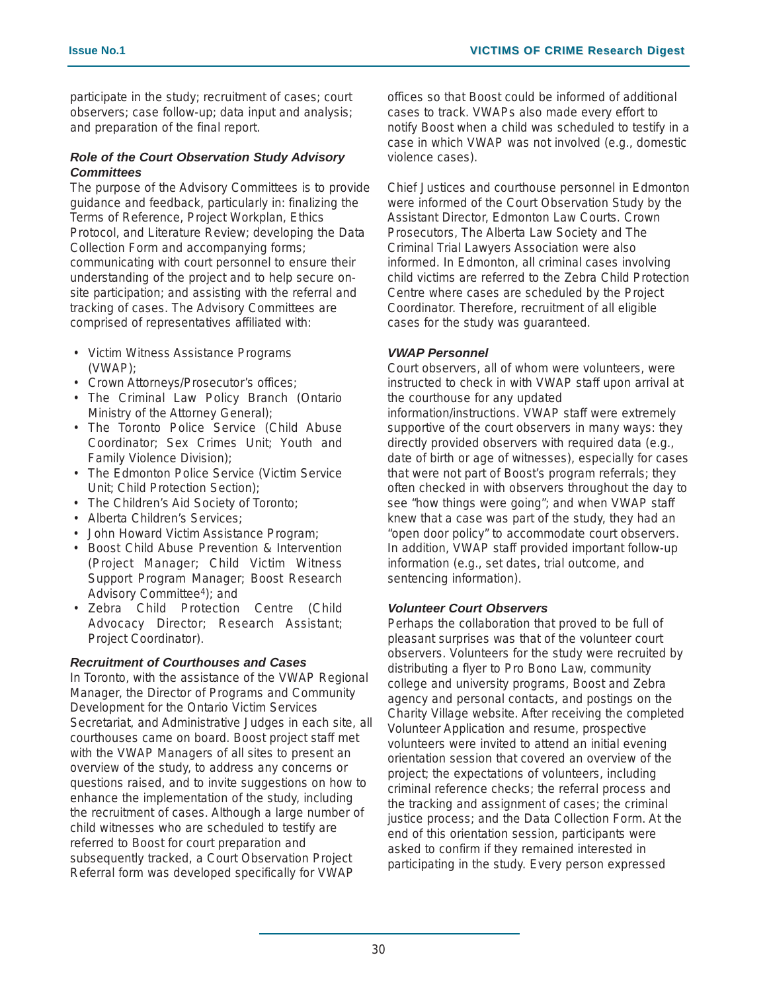participate in the study; recruitment of cases; court observers; case follow-up; data input and analysis; and preparation of the final report.

### *Role of the Court Observation Study Advisory Committees*

The purpose of the Advisory Committees is to provide guidance and feedback, particularly in: finalizing the Terms of Reference, Project Workplan, Ethics Protocol, and Literature Review; developing the Data Collection Form and accompanying forms; communicating with court personnel to ensure their understanding of the project and to help secure onsite participation; and assisting with the referral and tracking of cases. The Advisory Committees are comprised of representatives affiliated with:

- Victim Witness Assistance Programs (VWAP);
- Crown Attorneys/Prosecutor's offices;
- The Criminal Law Policy Branch (Ontario Ministry of the Attorney General);
- The Toronto Police Service (Child Abuse Coordinator; Sex Crimes Unit; Youth and Family Violence Division);
- The Edmonton Police Service (Victim Service Unit; Child Protection Section);
- The Children's Aid Society of Toronto;
- Alberta Children's Services;
- John Howard Victim Assistance Program;
- Boost Child Abuse Prevention & Intervention (Project Manager; Child Victim Witness Support Program Manager; Boost Research Advisory Committee4); and
- Zebra Child Protection Centre (Child Advocacy Director; Research Assistant; Project Coordinator).

### *Recruitment of Courthouses and Cases*

In Toronto, with the assistance of the VWAP Regional Manager, the Director of Programs and Community Development for the Ontario Victim Services Secretariat, and Administrative Judges in each site, all courthouses came on board. Boost project staff met with the VWAP Managers of all sites to present an overview of the study, to address any concerns or questions raised, and to invite suggestions on how to enhance the implementation of the study, including the recruitment of cases. Although a large number of child witnesses who are scheduled to testify are referred to Boost for court preparation and subsequently tracked, a Court Observation Project Referral form was developed specifically for VWAP

offices so that Boost could be informed of additional cases to track. VWAPs also made every effort to notify Boost when a child was scheduled to testify in a case in which VWAP was not involved (e.g., domestic violence cases).

Chief Justices and courthouse personnel in Edmonton were informed of the Court Observation Study by the Assistant Director, Edmonton Law Courts. Crown Prosecutors, The Alberta Law Society and The Criminal Trial Lawyers Association were also informed. In Edmonton, all criminal cases involving child victims are referred to the Zebra Child Protection Centre where cases are scheduled by the Project Coordinator. Therefore, recruitment of all eligible cases for the study was guaranteed.

### *VWAP Personnel*

Court observers, all of whom were volunteers, were instructed to check in with VWAP staff upon arrival at the courthouse for any updated information/instructions. VWAP staff were extremely supportive of the court observers in many ways: they directly provided observers with required data (e.g., date of birth or age of witnesses), especially for cases that were not part of Boost's program referrals; they often checked in with observers throughout the day to see "how things were going"; and when VWAP staff knew that a case was part of the study, they had an "open door policy" to accommodate court observers. In addition, VWAP staff provided important follow-up information (e.g., set dates, trial outcome, and sentencing information).

### *Volunteer Court Observers*

Perhaps the collaboration that proved to be full of pleasant surprises was that of the volunteer court observers. Volunteers for the study were recruited by distributing a flyer to Pro Bono Law, community college and university programs, Boost and Zebra agency and personal contacts, and postings on the Charity Village website. After receiving the completed Volunteer Application and resume, prospective volunteers were invited to attend an initial evening orientation session that covered an overview of the project; the expectations of volunteers, including criminal reference checks; the referral process and the tracking and assignment of cases; the criminal justice process; and the Data Collection Form. At the end of this orientation session, participants were asked to confirm if they remained interested in participating in the study. Every person expressed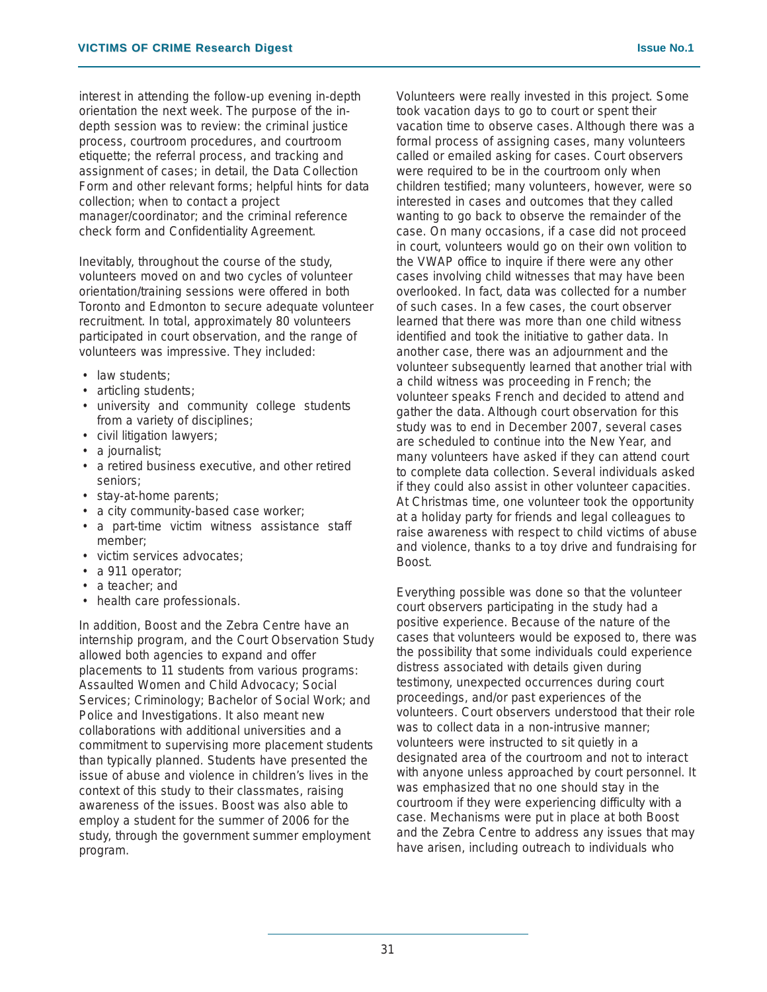interest in attending the follow-up evening in-depth orientation the next week. The purpose of the indepth session was to review: the criminal justice process, courtroom procedures, and courtroom etiquette; the referral process, and tracking and assignment of cases; in detail, the Data Collection Form and other relevant forms; helpful hints for data collection; when to contact a project manager/coordinator; and the criminal reference check form and Confidentiality Agreement.

Inevitably, throughout the course of the study, volunteers moved on and two cycles of volunteer orientation/training sessions were offered in both Toronto and Edmonton to secure adequate volunteer recruitment. In total, approximately 80 volunteers participated in court observation, and the range of volunteers was impressive. They included:

- law students;
- articling students;
- university and community college students from a variety of disciplines;
- civil litigation lawyers;
- a journalist;
- a retired business executive, and other retired seniors;
- stay-at-home parents;
- a city community-based case worker;
- a part-time victim witness assistance staff member;
- victim services advocates;
- a 911 operator;
- a teacher; and
- health care professionals.

In addition, Boost and the Zebra Centre have an internship program, and the Court Observation Study allowed both agencies to expand and offer placements to 11 students from various programs: Assaulted Women and Child Advocacy; Social Services; Criminology; Bachelor of Social Work; and Police and Investigations. It also meant new collaborations with additional universities and a commitment to supervising more placement students than typically planned. Students have presented the issue of abuse and violence in children's lives in the context of this study to their classmates, raising awareness of the issues. Boost was also able to employ a student for the summer of 2006 for the study, through the government summer employment program.

Volunteers were really invested in this project. Some took vacation days to go to court or spent their vacation time to observe cases. Although there was a formal process of assigning cases, many volunteers called or emailed asking for cases. Court observers were required to be in the courtroom only when children testified; many volunteers, however, were so interested in cases and outcomes that they called wanting to go back to observe the remainder of the case. On many occasions, if a case did not proceed in court, volunteers would go on their own volition to the VWAP office to inquire if there were any other cases involving child witnesses that may have been overlooked. In fact, data was collected for a number of such cases. In a few cases, the court observer learned that there was more than one child witness identified and took the initiative to gather data. In another case, there was an adjournment and the volunteer subsequently learned that another trial with a child witness was proceeding in French; the volunteer speaks French and decided to attend and gather the data. Although court observation for this study was to end in December 2007, several cases are scheduled to continue into the New Year, and many volunteers have asked if they can attend court to complete data collection. Several individuals asked if they could also assist in other volunteer capacities. At Christmas time, one volunteer took the opportunity at a holiday party for friends and legal colleagues to raise awareness with respect to child victims of abuse and violence, thanks to a toy drive and fundraising for Boost.

Everything possible was done so that the volunteer court observers participating in the study had a positive experience. Because of the nature of the cases that volunteers would be exposed to, there was the possibility that some individuals could experience distress associated with details given during testimony, unexpected occurrences during court proceedings, and/or past experiences of the volunteers. Court observers understood that their role was to collect data in a non-intrusive manner; volunteers were instructed to sit quietly in a designated area of the courtroom and not to interact with anyone unless approached by court personnel. It was emphasized that no one should stay in the courtroom if they were experiencing difficulty with a case. Mechanisms were put in place at both Boost and the Zebra Centre to address any issues that may have arisen, including outreach to individuals who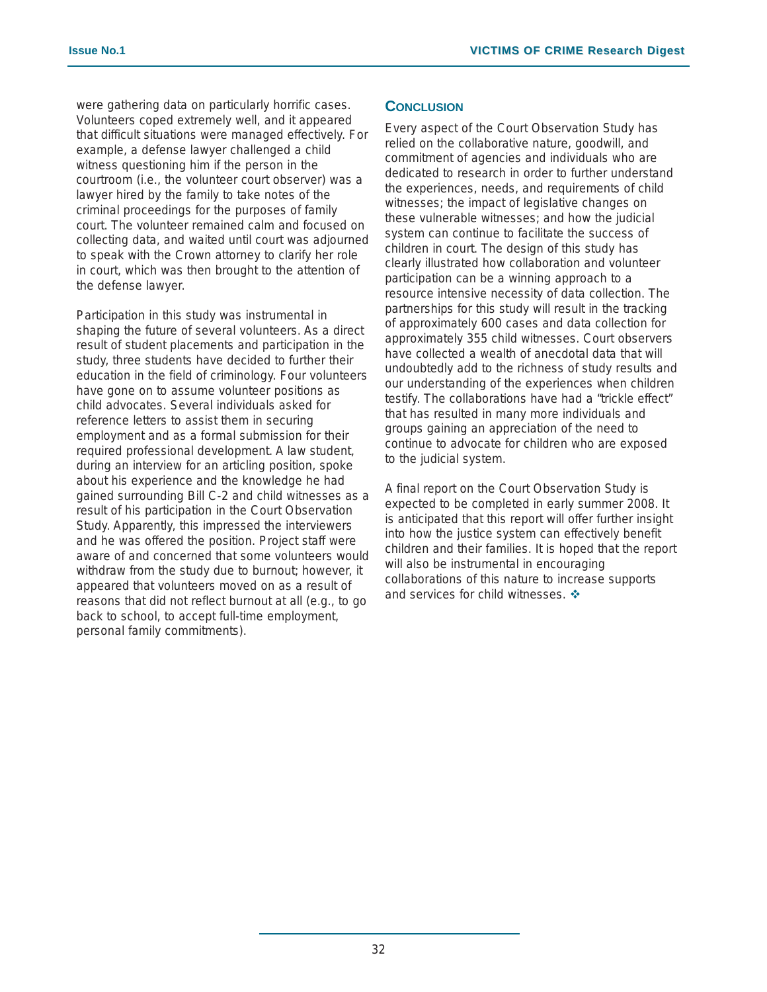were gathering data on particularly horrific cases. Volunteers coped extremely well, and it appeared that difficult situations were managed effectively. For example, a defense lawyer challenged a child witness questioning him if the person in the courtroom (i.e., the volunteer court observer) was a lawyer hired by the family to take notes of the criminal proceedings for the purposes of family court. The volunteer remained calm and focused on collecting data, and waited until court was adjourned to speak with the Crown attorney to clarify her role in court, which was then brought to the attention of the defense lawyer.

Participation in this study was instrumental in shaping the future of several volunteers. As a direct result of student placements and participation in the study, three students have decided to further their education in the field of criminology. Four volunteers have gone on to assume volunteer positions as child advocates. Several individuals asked for reference letters to assist them in securing employment and as a formal submission for their required professional development. A law student, during an interview for an articling position, spoke about his experience and the knowledge he had gained surrounding Bill C-2 and child witnesses as a result of his participation in the Court Observation Study. Apparently, this impressed the interviewers and he was offered the position. Project staff were aware of and concerned that some volunteers would withdraw from the study due to burnout; however, it appeared that volunteers moved on as a result of reasons that did not reflect burnout at all (e.g., to go back to school, to accept full-time employment, personal family commitments).

### **CONCLUSION**

Every aspect of the Court Observation Study has relied on the collaborative nature, goodwill, and commitment of agencies and individuals who are dedicated to research in order to further understand the experiences, needs, and requirements of child witnesses; the impact of legislative changes on these vulnerable witnesses; and how the judicial system can continue to facilitate the success of children in court. The design of this study has clearly illustrated how collaboration and volunteer participation can be a winning approach to a resource intensive necessity of data collection. The partnerships for this study will result in the tracking of approximately 600 cases and data collection for approximately 355 child witnesses. Court observers have collected a wealth of anecdotal data that will undoubtedly add to the richness of study results and our understanding of the experiences when children testify. The collaborations have had a "trickle effect" that has resulted in many more individuals and groups gaining an appreciation of the need to continue to advocate for children who are exposed to the judicial system.

A final report on the Court Observation Study is expected to be completed in early summer 2008. It is anticipated that this report will offer further insight into how the justice system can effectively benefit children and their families. It is hoped that the report will also be instrumental in encouraging collaborations of this nature to increase supports and services for child witnesses.  $\div$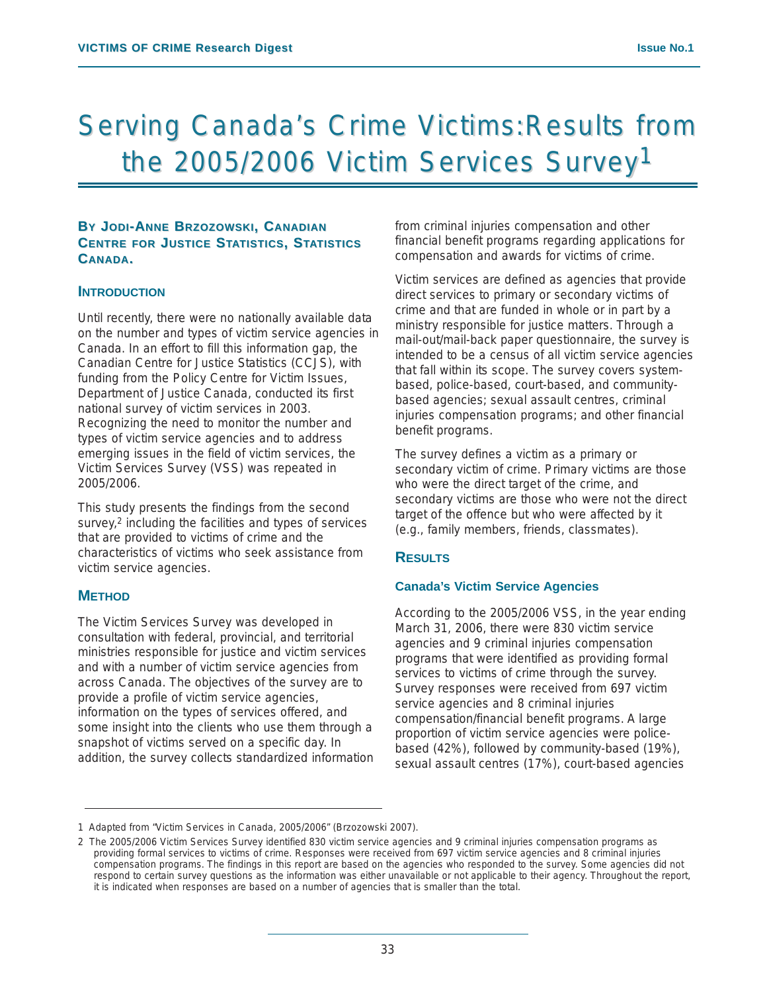# Serving Canada's Crime Victims:Results from the 2005/2006 Victim Services Survey<sup>1</sup>

### **BY JODI-ANNE BRZOZOWSKI, CANADIAN CENTRE FOR JUSTICE STATISTICS, STATISTICS CANADA.**

### **INTRODUCTION**

Until recently, there were no nationally available data on the number and types of victim service agencies in Canada. In an effort to fill this information gap, the Canadian Centre for Justice Statistics (CCJS), with funding from the Policy Centre for Victim Issues, Department of Justice Canada, conducted its first national survey of victim services in 2003. Recognizing the need to monitor the number and types of victim service agencies and to address emerging issues in the field of victim services, the Victim Services Survey (VSS) was repeated in 2005/2006.

This study presents the findings from the second survey,<sup>2</sup> including the facilities and types of services that are provided to victims of crime and the characteristics of victims who seek assistance from victim service agencies.

### **METHOD**

The Victim Services Survey was developed in consultation with federal, provincial, and territorial ministries responsible for justice and victim services and with a number of victim service agencies from across Canada. The objectives of the survey are to provide a profile of victim service agencies, information on the types of services offered, and some insight into the clients who use them through a snapshot of victims served on a specific day. In addition, the survey collects standardized information from criminal injuries compensation and other financial benefit programs regarding applications for compensation and awards for victims of crime.

Victim services are defined as agencies that provide direct services to primary or secondary victims of crime and that are funded in whole or in part by a ministry responsible for justice matters. Through a mail-out/mail-back paper questionnaire, the survey is intended to be a census of all victim service agencies that fall within its scope. The survey covers systembased, police-based, court-based, and communitybased agencies; sexual assault centres, criminal injuries compensation programs; and other financial benefit programs.

The survey defines a victim as a primary or secondary victim of crime. Primary victims are those who were the direct target of the crime, and secondary victims are those who were not the direct target of the offence but who were affected by it (e.g., family members, friends, classmates).

### **RESULTS**

### **Canada's Victim Service Agencies**

According to the 2005/2006 VSS, in the year ending March 31, 2006, there were 830 victim service agencies and 9 criminal injuries compensation programs that were identified as providing formal services to victims of crime through the survey. Survey responses were received from 697 victim service agencies and 8 criminal injuries compensation/financial benefit programs. A large proportion of victim service agencies were policebased (42%), followed by community-based (19%), sexual assault centres (17%), court-based agencies

<sup>1</sup> Adapted from "Victim Services in Canada, 2005/2006" (Brzozowski 2007).

<sup>2</sup> The 2005/2006 Victim Services Survey identified 830 victim service agencies and 9 criminal injuries compensation programs as providing formal services to victims of crime. Responses were received from 697 victim service agencies and 8 criminal injuries compensation programs. The findings in this report are based on the agencies who responded to the survey. Some agencies did not respond to certain survey questions as the information was either unavailable or not applicable to their agency. Throughout the report, it is indicated when responses are based on a number of agencies that is smaller than the total.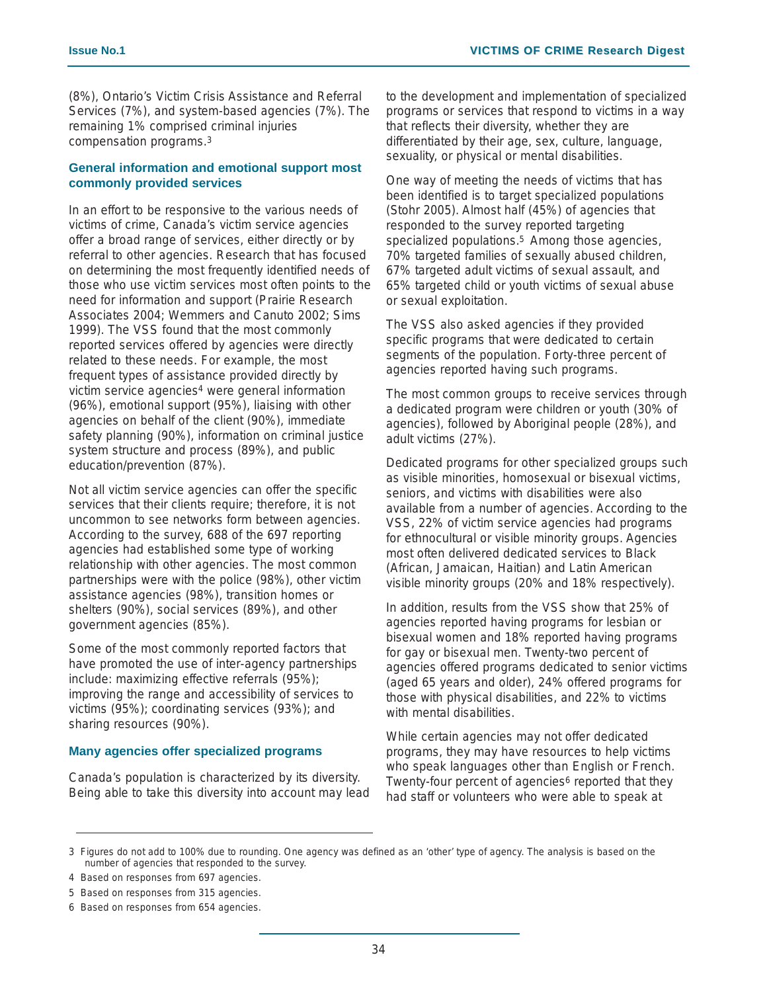(8%), Ontario's Victim Crisis Assistance and Referral Services (7%), and system-based agencies (7%). The remaining 1% comprised criminal injuries compensation programs.3

### **General information and emotional support most commonly provided services**

In an effort to be responsive to the various needs of victims of crime, Canada's victim service agencies offer a broad range of services, either directly or by referral to other agencies. Research that has focused on determining the most frequently identified needs of those who use victim services most often points to the need for information and support (Prairie Research Associates 2004; Wemmers and Canuto 2002; Sims 1999). The VSS found that the most commonly reported services offered by agencies were directly related to these needs. For example, the most frequent types of assistance provided directly by victim service agencies4 were general information (96%), emotional support (95%), liaising with other agencies on behalf of the client (90%), immediate safety planning (90%), information on criminal justice system structure and process (89%), and public education/prevention (87%).

Not all victim service agencies can offer the specific services that their clients require; therefore, it is not uncommon to see networks form between agencies. According to the survey, 688 of the 697 reporting agencies had established some type of working relationship with other agencies. The most common partnerships were with the police (98%), other victim assistance agencies (98%), transition homes or shelters (90%), social services (89%), and other government agencies (85%).

Some of the most commonly reported factors that have promoted the use of inter-agency partnerships include: maximizing effective referrals (95%); improving the range and accessibility of services to victims (95%); coordinating services (93%); and sharing resources (90%).

### **Many agencies offer specialized programs**

Canada's population is characterized by its diversity. Being able to take this diversity into account may lead to the development and implementation of specialized programs or services that respond to victims in a way that reflects their diversity, whether they are differentiated by their age, sex, culture, language, sexuality, or physical or mental disabilities.

One way of meeting the needs of victims that has been identified is to target specialized populations (Stohr 2005). Almost half (45%) of agencies that responded to the survey reported targeting specialized populations.<sup>5</sup> Among those agencies, 70% targeted families of sexually abused children, 67% targeted adult victims of sexual assault, and 65% targeted child or youth victims of sexual abuse or sexual exploitation.

The VSS also asked agencies if they provided specific programs that were dedicated to certain segments of the population. Forty-three percent of agencies reported having such programs.

The most common groups to receive services through a dedicated program were children or youth (30% of agencies), followed by Aboriginal people (28%), and adult victims (27%).

Dedicated programs for other specialized groups such as visible minorities, homosexual or bisexual victims, seniors, and victims with disabilities were also available from a number of agencies. According to the VSS, 22% of victim service agencies had programs for ethnocultural or visible minority groups. Agencies most often delivered dedicated services to Black (African, Jamaican, Haitian) and Latin American visible minority groups (20% and 18% respectively).

In addition, results from the VSS show that 25% of agencies reported having programs for lesbian or bisexual women and 18% reported having programs for gay or bisexual men. Twenty-two percent of agencies offered programs dedicated to senior victims (aged 65 years and older), 24% offered programs for those with physical disabilities, and 22% to victims with mental disabilities.

While certain agencies may not offer dedicated programs, they may have resources to help victims who speak languages other than English or French. Twenty-four percent of agencies<sup>6</sup> reported that they had staff or volunteers who were able to speak at

<sup>3</sup> Figures do not add to 100% due to rounding. One agency was defined as an 'other' type of agency. The analysis is based on the number of agencies that responded to the survey.

<sup>4</sup> Based on responses from 697 agencies.

<sup>5</sup> Based on responses from 315 agencies.

<sup>6</sup> Based on responses from 654 agencies.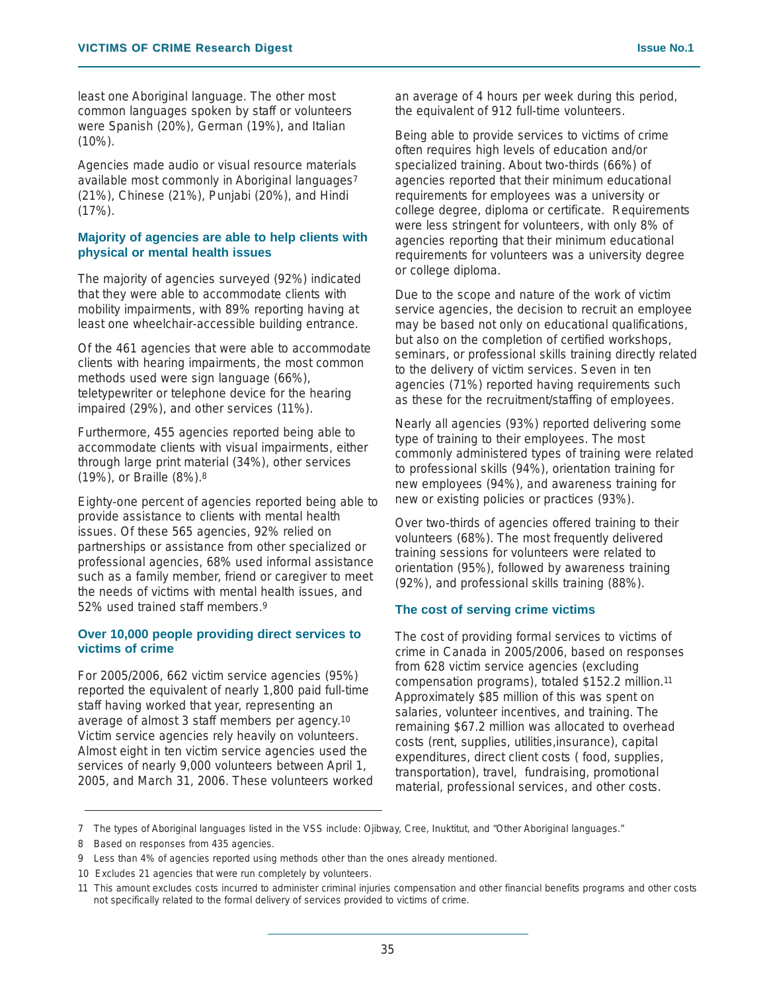least one Aboriginal language. The other most common languages spoken by staff or volunteers were Spanish (20%), German (19%), and Italian  $(10\%)$ .

Agencies made audio or visual resource materials available most commonly in Aboriginal languages<sup>7</sup> (21%), Chinese (21%), Punjabi (20%), and Hindi  $(17\%)$ .

### **Majority of agencies are able to help clients with physical or mental health issues**

The majority of agencies surveyed (92%) indicated that they were able to accommodate clients with mobility impairments, with 89% reporting having at least one wheelchair-accessible building entrance.

Of the 461 agencies that were able to accommodate clients with hearing impairments, the most common methods used were sign language (66%), teletypewriter or telephone device for the hearing impaired (29%), and other services (11%).

Furthermore, 455 agencies reported being able to accommodate clients with visual impairments, either through large print material (34%), other services (19%), or Braille (8%).8

Eighty-one percent of agencies reported being able to provide assistance to clients with mental health issues. Of these 565 agencies, 92% relied on partnerships or assistance from other specialized or professional agencies, 68% used informal assistance such as a family member, friend or caregiver to meet the needs of victims with mental health issues, and 52% used trained staff members.9

### **Over 10,000 people providing direct services to victims of crime**

For 2005/2006, 662 victim service agencies (95%) reported the equivalent of nearly 1,800 paid full-time staff having worked that year, representing an average of almost 3 staff members per agency.10 Victim service agencies rely heavily on volunteers. Almost eight in ten victim service agencies used the services of nearly 9,000 volunteers between April 1, 2005, and March 31, 2006. These volunteers worked

an average of 4 hours per week during this period, the equivalent of 912 full-time volunteers.

Being able to provide services to victims of crime often requires high levels of education and/or specialized training. About two-thirds (66%) of agencies reported that their minimum educational requirements for employees was a university or college degree, diploma or certificate. Requirements were less stringent for volunteers, with only 8% of agencies reporting that their minimum educational requirements for volunteers was a university degree or college diploma.

Due to the scope and nature of the work of victim service agencies, the decision to recruit an employee may be based not only on educational qualifications, but also on the completion of certified workshops, seminars, or professional skills training directly related to the delivery of victim services. Seven in ten agencies (71%) reported having requirements such as these for the recruitment/staffing of employees.

Nearly all agencies (93%) reported delivering some type of training to their employees. The most commonly administered types of training were related to professional skills (94%), orientation training for new employees (94%), and awareness training for new or existing policies or practices (93%).

Over two-thirds of agencies offered training to their volunteers (68%). The most frequently delivered training sessions for volunteers were related to orientation (95%), followed by awareness training (92%), and professional skills training (88%).

### **The cost of serving crime victims**

The cost of providing formal services to victims of crime in Canada in 2005/2006, based on responses from 628 victim service agencies (excluding compensation programs), totaled \$152.2 million.11 Approximately \$85 million of this was spent on salaries, volunteer incentives, and training. The remaining \$67.2 million was allocated to overhead costs (rent, supplies, utilities,insurance), capital expenditures, direct client costs ( food, supplies, transportation), travel, fundraising, promotional material, professional services, and other costs.

<sup>7</sup> The types of Aboriginal languages listed in the VSS include: Ojibway, Cree, Inuktitut, and "Other Aboriginal languages."

<sup>8</sup> Based on responses from 435 agencies.

<sup>9</sup> Less than 4% of agencies reported using methods other than the ones already mentioned.

<sup>10</sup> Excludes 21 agencies that were run completely by volunteers.

<sup>11</sup> This amount excludes costs incurred to administer criminal injuries compensation and other financial benefits programs and other costs not specifically related to the formal delivery of services provided to victims of crime.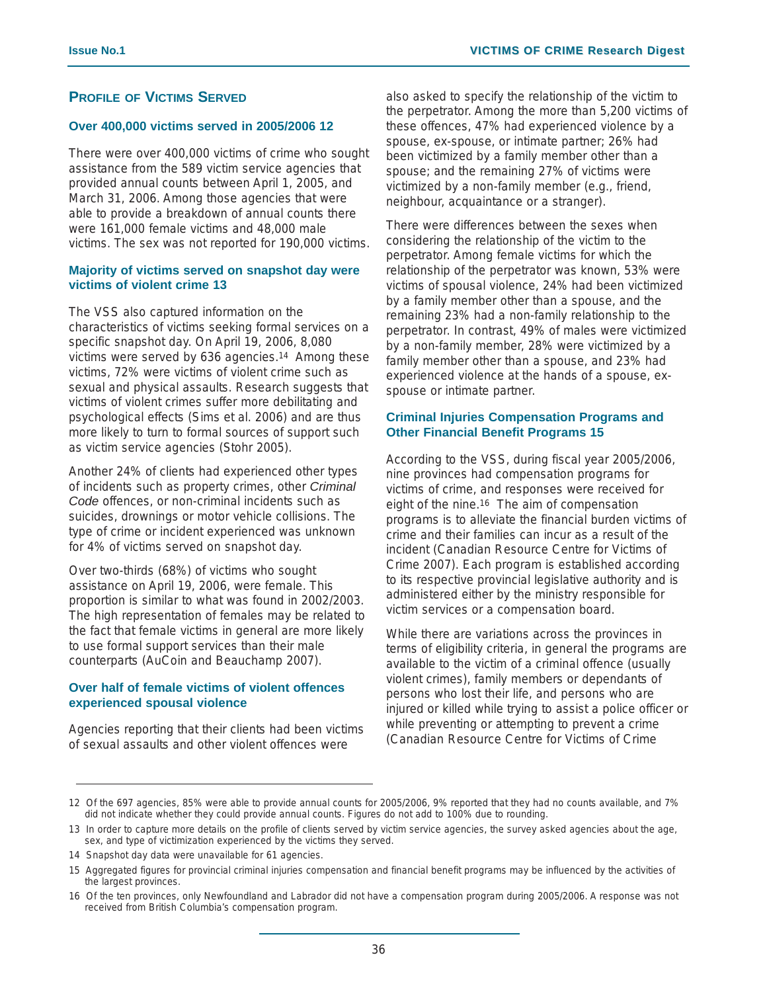### **PROFILE OF VICTIMS SERVED**

### **Over 400,000 victims served in 2005/2006 12**

There were over 400,000 victims of crime who sought assistance from the 589 victim service agencies that provided annual counts between April 1, 2005, and March 31, 2006. Among those agencies that were able to provide a breakdown of annual counts there were 161,000 female victims and 48,000 male victims. The sex was not reported for 190,000 victims.

### **Majority of victims served on snapshot day were victims of violent crime 13**

The VSS also captured information on the characteristics of victims seeking formal services on a specific snapshot day. On April 19, 2006, 8,080 victims were served by 636 agencies.14 Among these victims, 72% were victims of violent crime such as sexual and physical assaults. Research suggests that victims of violent crimes suffer more debilitating and psychological effects (Sims et al. 2006) and are thus more likely to turn to formal sources of support such as victim service agencies (Stohr 2005).

Another 24% of clients had experienced other types of incidents such as property crimes, other *Criminal Code* offences, or non-criminal incidents such as suicides, drownings or motor vehicle collisions. The type of crime or incident experienced was unknown for 4% of victims served on snapshot day.

Over two-thirds (68%) of victims who sought assistance on April 19, 2006, were female. This proportion is similar to what was found in 2002/2003. The high representation of females may be related to the fact that female victims in general are more likely to use formal support services than their male counterparts (AuCoin and Beauchamp 2007).

### **Over half of female victims of violent offences experienced spousal violence**

Agencies reporting that their clients had been victims of sexual assaults and other violent offences were

also asked to specify the relationship of the victim to the perpetrator. Among the more than 5,200 victims of these offences, 47% had experienced violence by a spouse, ex-spouse, or intimate partner; 26% had been victimized by a family member other than a spouse; and the remaining 27% of victims were victimized by a non-family member (e.g., friend, neighbour, acquaintance or a stranger).

There were differences between the sexes when considering the relationship of the victim to the perpetrator. Among female victims for which the relationship of the perpetrator was known, 53% were victims of spousal violence, 24% had been victimized by a family member other than a spouse, and the remaining 23% had a non-family relationship to the perpetrator. In contrast, 49% of males were victimized by a non-family member, 28% were victimized by a family member other than a spouse, and 23% had experienced violence at the hands of a spouse, exspouse or intimate partner.

### **Criminal Injuries Compensation Programs and Other Financial Benefit Programs 15**

According to the VSS, during fiscal year 2005/2006, nine provinces had compensation programs for victims of crime, and responses were received for eight of the nine.16 The aim of compensation programs is to alleviate the financial burden victims of crime and their families can incur as a result of the incident (Canadian Resource Centre for Victims of Crime 2007). Each program is established according to its respective provincial legislative authority and is administered either by the ministry responsible for victim services or a compensation board.

While there are variations across the provinces in terms of eligibility criteria, in general the programs are available to the victim of a criminal offence (usually violent crimes), family members or dependants of persons who lost their life, and persons who are injured or killed while trying to assist a police officer or while preventing or attempting to prevent a crime (Canadian Resource Centre for Victims of Crime

<sup>12</sup> Of the 697 agencies, 85% were able to provide annual counts for 2005/2006, 9% reported that they had no counts available, and 7% did not indicate whether they could provide annual counts. Figures do not add to 100% due to rounding.

<sup>13</sup> In order to capture more details on the profile of clients served by victim service agencies, the survey asked agencies about the age, sex, and type of victimization experienced by the victims they served.

<sup>14</sup> Snapshot day data were unavailable for 61 agencies.

<sup>15</sup> Aggregated figures for provincial criminal injuries compensation and financial benefit programs may be influenced by the activities of the largest provinces.

<sup>16</sup> Of the ten provinces, only Newfoundland and Labrador did not have a compensation program during 2005/2006. A response was not received from British Columbia's compensation program.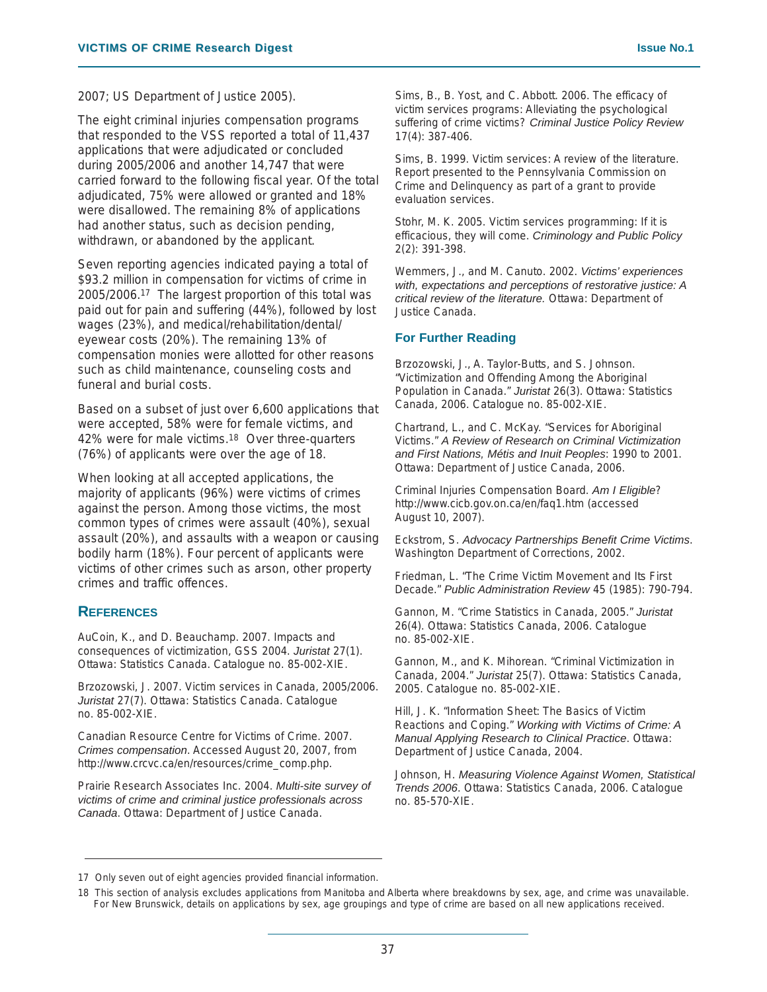2007; US Department of Justice 2005).

The eight criminal injuries compensation programs that responded to the VSS reported a total of 11,437 applications that were adjudicated or concluded during 2005/2006 and another 14,747 that were carried forward to the following fiscal year. Of the total adjudicated, 75% were allowed or granted and 18% were disallowed. The remaining 8% of applications had another status, such as decision pending, withdrawn, or abandoned by the applicant.

Seven reporting agencies indicated paying a total of \$93.2 million in compensation for victims of crime in 2005/2006.17 The largest proportion of this total was paid out for pain and suffering (44%), followed by lost wages (23%), and medical/rehabilitation/dental/ eyewear costs (20%). The remaining 13% of compensation monies were allotted for other reasons such as child maintenance, counseling costs and funeral and burial costs.

Based on a subset of just over 6,600 applications that were accepted, 58% were for female victims, and 42% were for male victims.18 Over three-quarters (76%) of applicants were over the age of 18.

When looking at all accepted applications, the majority of applicants (96%) were victims of crimes against the person. Among those victims, the most common types of crimes were assault (40%), sexual assault (20%), and assaults with a weapon or causing bodily harm (18%). Four percent of applicants were victims of other crimes such as arson, other property crimes and traffic offences.

#### **REFERENCES**

AuCoin, K., and D. Beauchamp. 2007. Impacts and consequences of victimization, GSS 2004. *Juristat* 27(1). Ottawa: Statistics Canada. Catalogue no. 85-002-XIE.

Brzozowski, J. 2007. Victim services in Canada, 2005/2006. *Juristat* 27(7). Ottawa: Statistics Canada. Catalogue no. 85-002-XIE.

Canadian Resource Centre for Victims of Crime. 2007. *Crimes compensation*. Accessed August 20, 2007, from http://www.crcvc.ca/en/resources/crime\_comp.php.

Prairie Research Associates Inc. 2004. *Multi-site survey of victims of crime and criminal justice professionals across Canada*. Ottawa: Department of Justice Canada.

Sims, B., B. Yost, and C. Abbott. 2006. The efficacy of victim services programs: Alleviating the psychological suffering of crime victims? *Criminal Justice Policy Review* 17(4): 387-406.

Sims, B. 1999. Victim services: A review of the literature. Report presented to the Pennsylvania Commission on Crime and Delinquency as part of a grant to provide evaluation services.

Stohr, M. K. 2005. Victim services programming: If it is efficacious, they will come. *Criminology and Public Policy* 2(2): 391-398.

Wemmers, J., and M. Canuto. 2002. *Victims' experiences with, expectations and perceptions of restorative justice: A critical review of the literature.* Ottawa: Department of Justice Canada.

### **For Further Reading**

Brzozowski, J., A. Taylor-Butts, and S. Johnson. "Victimization and Offending Among the Aboriginal Population in Canada." *Juristat* 26(3). Ottawa: Statistics Canada, 2006. Catalogue no. 85-002-XIE.

Chartrand, L., and C. McKay. "Services for Aboriginal Victims." *A Review of Research on Criminal Victimization and First Nations, Métis and Inuit Peoples*: 1990 to 2001. Ottawa: Department of Justice Canada, 2006.

Criminal Injuries Compensation Board. *Am I Eligible*? http://www.cicb.gov.on.ca/en/faq1.htm (accessed August 10, 2007).

Eckstrom, S. *Advocacy Partnerships Benefit Crime Victims*. Washington Department of Corrections, 2002.

Friedman, L. "The Crime Victim Movement and Its First Decade." *Public Administration Review* 45 (1985): 790-794.

Gannon, M. "Crime Statistics in Canada, 2005." *Juristat* 26(4). Ottawa: Statistics Canada, 2006. Catalogue no. 85-002-XIE.

Gannon, M., and K. Mihorean. "Criminal Victimization in Canada, 2004." *Juristat* 25(7). Ottawa: Statistics Canada, 2005. Catalogue no. 85-002-XIE.

Hill, J. K. "Information Sheet: The Basics of Victim Reactions and Coping." *Working with Victims of Crime: A Manual Applying Research to Clinical Practice*. Ottawa: Department of Justice Canada, 2004.

Johnson, H. *Measuring Violence Against Women, Statistical Trends 2006*. Ottawa: Statistics Canada, 2006. Catalogue no. 85-570-XIE.

<sup>17</sup> Only seven out of eight agencies provided financial information.

<sup>18</sup> This section of analysis excludes applications from Manitoba and Alberta where breakdowns by sex, age, and crime was unavailable. For New Brunswick, details on applications by sex, age groupings and type of crime are based on all new applications received.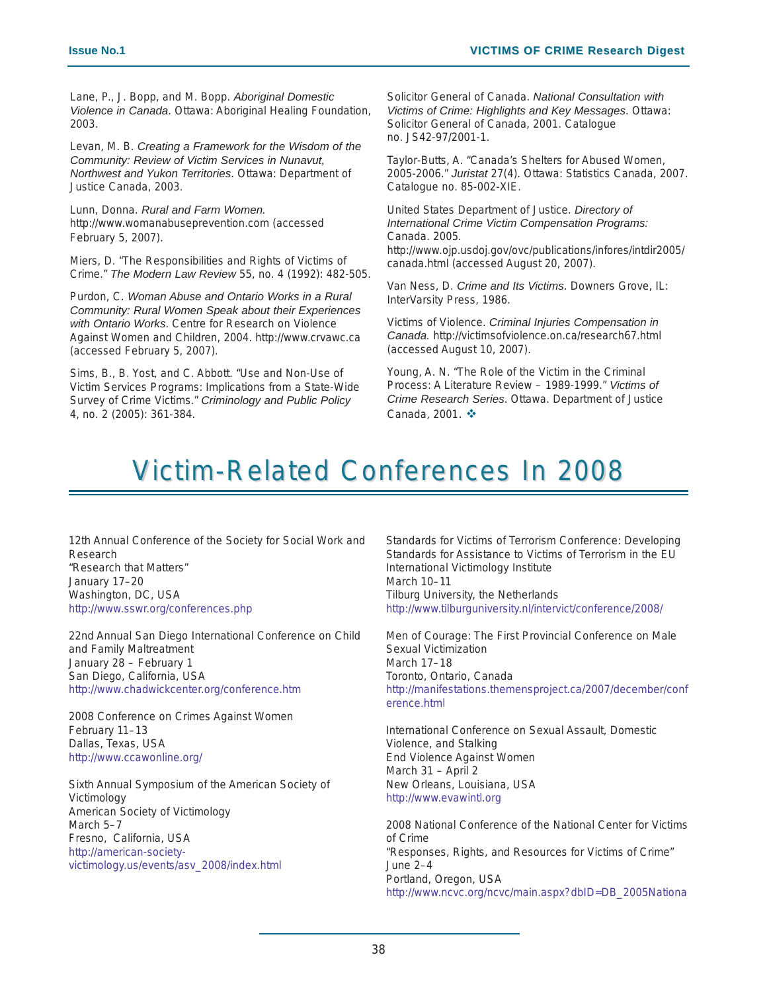Lane, P., J. Bopp, and M. Bopp. *Aboriginal Domestic Violence in Canada*. Ottawa: Aboriginal Healing Foundation, 2003.

Levan, M. B. *Creating a Framework for the Wisdom of the Community: Review of Victim Services in Nunavut, Northwest and Yukon Territories*. Ottawa: Department of Justice Canada, 2003.

Lunn, Donna. *Rural and Farm Women.* http://www.womanabuseprevention.com (accessed February 5, 2007).

Miers, D. "The Responsibilities and Rights of Victims of Crime." *The Modern Law Review* 55, no. 4 (1992): 482-505.

Purdon, C. *Woman Abuse and Ontario Works in a Rural Community: Rural Women Speak about their Experiences with Ontario Works*. Centre for Research on Violence Against Women and Children, 2004. http://www.crvawc.ca (accessed February 5, 2007).

Sims, B., B. Yost, and C. Abbott. "Use and Non-Use of Victim Services Programs: Implications from a State-Wide Survey of Crime Victims." *Criminology and Public Policy* 4, no. 2 (2005): 361-384.

Solicitor General of Canada. *National Consultation with Victims of Crime: Highlights and Key Messages*. Ottawa: Solicitor General of Canada, 2001. Catalogue no. JS42-97/2001-1.

Taylor-Butts, A. "Canada's Shelters for Abused Women, 2005-2006." *Juristat* 27(4). Ottawa: Statistics Canada, 2007. Catalogue no. 85-002-XIE.

United States Department of Justice. *Directory of International Crime Victim Compensation Programs:* Canada. 2005. http://www.ojp.usdoj.gov/ovc/publications/infores/intdir2005/ canada.html (accessed August 20, 2007).

Van Ness, D. *Crime and Its Victims*. Downers Grove, IL: InterVarsity Press, 1986.

Victims of Violence. *Criminal Injuries Compensation in Canada.* http://victimsofviolence.on.ca/research67.html (accessed August 10, 2007).

Young, A. N. "The Role of the Victim in the Criminal Process: A Literature Review – 1989-1999." *Victims of Crime Research Series*. Ottawa. Department of Justice Canada, 2001.  $\dots$ 

### Victim-Related Conferences In 2008

12th Annual Conference of the Society for Social Work and Research "Research that Matters" January 17–20 Washington, DC, USA http://www.sswr.org/conferences.php

22nd Annual San Diego International Conference on Child and Family Maltreatment January 28 – February 1 San Diego, California, USA http://www.chadwickcenter.org/conference.htm

2008 Conference on Crimes Against Women February 11–13 Dallas, Texas, USA http://www.ccawonline.org/

Sixth Annual Symposium of the American Society of Victimology American Society of Victimology March 5–7 Fresno, California, USA http://american-societyvictimology.us/events/asv\_2008/index.html

Standards for Victims of Terrorism Conference: Developing Standards for Assistance to Victims of Terrorism in the EU International Victimology Institute March 10–11 Tilburg University, the Netherlands http://www.tilburguniversity.nl/intervict/conference/2008/

Men of Courage: The First Provincial Conference on Male Sexual Victimization March 17–18 Toronto, Ontario, Canada http://manifestations.themensproject.ca/2007/december/conf erence.html

International Conference on Sexual Assault, Domestic Violence, and Stalking End Violence Against Women March 31 – April 2 New Orleans, Louisiana, USA http://www.evawintl.org

2008 National Conference of the National Center for Victims of Crime "Responses, Rights, and Resources for Victims of Crime" June 2–4 Portland, Oregon, USA http://www.ncvc.org/ncvc/main.aspx?dbID=DB\_2005Nationa